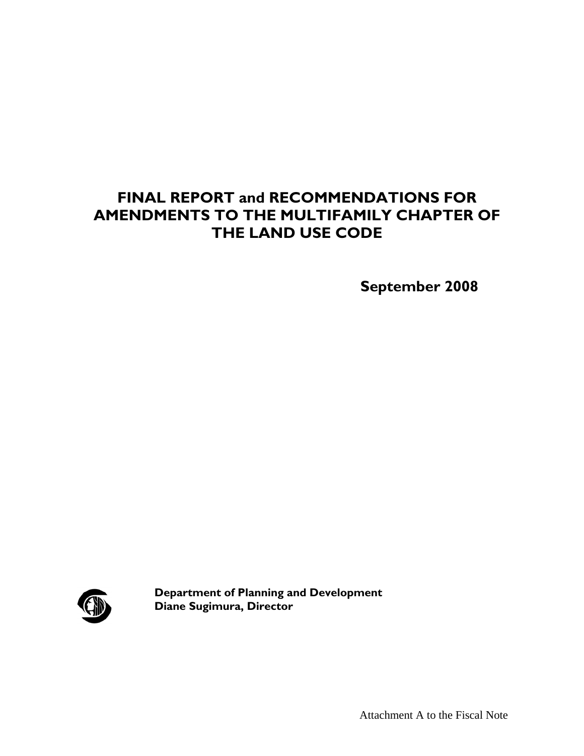## **FINAL REPORT and RECOMMENDATIONS FOR AMENDMENTS TO THE MULTIFAMILY CHAPTER OF THE LAND USE CODE**

 **September 2008** 



**Department of Planning and Development Diane Sugimura, Director**

Attachment A to the Fiscal Note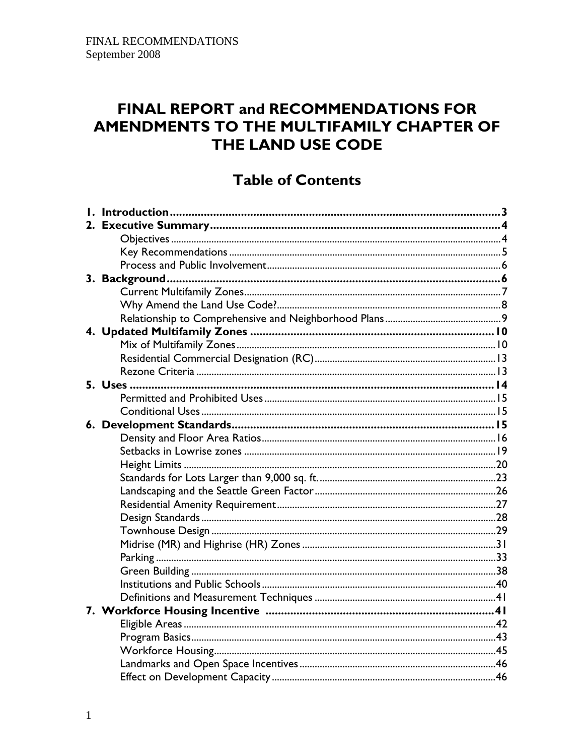## FINAL REPORT and RECOMMENDATIONS FOR AMENDMENTS TO THE MULTIFAMILY CHAPTER OF THE LAND USE CODE

## **Table of Contents**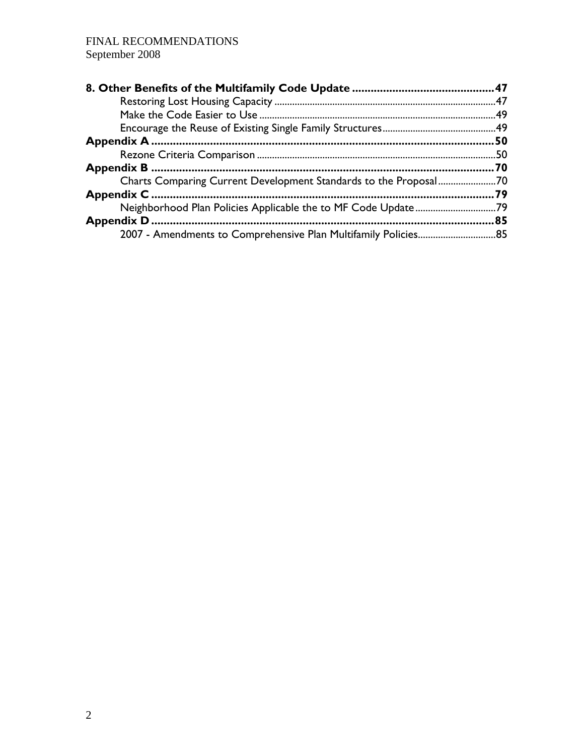|                                                                  | 50 |
|------------------------------------------------------------------|----|
|                                                                  |    |
|                                                                  |    |
| Charts Comparing Current Development Standards to the Proposal70 |    |
|                                                                  |    |
|                                                                  |    |
|                                                                  | 85 |
| 2007 - Amendments to Comprehensive Plan Multifamily Policies85   |    |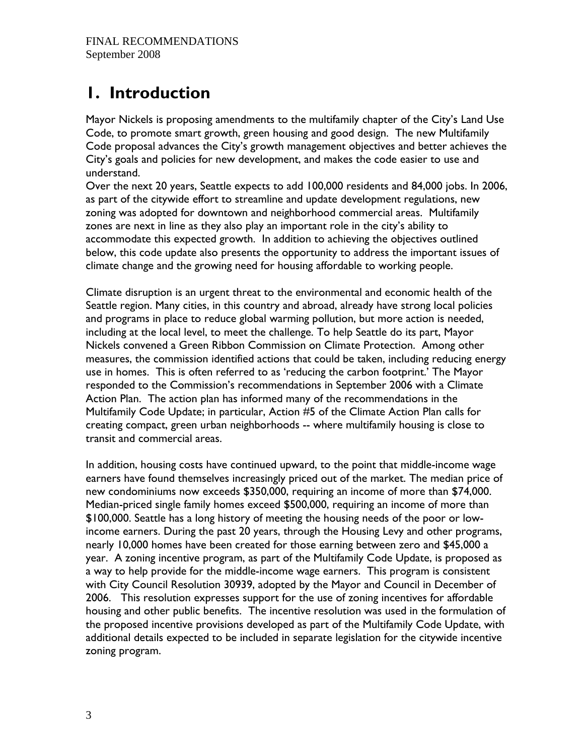# **1. Introduction**

Mayor Nickels is proposing amendments to the multifamily chapter of the City's Land Use Code, to promote smart growth, green housing and good design. The new Multifamily Code proposal advances the City's growth management objectives and better achieves the City's goals and policies for new development, and makes the code easier to use and understand.

Over the next 20 years, Seattle expects to add 100,000 residents and 84,000 jobs. In 2006, as part of the citywide effort to streamline and update development regulations, new zoning was adopted for downtown and neighborhood commercial areas. Multifamily zones are next in line as they also play an important role in the city's ability to accommodate this expected growth. In addition to achieving the objectives outlined below, this code update also presents the opportunity to address the important issues of climate change and the growing need for housing affordable to working people.

Climate disruption is an urgent threat to the environmental and economic health of the Seattle region. Many cities, in this country and abroad, already have strong local policies and programs in place to reduce global warming pollution, but more action is needed, including at the local level, to meet the challenge. To help Seattle do its part, Mayor Nickels convened a Green Ribbon Commission on Climate Protection. Among other measures, the commission identified actions that could be taken, including reducing energy use in homes. This is often referred to as 'reducing the carbon footprint.' The Mayor responded to the Commission's recommendations in September 2006 with a Climate Action Plan. The action plan has informed many of the recommendations in the Multifamily Code Update; in particular, Action #5 of the Climate Action Plan calls for creating compact, green urban neighborhoods -- where multifamily housing is close to transit and commercial areas.

In addition, housing costs have continued upward, to the point that middle-income wage earners have found themselves increasingly priced out of the market. The median price of new condominiums now exceeds \$350,000, requiring an income of more than \$74,000. Median-priced single family homes exceed \$500,000, requiring an income of more than \$100,000. Seattle has a long history of meeting the housing needs of the poor or lowincome earners. During the past 20 years, through the Housing Levy and other programs, nearly 10,000 homes have been created for those earning between zero and \$45,000 a year. A zoning incentive program, as part of the Multifamily Code Update, is proposed as a way to help provide for the middle-income wage earners. This program is consistent with City Council Resolution 30939, adopted by the Mayor and Council in December of 2006. This resolution expresses support for the use of zoning incentives for affordable housing and other public benefits. The incentive resolution was used in the formulation of the proposed incentive provisions developed as part of the Multifamily Code Update, with additional details expected to be included in separate legislation for the citywide incentive zoning program.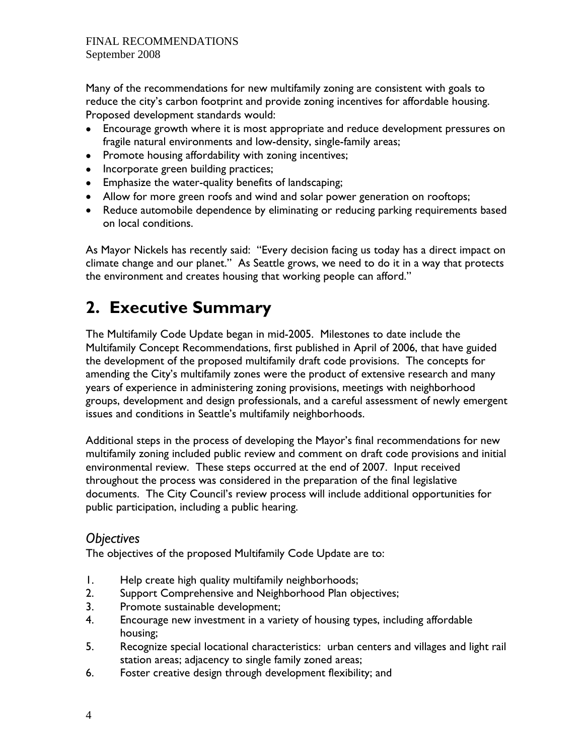Many of the recommendations for new multifamily zoning are consistent with goals to reduce the city's carbon footprint and provide zoning incentives for affordable housing. Proposed development standards would:

- Encourage growth where it is most appropriate and reduce development pressures on fragile natural environments and low-density, single-family areas;
- Promote housing affordability with zoning incentives;
- Incorporate green building practices;
- Emphasize the water-quality benefits of landscaping;
- Allow for more green roofs and wind and solar power generation on rooftops;
- Reduce automobile dependence by eliminating or reducing parking requirements based on local conditions.

As Mayor Nickels has recently said: "Every decision facing us today has a direct impact on climate change and our planet." As Seattle grows, we need to do it in a way that protects the environment and creates housing that working people can afford."

# **2. Executive Summary**

The Multifamily Code Update began in mid-2005. Milestones to date include the Multifamily Concept Recommendations, first published in April of 2006, that have guided the development of the proposed multifamily draft code provisions. The concepts for amending the City's multifamily zones were the product of extensive research and many years of experience in administering zoning provisions, meetings with neighborhood groups, development and design professionals, and a careful assessment of newly emergent issues and conditions in Seattle's multifamily neighborhoods.

Additional steps in the process of developing the Mayor's final recommendations for new multifamily zoning included public review and comment on draft code provisions and initial environmental review. These steps occurred at the end of 2007. Input received throughout the process was considered in the preparation of the final legislative documents. The City Council's review process will include additional opportunities for public participation, including a public hearing.

## *Objectives*

The objectives of the proposed Multifamily Code Update are to:

- 1. Help create high quality multifamily neighborhoods;
- 2. Support Comprehensive and Neighborhood Plan objectives;
- 3. Promote sustainable development;
- 4. Encourage new investment in a variety of housing types, including affordable housing;
- 5. Recognize special locational characteristics: urban centers and villages and light rail station areas; adjacency to single family zoned areas;
- 6. Foster creative design through development flexibility; and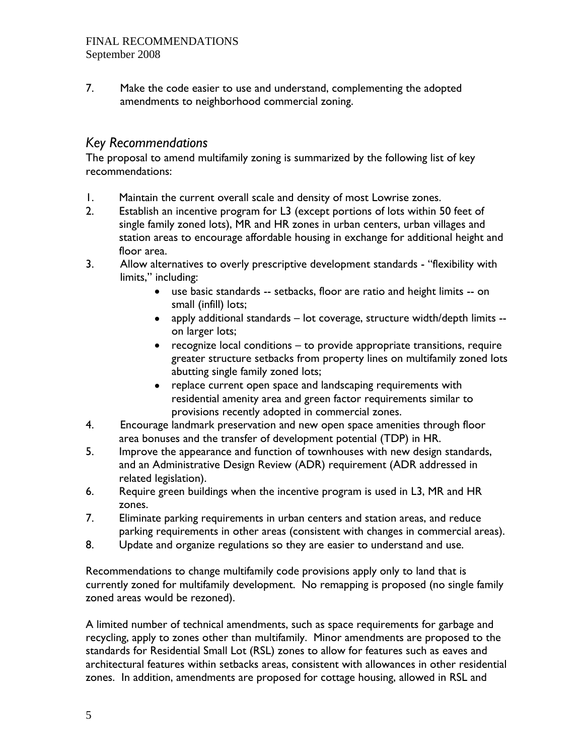7. Make the code easier to use and understand, complementing the adopted amendments to neighborhood commercial zoning.

## *Key Recommendations*

The proposal to amend multifamily zoning is summarized by the following list of key recommendations:

- 1. Maintain the current overall scale and density of most Lowrise zones.
- 2. Establish an incentive program for L3 (except portions of lots within 50 feet of single family zoned lots), MR and HR zones in urban centers, urban villages and station areas to encourage affordable housing in exchange for additional height and floor area.
- 3. Allow alternatives to overly prescriptive development standards "flexibility with limits," including:
	- use basic standards -- setbacks, floor are ratio and height limits -- on small (infill) lots;
	- apply additional standards lot coverage, structure width/depth limits on larger lots;
	- recognize local conditions to provide appropriate transitions, require greater structure setbacks from property lines on multifamily zoned lots abutting single family zoned lots;
	- replace current open space and landscaping requirements with residential amenity area and green factor requirements similar to provisions recently adopted in commercial zones.
- 4. Encourage landmark preservation and new open space amenities through floor area bonuses and the transfer of development potential (TDP) in HR.
- 5. Improve the appearance and function of townhouses with new design standards, and an Administrative Design Review (ADR) requirement (ADR addressed in related legislation).
- 6. Require green buildings when the incentive program is used in L3, MR and HR zones.
- 7. Eliminate parking requirements in urban centers and station areas, and reduce parking requirements in other areas (consistent with changes in commercial areas).
- 8. Update and organize regulations so they are easier to understand and use.

Recommendations to change multifamily code provisions apply only to land that is currently zoned for multifamily development. No remapping is proposed (no single family zoned areas would be rezoned).

A limited number of technical amendments, such as space requirements for garbage and recycling, apply to zones other than multifamily. Minor amendments are proposed to the standards for Residential Small Lot (RSL) zones to allow for features such as eaves and architectural features within setbacks areas, consistent with allowances in other residential zones. In addition, amendments are proposed for cottage housing, allowed in RSL and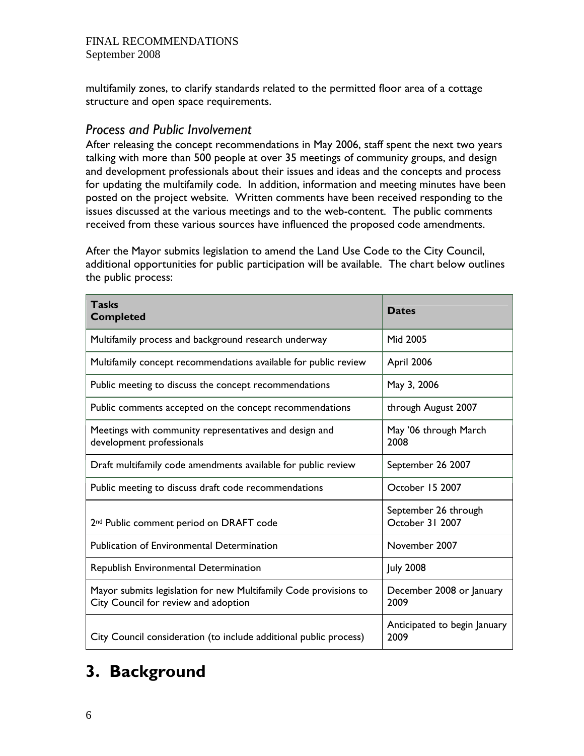multifamily zones, to clarify standards related to the permitted floor area of a cottage structure and open space requirements.

## *Process and Public Involvement*

After releasing the concept recommendations in May 2006, staff spent the next two years talking with more than 500 people at over 35 meetings of community groups, and design and development professionals about their issues and ideas and the concepts and process for updating the multifamily code. In addition, information and meeting minutes have been posted on the project website. Written comments have been received responding to the issues discussed at the various meetings and to the web-content. The public comments received from these various sources have influenced the proposed code amendments.

After the Mayor submits legislation to amend the Land Use Code to the City Council, additional opportunities for public participation will be available. The chart below outlines the public process:

| <b>Tasks</b><br><b>Completed</b>                                                                         | <b>Dates</b>                            |
|----------------------------------------------------------------------------------------------------------|-----------------------------------------|
| Multifamily process and background research underway                                                     | Mid 2005                                |
| Multifamily concept recommendations available for public review                                          | April 2006                              |
| Public meeting to discuss the concept recommendations                                                    | May 3, 2006                             |
| Public comments accepted on the concept recommendations                                                  | through August 2007                     |
| Meetings with community representatives and design and<br>development professionals                      | May '06 through March<br>2008           |
| Draft multifamily code amendments available for public review                                            | September 26 2007                       |
| Public meeting to discuss draft code recommendations                                                     | October 15 2007                         |
| 2 <sup>nd</sup> Public comment period on DRAFT code                                                      | September 26 through<br>October 31 2007 |
| <b>Publication of Environmental Determination</b>                                                        | November 2007                           |
| Republish Environmental Determination                                                                    | <b>July 2008</b>                        |
| Mayor submits legislation for new Multifamily Code provisions to<br>City Council for review and adoption | December 2008 or January<br>2009        |
| City Council consideration (to include additional public process)                                        | Anticipated to begin January<br>2009    |

# **3. Background**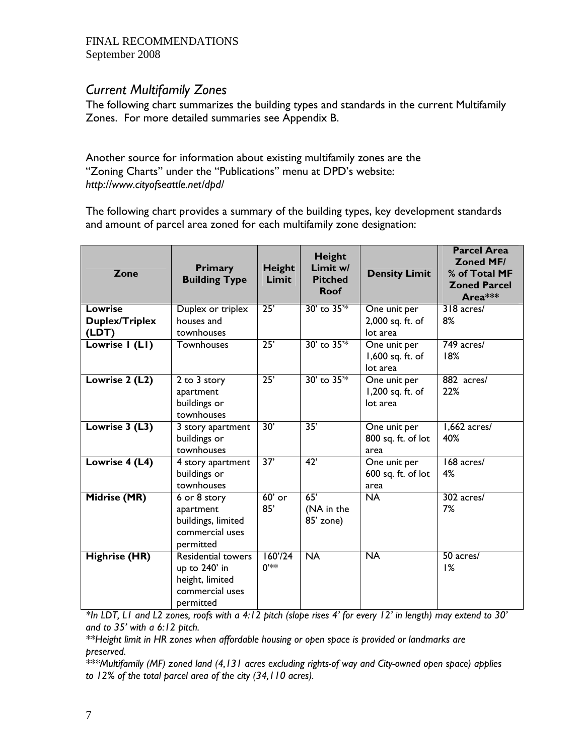## *Current Multifamily Zones*

The following chart summarizes the building types and standards in the current Multifamily Zones. For more detailed summaries see Appendix B.

Another source for information about existing multifamily zones are the "Zoning Charts" under the "Publications" menu at DPD's website: *http://www.cityofseattle.net/dpd/* 

The following chart provides a summary of the building types, key development standards and amount of parcel area zoned for each multifamily zone designation:

| Zone                  | <b>Primary</b><br><b>Building Type</b> | Height<br>Limit | <b>Height</b><br>Limit w/<br><b>Pitched</b><br><b>Roof</b> | <b>Density Limit</b> | <b>Parcel Area</b><br><b>Zoned MF/</b><br>% of Total MF<br><b>Zoned Parcel</b><br>Area*** |
|-----------------------|----------------------------------------|-----------------|------------------------------------------------------------|----------------------|-------------------------------------------------------------------------------------------|
| <b>Lowrise</b>        | Duplex or triplex                      | 25'             | 30' to 35 <sup>'*</sup>                                    | One unit per         | 318 acres/                                                                                |
| <b>Duplex/Triplex</b> | houses and                             |                 |                                                            | 2,000 sq. ft. of     | 8%                                                                                        |
| (LDT)                 | townhouses                             |                 |                                                            | lot area             |                                                                                           |
| Lowrise I (LI)        | Townhouses                             | 25'             | 30' to 35 <sup>'*</sup>                                    | One unit per         | 749 acres/                                                                                |
|                       |                                        |                 |                                                            | 1,600 sq. ft. of     | 18%                                                                                       |
|                       |                                        |                 |                                                            | lot area             |                                                                                           |
| Lowrise 2 (L2)        | 2 to 3 story                           | 25'             | 30' to 35 <sup>'*</sup>                                    | One unit per         | 882 acres/                                                                                |
|                       | apartment                              |                 |                                                            | 1,200 sq. ft. of     | 22%                                                                                       |
|                       | buildings or                           |                 |                                                            | lot area             |                                                                                           |
|                       | townhouses                             |                 |                                                            |                      |                                                                                           |
| Lowrise 3 (L3)        | 3 story apartment                      | 30'             | $\overline{35'}$                                           | One unit per         | $1,662$ acres/                                                                            |
|                       | buildings or                           |                 |                                                            | 800 sq. ft. of lot   | 40%                                                                                       |
|                       | townhouses                             |                 |                                                            | area                 |                                                                                           |
| Lowrise 4 (L4)        | 4 story apartment                      | 37'             | 42'                                                        | One unit per         | 168 acres/                                                                                |
|                       | buildings or                           |                 |                                                            | 600 sq. ft. of lot   | 4%                                                                                        |
|                       | townhouses                             |                 |                                                            | area                 |                                                                                           |
| <b>Midrise (MR)</b>   | $6$ or $8$ story                       | $60'$ or        | 65'                                                        | <b>NA</b>            | 302 acres/                                                                                |
|                       | apartment                              | 85'             | (NA in the                                                 |                      | 7%                                                                                        |
|                       | buildings, limited                     |                 | 85' zone)                                                  |                      |                                                                                           |
|                       | commercial uses                        |                 |                                                            |                      |                                                                                           |
|                       | permitted                              |                 |                                                            |                      |                                                                                           |
| <b>Highrise (HR)</b>  | <b>Residential towers</b>              | 160'/24         | $\overline{NA}$                                            | $\overline{NA}$      | 50 acres/                                                                                 |
|                       | up to 240' in                          | $0^{**}$        |                                                            |                      | 1%                                                                                        |
|                       | height, limited                        |                 |                                                            |                      |                                                                                           |
|                       | commercial uses                        |                 |                                                            |                      |                                                                                           |
|                       | permitted                              |                 |                                                            |                      |                                                                                           |

*\*In LDT, L1 and L2 zones, roofs with a 4:12 pitch (slope rises 4' for every 12' in length) may extend to 30' and to 35' with a 6:12 pitch.* 

*\*\*Height limit in HR zones when affordable housing or open space is provided or landmarks are preserved.* 

*\*\*\*Multifamily (MF) zoned land (4,131 acres excluding rights-of way and City-owned open space) applies to 12% of the total parcel area of the city (34,110 acres).*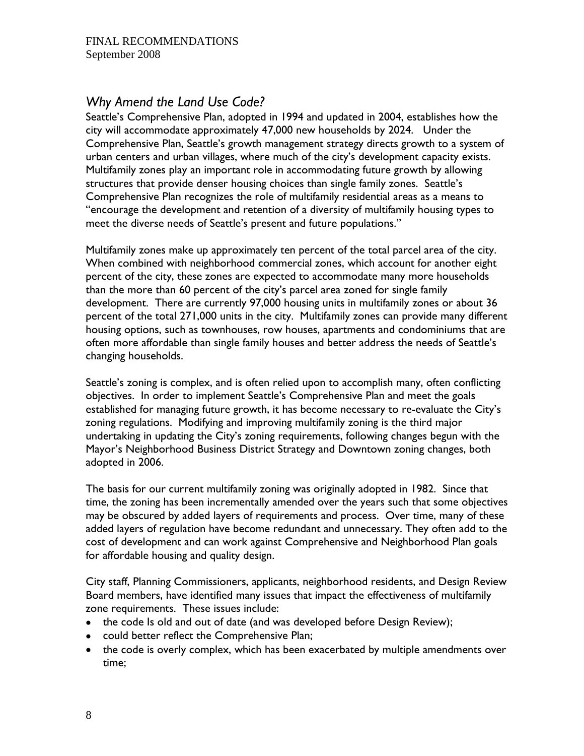## *Why Amend the Land Use Code?*

Seattle's Comprehensive Plan, adopted in 1994 and updated in 2004, establishes how the city will accommodate approximately 47,000 new households by 2024. Under the Comprehensive Plan, Seattle's growth management strategy directs growth to a system of urban centers and urban villages, where much of the city's development capacity exists. Multifamily zones play an important role in accommodating future growth by allowing structures that provide denser housing choices than single family zones. Seattle's Comprehensive Plan recognizes the role of multifamily residential areas as a means to "encourage the development and retention of a diversity of multifamily housing types to meet the diverse needs of Seattle's present and future populations."

Multifamily zones make up approximately ten percent of the total parcel area of the city. When combined with neighborhood commercial zones, which account for another eight percent of the city, these zones are expected to accommodate many more households than the more than 60 percent of the city's parcel area zoned for single family development. There are currently 97,000 housing units in multifamily zones or about 36 percent of the total 271,000 units in the city. Multifamily zones can provide many different housing options, such as townhouses, row houses, apartments and condominiums that are often more affordable than single family houses and better address the needs of Seattle's changing households.

Seattle's zoning is complex, and is often relied upon to accomplish many, often conflicting objectives. In order to implement Seattle's Comprehensive Plan and meet the goals established for managing future growth, it has become necessary to re-evaluate the City's zoning regulations. Modifying and improving multifamily zoning is the third major undertaking in updating the City's zoning requirements, following changes begun with the Mayor's Neighborhood Business District Strategy and Downtown zoning changes, both adopted in 2006.

The basis for our current multifamily zoning was originally adopted in 1982. Since that time, the zoning has been incrementally amended over the years such that some objectives may be obscured by added layers of requirements and process. Over time, many of these added layers of regulation have become redundant and unnecessary. They often add to the cost of development and can work against Comprehensive and Neighborhood Plan goals for affordable housing and quality design.

City staff, Planning Commissioners, applicants, neighborhood residents, and Design Review Board members, have identified many issues that impact the effectiveness of multifamily zone requirements. These issues include:

- the code Is old and out of date (and was developed before Design Review);
- could better reflect the Comprehensive Plan;
- the code is overly complex, which has been exacerbated by multiple amendments over time;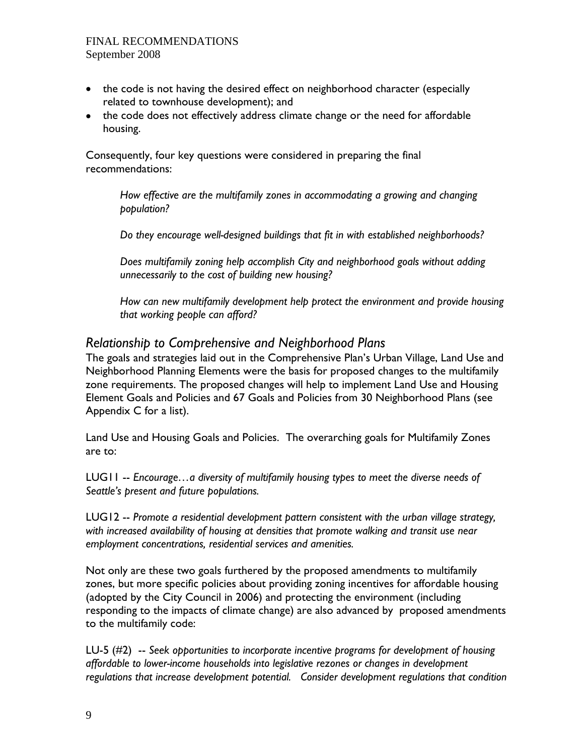- the code is not having the desired effect on neighborhood character (especially related to townhouse development); and
- the code does not effectively address climate change or the need for affordable housing.

Consequently, four key questions were considered in preparing the final recommendations:

> *How effective are the multifamily zones in accommodating a growing and changing population?*

*Do they encourage well-designed buildings that fit in with established neighborhoods?* 

*Does multifamily zoning help accomplish City and neighborhood goals without adding unnecessarily to the cost of building new housing?* 

*How can new multifamily development help protect the environment and provide housing that working people can afford?* 

## *Relationship to Comprehensive and Neighborhood Plans*

The goals and strategies laid out in the Comprehensive Plan's Urban Village, Land Use and Neighborhood Planning Elements were the basis for proposed changes to the multifamily zone requirements. The proposed changes will help to implement Land Use and Housing Element Goals and Policies and 67 Goals and Policies from 30 Neighborhood Plans (see Appendix C for a list).

Land Use and Housing Goals and Policies. The overarching goals for Multifamily Zones are to:

LUG11 -- *Encourage…a diversity of multifamily housing types to meet the diverse needs of Seattle's present and future populations.*

LUG12 -- *Promote a residential development pattern consistent with the urban village strategy, with increased availability of housing at densities that promote walking and transit use near employment concentrations, residential services and amenities.*

Not only are these two goals furthered by the proposed amendments to multifamily zones, but more specific policies about providing zoning incentives for affordable housing (adopted by the City Council in 2006) and protecting the environment (including responding to the impacts of climate change) are also advanced by proposed amendments to the multifamily code:

LU-5 (#2) -- *Seek opportunities to incorporate incentive programs for development of housing affordable to lower-income households into legislative rezones or changes in development regulations that increase development potential. Consider development regulations that condition*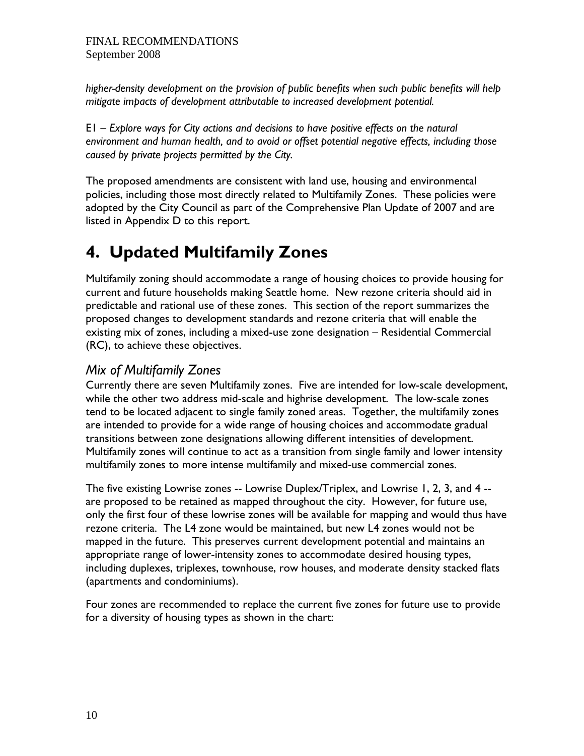*higher-density development on the provision of public benefits when such public benefits will help mitigate impacts of development attributable to increased development potential.* 

E1 – *Explore ways for City actions and decisions to have positive effects on the natural environment and human health, and to avoid or offset potential negative effects, including those caused by private projects permitted by the City.* 

The proposed amendments are consistent with land use, housing and environmental policies, including those most directly related to Multifamily Zones. These policies were adopted by the City Council as part of the Comprehensive Plan Update of 2007 and are listed in Appendix D to this report.

# **4. Updated Multifamily Zones**

Multifamily zoning should accommodate a range of housing choices to provide housing for current and future households making Seattle home. New rezone criteria should aid in predictable and rational use of these zones. This section of the report summarizes the proposed changes to development standards and rezone criteria that will enable the existing mix of zones, including a mixed-use zone designation – Residential Commercial (RC), to achieve these objectives.

## *Mix of Multifamily Zones*

Currently there are seven Multifamily zones. Five are intended for low-scale development, while the other two address mid-scale and highrise development. The low-scale zones tend to be located adjacent to single family zoned areas. Together, the multifamily zones are intended to provide for a wide range of housing choices and accommodate gradual transitions between zone designations allowing different intensities of development. Multifamily zones will continue to act as a transition from single family and lower intensity multifamily zones to more intense multifamily and mixed-use commercial zones.

The five existing Lowrise zones -- Lowrise Duplex/Triplex, and Lowrise 1, 2, 3, and 4 - are proposed to be retained as mapped throughout the city. However, for future use, only the first four of these lowrise zones will be available for mapping and would thus have rezone criteria. The L4 zone would be maintained, but new L4 zones would not be mapped in the future. This preserves current development potential and maintains an appropriate range of lower-intensity zones to accommodate desired housing types, including duplexes, triplexes, townhouse, row houses, and moderate density stacked flats (apartments and condominiums).

Four zones are recommended to replace the current five zones for future use to provide for a diversity of housing types as shown in the chart: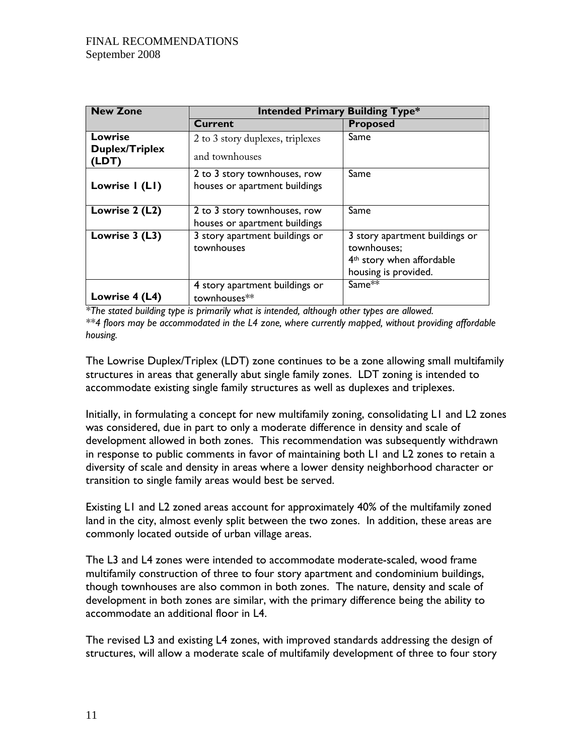| <b>New Zone</b>                                  | <b>Intended Primary Building Type*</b>                        |                                                                                                                |  |  |  |
|--------------------------------------------------|---------------------------------------------------------------|----------------------------------------------------------------------------------------------------------------|--|--|--|
|                                                  | <b>Current</b>                                                | <b>Proposed</b>                                                                                                |  |  |  |
| <b>Lowrise</b><br><b>Duplex/Triplex</b><br>(LDT) | 2 to 3 story duplexes, triplexes<br>and townhouses            | Same                                                                                                           |  |  |  |
| Lowrise I (LI)                                   | 2 to 3 story townhouses, row<br>houses or apartment buildings | Same                                                                                                           |  |  |  |
| Lowrise 2 (L2)                                   | 2 to 3 story townhouses, row<br>houses or apartment buildings | Same                                                                                                           |  |  |  |
| Lowrise 3 (L3)                                   | 3 story apartment buildings or<br>townhouses                  | 3 story apartment buildings or<br>townhouses;<br>4 <sup>th</sup> story when affordable<br>housing is provided. |  |  |  |
| Lowrise 4 (L4)                                   | 4 story apartment buildings or<br>townhouses**                | Same**                                                                                                         |  |  |  |

*\*The stated building type is primarily what is intended, although other types are allowed.* 

*\*\*4 floors may be accommodated in the L4 zone, where currently mapped, without providing affordable housing.* 

The Lowrise Duplex/Triplex (LDT) zone continues to be a zone allowing small multifamily structures in areas that generally abut single family zones. LDT zoning is intended to accommodate existing single family structures as well as duplexes and triplexes.

Initially, in formulating a concept for new multifamily zoning, consolidating L1 and L2 zones was considered, due in part to only a moderate difference in density and scale of development allowed in both zones. This recommendation was subsequently withdrawn in response to public comments in favor of maintaining both L1 and L2 zones to retain a diversity of scale and density in areas where a lower density neighborhood character or transition to single family areas would best be served.

Existing L1 and L2 zoned areas account for approximately 40% of the multifamily zoned land in the city, almost evenly split between the two zones. In addition, these areas are commonly located outside of urban village areas.

The L3 and L4 zones were intended to accommodate moderate-scaled, wood frame multifamily construction of three to four story apartment and condominium buildings, though townhouses are also common in both zones. The nature, density and scale of development in both zones are similar, with the primary difference being the ability to accommodate an additional floor in L4.

The revised L3 and existing L4 zones, with improved standards addressing the design of structures, will allow a moderate scale of multifamily development of three to four story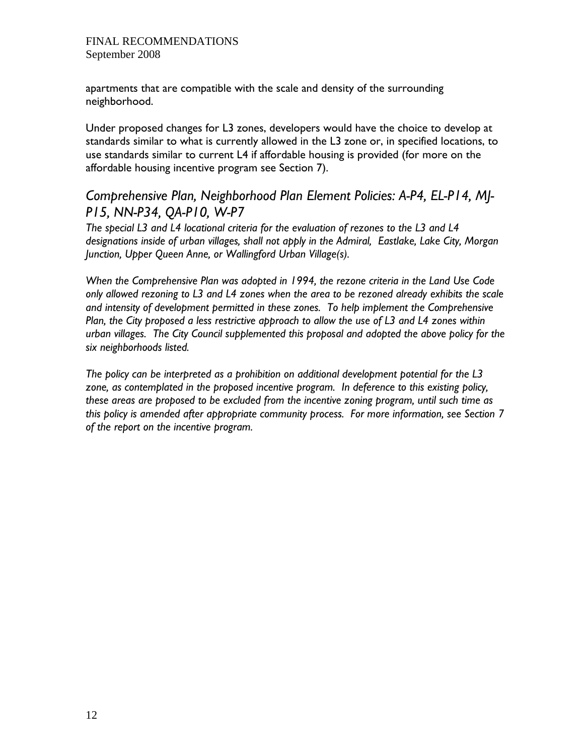apartments that are compatible with the scale and density of the surrounding neighborhood.

Under proposed changes for L3 zones, developers would have the choice to develop at standards similar to what is currently allowed in the L3 zone or, in specified locations, to use standards similar to current L4 if affordable housing is provided (for more on the affordable housing incentive program see Section 7).

## *Comprehensive Plan, Neighborhood Plan Element Policies: A-P4, EL-P14, MJ-P15, NN-P34, QA-P10, W-P7*

*The special L3 and L4 locational criteria for the evaluation of rezones to the L3 and L4 designations inside of urban villages, shall not apply in the Admiral, Eastlake, Lake City, Morgan Junction, Upper Queen Anne, or Wallingford Urban Village(s).* 

*When the Comprehensive Plan was adopted in 1994, the rezone criteria in the Land Use Code only allowed rezoning to L3 and L4 zones when the area to be rezoned already exhibits the scale and intensity of development permitted in these zones. To help implement the Comprehensive Plan, the City proposed a less restrictive approach to allow the use of L3 and L4 zones within urban villages. The City Council supplemented this proposal and adopted the above policy for the six neighborhoods listed.* 

*The policy can be interpreted as a prohibition on additional development potential for the L3 zone, as contemplated in the proposed incentive program. In deference to this existing policy, these areas are proposed to be excluded from the incentive zoning program, until such time as this policy is amended after appropriate community process. For more information, see Section 7 of the report on the incentive program.*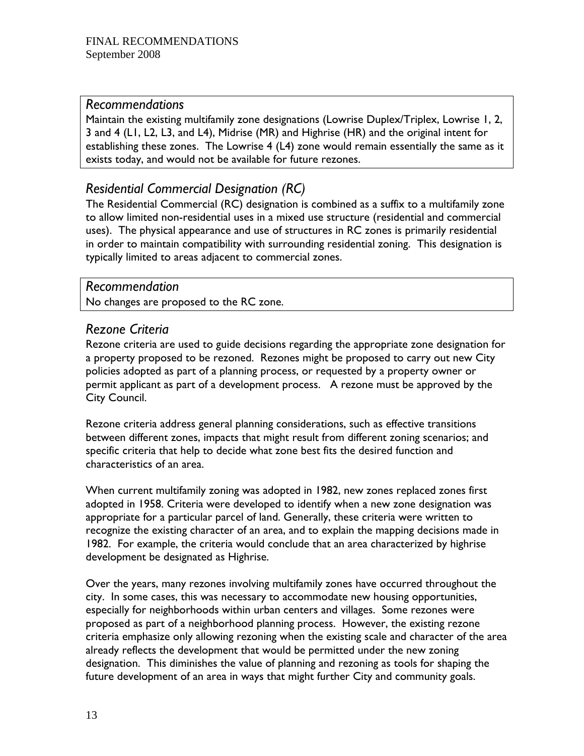## *Recommendations*

Maintain the existing multifamily zone designations (Lowrise Duplex/Triplex, Lowrise 1, 2, 3 and 4 (L1, L2, L3, and L4), Midrise (MR) and Highrise (HR) and the original intent for establishing these zones. The Lowrise 4 (L4) zone would remain essentially the same as it exists today, and would not be available for future rezones.

## *Residential Commercial Designation (RC)*

The Residential Commercial (RC) designation is combined as a suffix to a multifamily zone to allow limited non-residential uses in a mixed use structure (residential and commercial uses). The physical appearance and use of structures in RC zones is primarily residential in order to maintain compatibility with surrounding residential zoning. This designation is typically limited to areas adjacent to commercial zones.

## *Recommendation*

No changes are proposed to the RC zone.

## *Rezone Criteria*

Rezone criteria are used to guide decisions regarding the appropriate zone designation for a property proposed to be rezoned. Rezones might be proposed to carry out new City policies adopted as part of a planning process, or requested by a property owner or permit applicant as part of a development process. A rezone must be approved by the City Council.

Rezone criteria address general planning considerations, such as effective transitions between different zones, impacts that might result from different zoning scenarios; and specific criteria that help to decide what zone best fits the desired function and characteristics of an area.

When current multifamily zoning was adopted in 1982, new zones replaced zones first adopted in 1958. Criteria were developed to identify when a new zone designation was appropriate for a particular parcel of land. Generally, these criteria were written to recognize the existing character of an area, and to explain the mapping decisions made in 1982. For example, the criteria would conclude that an area characterized by highrise development be designated as Highrise.

Over the years, many rezones involving multifamily zones have occurred throughout the city. In some cases, this was necessary to accommodate new housing opportunities, especially for neighborhoods within urban centers and villages. Some rezones were proposed as part of a neighborhood planning process. However, the existing rezone criteria emphasize only allowing rezoning when the existing scale and character of the area already reflects the development that would be permitted under the new zoning designation. This diminishes the value of planning and rezoning as tools for shaping the future development of an area in ways that might further City and community goals.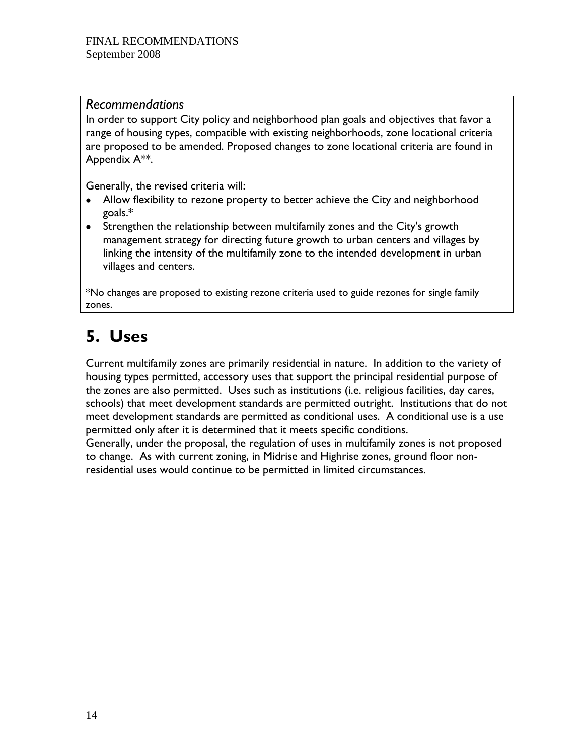## *Recommendations*

In order to support City policy and neighborhood plan goals and objectives that favor a range of housing types, compatible with existing neighborhoods, zone locational criteria are proposed to be amended. Proposed changes to zone locational criteria are found in Appendix A\*\*.

Generally, the revised criteria will:

- Allow flexibility to rezone property to better achieve the City and neighborhood goals.\*
- Strengthen the relationship between multifamily zones and the City's growth management strategy for directing future growth to urban centers and villages by linking the intensity of the multifamily zone to the intended development in urban villages and centers.

\*No changes are proposed to existing rezone criteria used to guide rezones for single family zones.

# **5. Uses**

Current multifamily zones are primarily residential in nature. In addition to the variety of housing types permitted, accessory uses that support the principal residential purpose of the zones are also permitted. Uses such as institutions (i.e. religious facilities, day cares, schools) that meet development standards are permitted outright. Institutions that do not meet development standards are permitted as conditional uses. A conditional use is a use permitted only after it is determined that it meets specific conditions.

Generally, under the proposal, the regulation of uses in multifamily zones is not proposed to change. As with current zoning, in Midrise and Highrise zones, ground floor nonresidential uses would continue to be permitted in limited circumstances.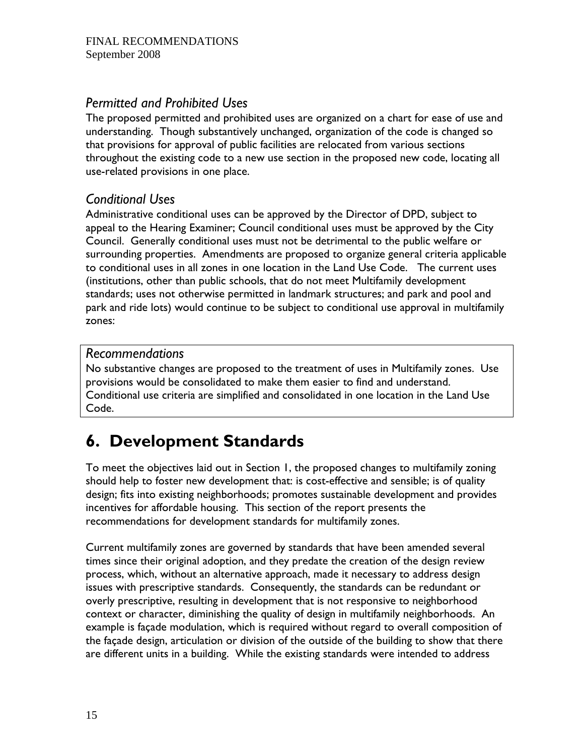## *Permitted and Prohibited Uses*

The proposed permitted and prohibited uses are organized on a chart for ease of use and understanding. Though substantively unchanged, organization of the code is changed so that provisions for approval of public facilities are relocated from various sections throughout the existing code to a new use section in the proposed new code, locating all use-related provisions in one place.

## *Conditional Uses*

Administrative conditional uses can be approved by the Director of DPD, subject to appeal to the Hearing Examiner; Council conditional uses must be approved by the City Council. Generally conditional uses must not be detrimental to the public welfare or surrounding properties. Amendments are proposed to organize general criteria applicable to conditional uses in all zones in one location in the Land Use Code. The current uses (institutions, other than public schools, that do not meet Multifamily development standards; uses not otherwise permitted in landmark structures; and park and pool and park and ride lots) would continue to be subject to conditional use approval in multifamily zones:

## *Recommendations*

No substantive changes are proposed to the treatment of uses in Multifamily zones. Use provisions would be consolidated to make them easier to find and understand. Conditional use criteria are simplified and consolidated in one location in the Land Use Code.

# **6. Development Standards**

To meet the objectives laid out in Section 1, the proposed changes to multifamily zoning should help to foster new development that: is cost-effective and sensible; is of quality design; fits into existing neighborhoods; promotes sustainable development and provides incentives for affordable housing. This section of the report presents the recommendations for development standards for multifamily zones.

Current multifamily zones are governed by standards that have been amended several times since their original adoption, and they predate the creation of the design review process, which, without an alternative approach, made it necessary to address design issues with prescriptive standards. Consequently, the standards can be redundant or overly prescriptive, resulting in development that is not responsive to neighborhood context or character, diminishing the quality of design in multifamily neighborhoods. An example is façade modulation, which is required without regard to overall composition of the façade design, articulation or division of the outside of the building to show that there are different units in a building. While the existing standards were intended to address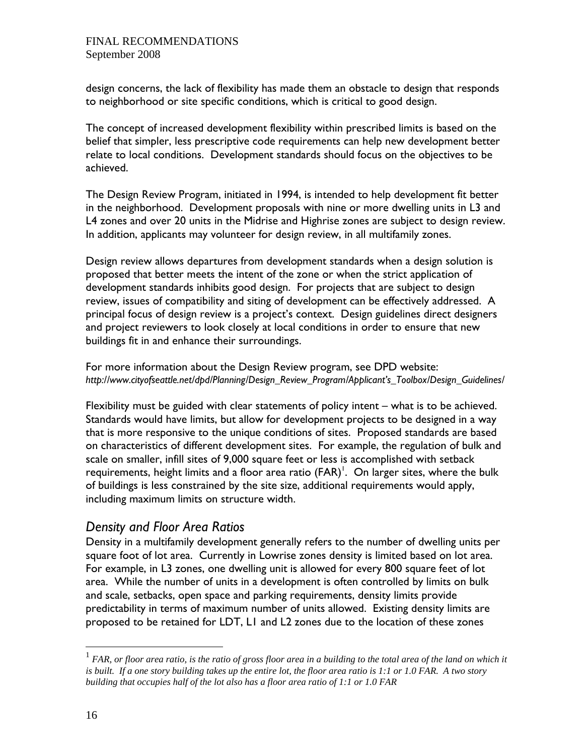design concerns, the lack of flexibility has made them an obstacle to design that responds to neighborhood or site specific conditions, which is critical to good design.

The concept of increased development flexibility within prescribed limits is based on the belief that simpler, less prescriptive code requirements can help new development better relate to local conditions. Development standards should focus on the objectives to be achieved.

The Design Review Program, initiated in 1994, is intended to help development fit better in the neighborhood. Development proposals with nine or more dwelling units in L3 and L4 zones and over 20 units in the Midrise and Highrise zones are subject to design review. In addition, applicants may volunteer for design review, in all multifamily zones.

Design review allows departures from development standards when a design solution is proposed that better meets the intent of the zone or when the strict application of development standards inhibits good design. For projects that are subject to design review, issues of compatibility and siting of development can be effectively addressed. A principal focus of design review is a project's context. Design guidelines direct designers and project reviewers to look closely at local conditions in order to ensure that new buildings fit in and enhance their surroundings.

For more information about the Design Review program, see DPD website: *http://www.cityofseattle.net/dpd/Planning/Design\_Review\_Program/Applicant's\_Toolbox/Design\_Guidelines/*

Flexibility must be guided with clear statements of policy intent – what is to be achieved. Standards would have limits, but allow for development projects to be designed in a way that is more responsive to the unique conditions of sites. Proposed standards are based on characteristics of different development sites. For example, the regulation of bulk and scale on smaller, infill sites of 9,000 square feet or less is accomplished with setback requirements, height limits and a floor area ratio ( $FAR$ )<sup>1</sup>. On larger sites, where the bulk of buildings is less constrained by the site size, additional requirements would apply, including maximum limits on structure width.

## *Density and Floor Area Ratios*

Density in a multifamily development generally refers to the number of dwelling units per square foot of lot area. Currently in Lowrise zones density is limited based on lot area. For example, in L3 zones, one dwelling unit is allowed for every 800 square feet of lot area. While the number of units in a development is often controlled by limits on bulk and scale, setbacks, open space and parking requirements, density limits provide predictability in terms of maximum number of units allowed. Existing density limits are proposed to be retained for LDT, L1 and L2 zones due to the location of these zones

 $\overline{a}$ 

 $^1$  FAR, or floor area ratio, is the ratio of gross floor area in a building to the total area of the land on which it *is built. If a one story building takes up the entire lot, the floor area ratio is 1:1 or 1.0 FAR. A two story building that occupies half of the lot also has a floor area ratio of 1:1 or 1.0 FAR*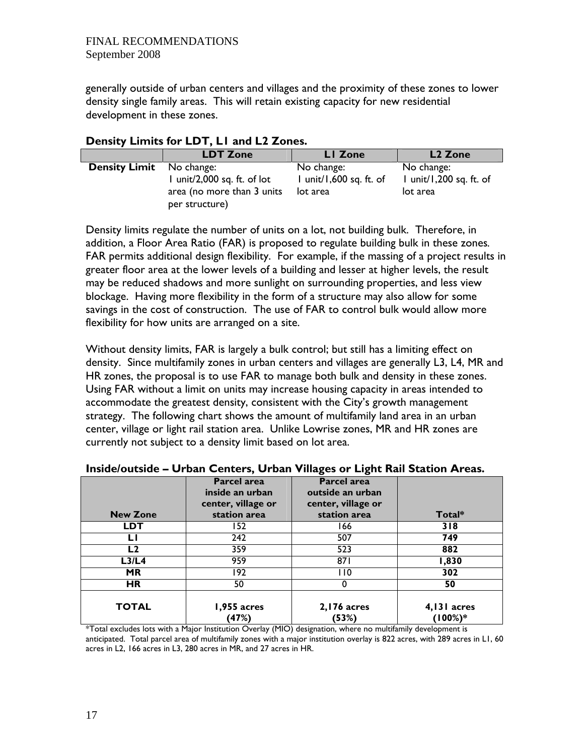generally outside of urban centers and villages and the proximity of these zones to lower density single family areas. This will retain existing capacity for new residential development in these zones.

|                                 | <b>LDT Zone</b>             | LI Zone                 | L <sub>2</sub> Zone     |
|---------------------------------|-----------------------------|-------------------------|-------------------------|
| <b>Density Limit</b> No change: | I unit/2,000 sq. ft. of lot | No change:              | No change:              |
|                                 | area (no more than 3 units  | I unit/1,600 sq. ft. of | I unit/1,200 sq. ft. of |
|                                 | per structure)              | lot area                | lot area                |

### **Density Limits for LDT, L1 and L2 Zones.**

Density limits regulate the number of units on a lot, not building bulk. Therefore, in addition, a Floor Area Ratio (FAR) is proposed to regulate building bulk in these zones*.*  FAR permits additional design flexibility. For example, if the massing of a project results in greater floor area at the lower levels of a building and lesser at higher levels, the result may be reduced shadows and more sunlight on surrounding properties, and less view blockage. Having more flexibility in the form of a structure may also allow for some savings in the cost of construction. The use of FAR to control bulk would allow more flexibility for how units are arranged on a site.

Without density limits, FAR is largely a bulk control; but still has a limiting effect on density. Since multifamily zones in urban centers and villages are generally L3, L4, MR and HR zones, the proposal is to use FAR to manage both bulk and density in these zones. Using FAR without a limit on units may increase housing capacity in areas intended to accommodate the greatest density, consistent with the City's growth management strategy. The following chart shows the amount of multifamily land area in an urban center, village or light rail station area. Unlike Lowrise zones, MR and HR zones are currently not subject to a density limit based on lot area.

|                                | Parcel area<br>inside an urban<br>center, village or | Parcel area<br>outside an urban<br>center, village or |                        |
|--------------------------------|------------------------------------------------------|-------------------------------------------------------|------------------------|
| <b>New Zone</b>                | station area                                         | station area                                          | Total*                 |
| <b>LDT</b>                     | 152                                                  | 166                                                   | 318                    |
|                                | 242                                                  | 507                                                   | 749                    |
| L2                             | 359                                                  | 523                                                   | 882                    |
| L <sub>3</sub> /L <sub>4</sub> | 959                                                  | 871                                                   | 1,830                  |
| <b>MR</b>                      | 192                                                  | l 10                                                  | 302                    |
| <b>HR</b>                      | 50                                                   | 0                                                     | 50                     |
| <b>TOTAL</b>                   | 1,955 acres<br>(47%)                                 | $2,176$ acres<br>(53%)                                | 4,131 acres<br>(100%)* |

#### **Inside/outside – Urban Centers, Urban Villages or Light Rail Station Areas.**

\*Total excludes lots with a Major Institution Overlay (MIO) designation, where no multifamily development is anticipated. Total parcel area of multifamily zones with a major institution overlay is 822 acres, with 289 acres in L1, 60 acres in L2, 166 acres in L3, 280 acres in MR, and 27 acres in HR.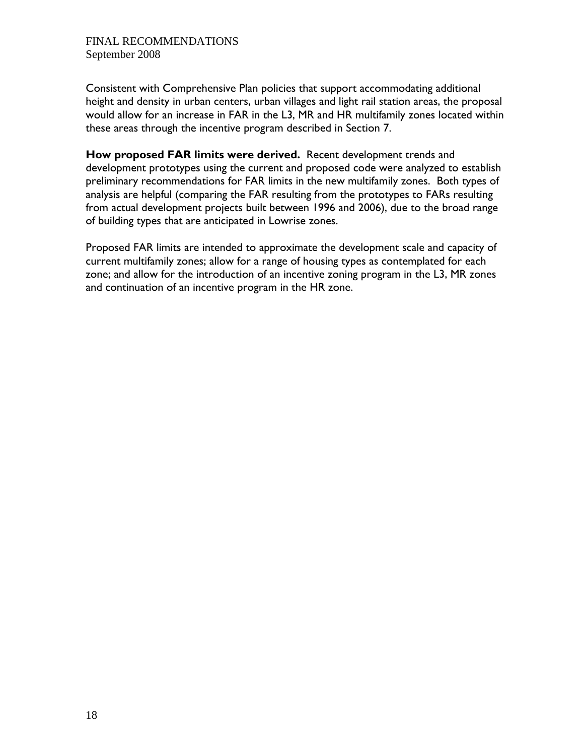Consistent with Comprehensive Plan policies that support accommodating additional height and density in urban centers, urban villages and light rail station areas, the proposal would allow for an increase in FAR in the L3, MR and HR multifamily zones located within these areas through the incentive program described in Section 7.

**How proposed FAR limits were derived.** Recent development trends and development prototypes using the current and proposed code were analyzed to establish preliminary recommendations for FAR limits in the new multifamily zones. Both types of analysis are helpful (comparing the FAR resulting from the prototypes to FARs resulting from actual development projects built between 1996 and 2006), due to the broad range of building types that are anticipated in Lowrise zones.

Proposed FAR limits are intended to approximate the development scale and capacity of current multifamily zones; allow for a range of housing types as contemplated for each zone; and allow for the introduction of an incentive zoning program in the L3, MR zones and continuation of an incentive program in the HR zone.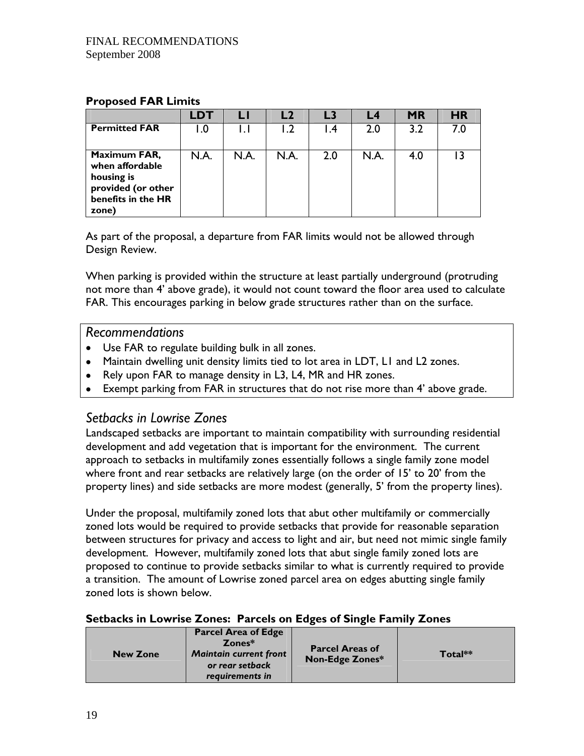#### **Proposed FAR Limits**

|                                                                                                    | LDT  |      |      |     | L4   | <b>MR</b> | <b>HR</b> |
|----------------------------------------------------------------------------------------------------|------|------|------|-----|------|-----------|-----------|
| <b>Permitted FAR</b>                                                                               | I .O | L.I  |      | ∣.4 | 2.0  | 3.2       | 7.0       |
| Maximum FAR,<br>when affordable<br>housing is<br>provided (or other<br>benefits in the HR<br>zone) | N.A. | N.A. | N.A. | 2.0 | N.A. | 4.0       |           |

As part of the proposal, a departure from FAR limits would not be allowed through Design Review.

When parking is provided within the structure at least partially underground (protruding not more than 4' above grade), it would not count toward the floor area used to calculate FAR. This encourages parking in below grade structures rather than on the surface.

#### *Recommendations*

- Use FAR to regulate building bulk in all zones.
- Maintain dwelling unit density limits tied to lot area in LDT, L1 and L2 zones.
- Rely upon FAR to manage density in L3, L4, MR and HR zones.
- Exempt parking from FAR in structures that do not rise more than 4' above grade.

## *Setbacks in Lowrise Zones*

Landscaped setbacks are important to maintain compatibility with surrounding residential development and add vegetation that is important for the environment. The current approach to setbacks in multifamily zones essentially follows a single family zone model where front and rear setbacks are relatively large (on the order of 15' to 20' from the property lines) and side setbacks are more modest (generally, 5' from the property lines).

Under the proposal, multifamily zoned lots that abut other multifamily or commercially zoned lots would be required to provide setbacks that provide for reasonable separation between structures for privacy and access to light and air, but need not mimic single family development. However, multifamily zoned lots that abut single family zoned lots are proposed to continue to provide setbacks similar to what is currently required to provide a transition. The amount of Lowrise zoned parcel area on edges abutting single family zoned lots is shown below.

#### **Setbacks in Lowrise Zones: Parcels on Edges of Single Family Zones**

| <b>New Zone</b> | <b>Parcel Area of Edge</b><br>Zones*<br><b>Maintain current front</b><br>or rear setback<br>requirements in | <b>Parcel Areas of</b><br><b>Non-Edge Zones*</b> | Total** |
|-----------------|-------------------------------------------------------------------------------------------------------------|--------------------------------------------------|---------|
|-----------------|-------------------------------------------------------------------------------------------------------------|--------------------------------------------------|---------|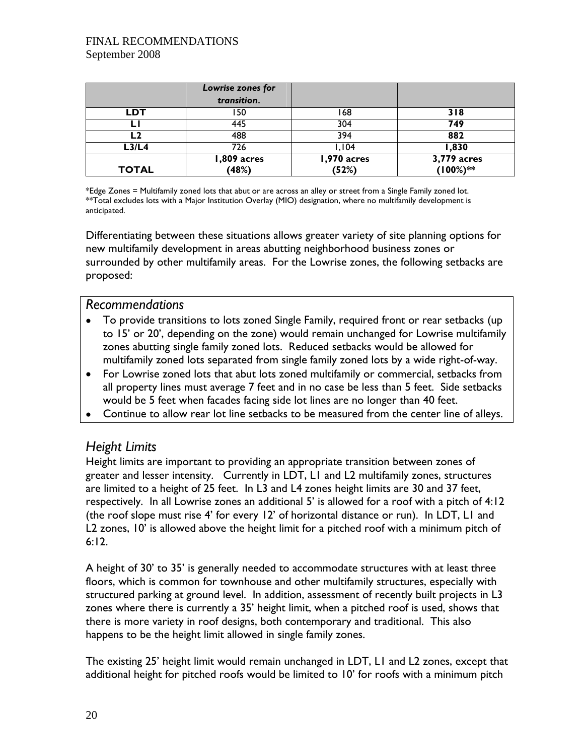|              | Lowrise zones for<br>transition. |                      |                         |
|--------------|----------------------------------|----------------------|-------------------------|
| <b>LDT</b>   | l 50                             | 168                  | 318                     |
|              | 445                              | 304                  | 749                     |
| ∟2           | 488                              | 394                  | 882                     |
| L3/L4        | 726                              | ,104                 | 1,830                   |
| <b>TOTAL</b> | 1,809 acres<br>(48%)             | 1,970 acres<br>(52%) | 3,779 acres<br>(100%)** |

\*Edge Zones = Multifamily zoned lots that abut or are across an alley or street from a Single Family zoned lot. \*\*Total excludes lots with a Major Institution Overlay (MIO) designation, where no multifamily development is anticipated.

Differentiating between these situations allows greater variety of site planning options for new multifamily development in areas abutting neighborhood business zones or surrounded by other multifamily areas. For the Lowrise zones, the following setbacks are proposed:

### *Recommendations*

- To provide transitions to lots zoned Single Family, required front or rear setbacks (up to 15' or 20', depending on the zone) would remain unchanged for Lowrise multifamily zones abutting single family zoned lots. Reduced setbacks would be allowed for multifamily zoned lots separated from single family zoned lots by a wide right-of-way.
- For Lowrise zoned lots that abut lots zoned multifamily or commercial, setbacks from all property lines must average 7 feet and in no case be less than 5 feet. Side setbacks would be 5 feet when facades facing side lot lines are no longer than 40 feet.
- Continue to allow rear lot line setbacks to be measured from the center line of alleys.

## *Height Limits*

Height limits are important to providing an appropriate transition between zones of greater and lesser intensity. Currently in LDT, L1 and L2 multifamily zones, structures are limited to a height of 25 feet. In L3 and L4 zones height limits are 30 and 37 feet, respectively. In all Lowrise zones an additional 5' is allowed for a roof with a pitch of 4:12 (the roof slope must rise 4' for every 12' of horizontal distance or run). In LDT, L1 and L2 zones, 10' is allowed above the height limit for a pitched roof with a minimum pitch of 6:12.

A height of 30' to 35' is generally needed to accommodate structures with at least three floors, which is common for townhouse and other multifamily structures, especially with structured parking at ground level. In addition, assessment of recently built projects in L3 zones where there is currently a 35' height limit, when a pitched roof is used, shows that there is more variety in roof designs, both contemporary and traditional. This also happens to be the height limit allowed in single family zones.

The existing 25' height limit would remain unchanged in LDT, L1 and L2 zones, except that additional height for pitched roofs would be limited to 10' for roofs with a minimum pitch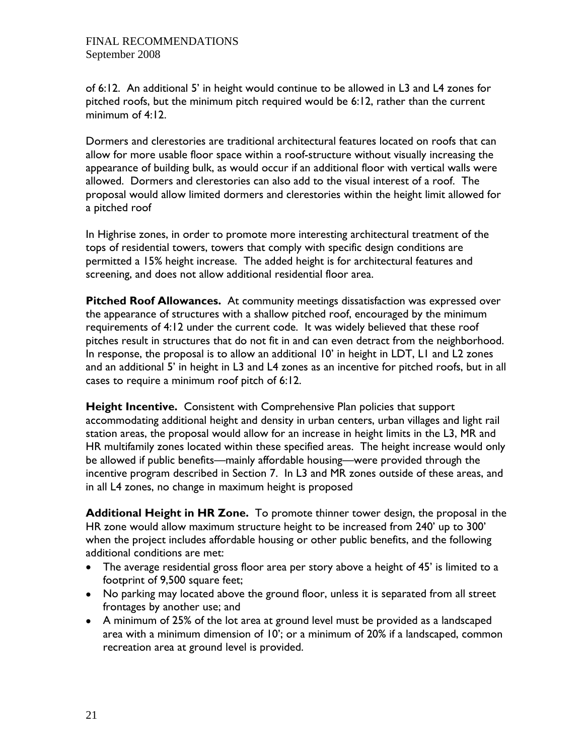of 6:12. An additional 5' in height would continue to be allowed in L3 and L4 zones for pitched roofs, but the minimum pitch required would be 6:12, rather than the current minimum of 4:12.

Dormers and clerestories are traditional architectural features located on roofs that can allow for more usable floor space within a roof-structure without visually increasing the appearance of building bulk, as would occur if an additional floor with vertical walls were allowed. Dormers and clerestories can also add to the visual interest of a roof. The proposal would allow limited dormers and clerestories within the height limit allowed for a pitched roof

In Highrise zones, in order to promote more interesting architectural treatment of the tops of residential towers, towers that comply with specific design conditions are permitted a 15% height increase. The added height is for architectural features and screening, and does not allow additional residential floor area.

**Pitched Roof Allowances.** At community meetings dissatisfaction was expressed over the appearance of structures with a shallow pitched roof, encouraged by the minimum requirements of 4:12 under the current code. It was widely believed that these roof pitches result in structures that do not fit in and can even detract from the neighborhood. In response, the proposal is to allow an additional 10' in height in LDT, L1 and L2 zones and an additional 5' in height in L3 and L4 zones as an incentive for pitched roofs, but in all cases to require a minimum roof pitch of 6:12.

**Height Incentive.** Consistent with Comprehensive Plan policies that support accommodating additional height and density in urban centers, urban villages and light rail station areas, the proposal would allow for an increase in height limits in the L3, MR and HR multifamily zones located within these specified areas. The height increase would only be allowed if public benefits—mainly affordable housing—were provided through the incentive program described in Section 7. In L3 and MR zones outside of these areas, and in all L4 zones, no change in maximum height is proposed

**Additional Height in HR Zone.** To promote thinner tower design, the proposal in the HR zone would allow maximum structure height to be increased from 240' up to 300' when the project includes affordable housing or other public benefits, and the following additional conditions are met:

- The average residential gross floor area per story above a height of 45' is limited to a footprint of 9,500 square feet;
- No parking may located above the ground floor, unless it is separated from all street frontages by another use; and
- A minimum of 25% of the lot area at ground level must be provided as a landscaped area with a minimum dimension of 10'; or a minimum of 20% if a landscaped, common recreation area at ground level is provided.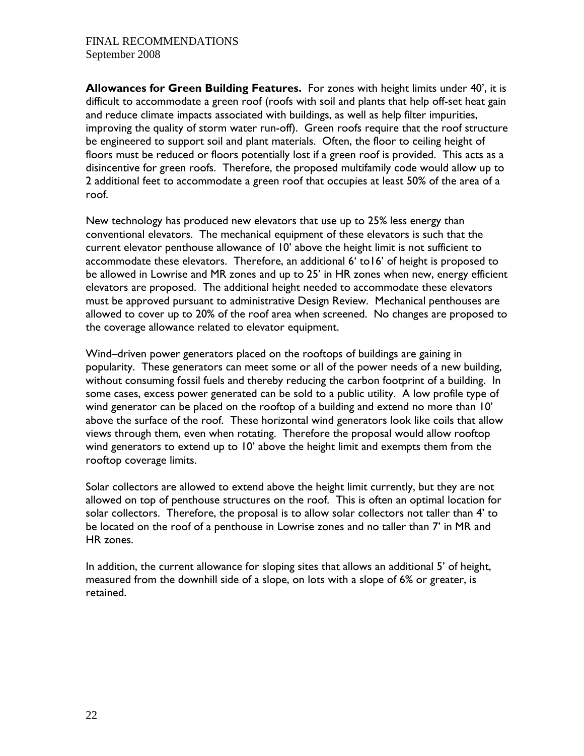**Allowances for Green Building Features.** For zones with height limits under 40', it is difficult to accommodate a green roof (roofs with soil and plants that help off-set heat gain and reduce climate impacts associated with buildings, as well as help filter impurities, improving the quality of storm water run-off). Green roofs require that the roof structure be engineered to support soil and plant materials. Often, the floor to ceiling height of floors must be reduced or floors potentially lost if a green roof is provided. This acts as a disincentive for green roofs. Therefore, the proposed multifamily code would allow up to 2 additional feet to accommodate a green roof that occupies at least 50% of the area of a roof.

New technology has produced new elevators that use up to 25% less energy than conventional elevators. The mechanical equipment of these elevators is such that the current elevator penthouse allowance of 10' above the height limit is not sufficient to accommodate these elevators. Therefore, an additional 6' to16' of height is proposed to be allowed in Lowrise and MR zones and up to 25' in HR zones when new, energy efficient elevators are proposed. The additional height needed to accommodate these elevators must be approved pursuant to administrative Design Review. Mechanical penthouses are allowed to cover up to 20% of the roof area when screened. No changes are proposed to the coverage allowance related to elevator equipment.

Wind–driven power generators placed on the rooftops of buildings are gaining in popularity. These generators can meet some or all of the power needs of a new building, without consuming fossil fuels and thereby reducing the carbon footprint of a building. In some cases, excess power generated can be sold to a public utility. A low profile type of wind generator can be placed on the rooftop of a building and extend no more than 10' above the surface of the roof. These horizontal wind generators look like coils that allow views through them, even when rotating. Therefore the proposal would allow rooftop wind generators to extend up to 10' above the height limit and exempts them from the rooftop coverage limits.

Solar collectors are allowed to extend above the height limit currently, but they are not allowed on top of penthouse structures on the roof. This is often an optimal location for solar collectors. Therefore, the proposal is to allow solar collectors not taller than 4' to be located on the roof of a penthouse in Lowrise zones and no taller than 7' in MR and HR zones.

In addition, the current allowance for sloping sites that allows an additional 5' of height, measured from the downhill side of a slope, on lots with a slope of 6% or greater, is retained.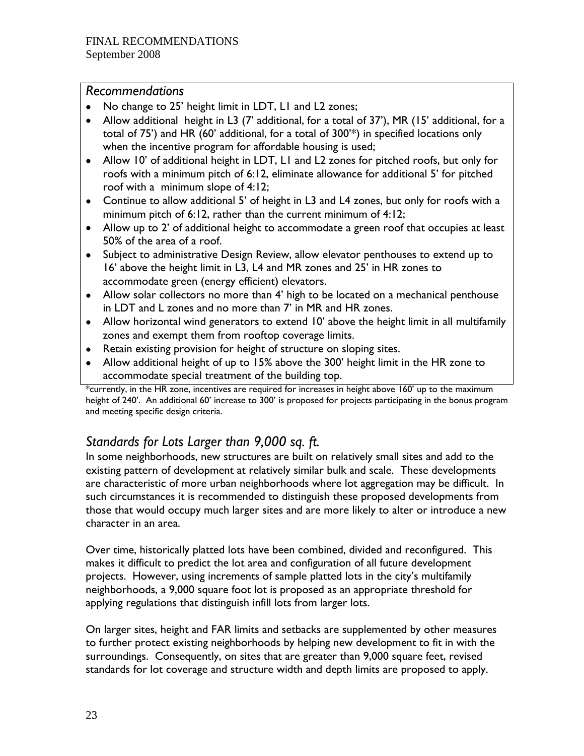## *Recommendations*

- No change to 25' height limit in LDT, L1 and L2 zones;
- Allow additional height in L3 (7' additional, for a total of 37'), MR (15' additional, for a total of 75') and HR (60' additional, for a total of 300'\*) in specified locations only when the incentive program for affordable housing is used;
- Allow 10' of additional height in LDT, L1 and L2 zones for pitched roofs, but only for roofs with a minimum pitch of 6:12, eliminate allowance for additional 5' for pitched roof with a minimum slope of 4:12;
- Continue to allow additional 5' of height in L3 and L4 zones, but only for roofs with a minimum pitch of 6:12, rather than the current minimum of 4:12;
- Allow up to 2' of additional height to accommodate a green roof that occupies at least 50% of the area of a roof.
- Subject to administrative Design Review, allow elevator penthouses to extend up to 16' above the height limit in L3, L4 and MR zones and 25' in HR zones to accommodate green (energy efficient) elevators.
- Allow solar collectors no more than 4' high to be located on a mechanical penthouse in LDT and L zones and no more than 7' in MR and HR zones.
- Allow horizontal wind generators to extend 10' above the height limit in all multifamily zones and exempt them from rooftop coverage limits.
- Retain existing provision for height of structure on sloping sites.
- Allow additional height of up to 15% above the 300' height limit in the HR zone to accommodate special treatment of the building top.

\*currently, in the HR zone, incentives are required for increases in height above 160' up to the maximum height of 240'. An additional 60' increase to 300' is proposed for projects participating in the bonus program and meeting specific design criteria.

## *Standards for Lots Larger than 9,000 sq. ft.*

In some neighborhoods, new structures are built on relatively small sites and add to the existing pattern of development at relatively similar bulk and scale. These developments are characteristic of more urban neighborhoods where lot aggregation may be difficult. In such circumstances it is recommended to distinguish these proposed developments from those that would occupy much larger sites and are more likely to alter or introduce a new character in an area.

Over time, historically platted lots have been combined, divided and reconfigured. This makes it difficult to predict the lot area and configuration of all future development projects. However, using increments of sample platted lots in the city's multifamily neighborhoods, a 9,000 square foot lot is proposed as an appropriate threshold for applying regulations that distinguish infill lots from larger lots.

On larger sites, height and FAR limits and setbacks are supplemented by other measures to further protect existing neighborhoods by helping new development to fit in with the surroundings. Consequently, on sites that are greater than 9,000 square feet, revised standards for lot coverage and structure width and depth limits are proposed to apply.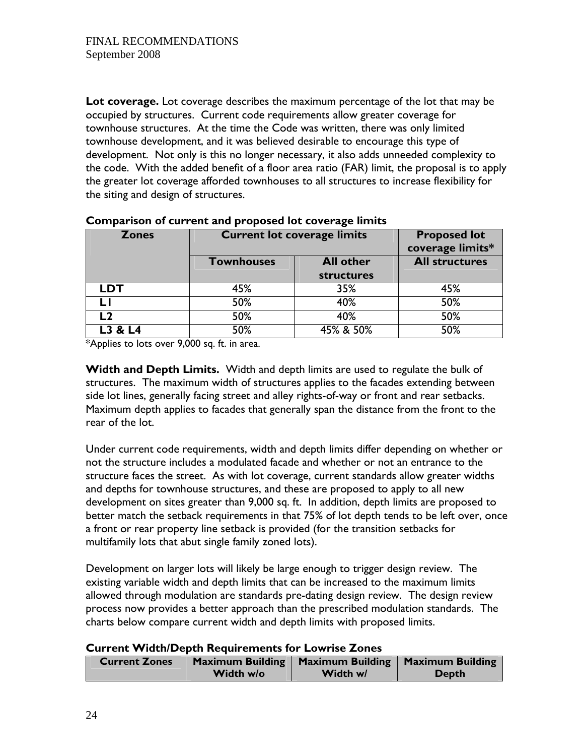**Lot coverage.** Lot coverage describes the maximum percentage of the lot that may be occupied by structures. Current code requirements allow greater coverage for townhouse structures. At the time the Code was written, there was only limited townhouse development, and it was believed desirable to encourage this type of development. Not only is this no longer necessary, it also adds unneeded complexity to the code. With the added benefit of a floor area ratio (FAR) limit, the proposal is to apply the greater lot coverage afforded townhouses to all structures to increase flexibility for the siting and design of structures.

| <b>Current lot coverage limits</b><br><b>Zones</b> |                   |                  | <b>Proposed lot</b><br>coverage limits* |
|----------------------------------------------------|-------------------|------------------|-----------------------------------------|
|                                                    | <b>Townhouses</b> | <b>All other</b> |                                         |
|                                                    |                   | structures       |                                         |
| <b>LDT</b>                                         | 45%               | 35%              | 45%                                     |
|                                                    | 50%               | 40%              | 50%                                     |
| l 2                                                | 50%               | 40%              | 50%                                     |
|                                                    | 50%               | 45% & 50%        | 50%                                     |

#### **Comparison of current and proposed lot coverage limits**

\*Applies to lots over 9,000 sq. ft. in area.

**Width and Depth Limits.** Width and depth limits are used to regulate the bulk of structures. The maximum width of structures applies to the facades extending between side lot lines, generally facing street and alley rights-of-way or front and rear setbacks. Maximum depth applies to facades that generally span the distance from the front to the rear of the lot.

Under current code requirements, width and depth limits differ depending on whether or not the structure includes a modulated facade and whether or not an entrance to the structure faces the street. As with lot coverage, current standards allow greater widths and depths for townhouse structures, and these are proposed to apply to all new development on sites greater than 9,000 sq. ft. In addition, depth limits are proposed to better match the setback requirements in that 75% of lot depth tends to be left over, once a front or rear property line setback is provided (for the transition setbacks for multifamily lots that abut single family zoned lots).

Development on larger lots will likely be large enough to trigger design review. The existing variable width and depth limits that can be increased to the maximum limits allowed through modulation are standards pre-dating design review. The design review process now provides a better approach than the prescribed modulation standards. The charts below compare current width and depth limits with proposed limits.

#### **Current Width/Depth Requirements for Lowrise Zones**

| <b>Current Zones</b> |           | Maximum Building   Maximum Building   Maximum Building |              |
|----------------------|-----------|--------------------------------------------------------|--------------|
|                      | Width w/o | Width w/                                               | <b>Depth</b> |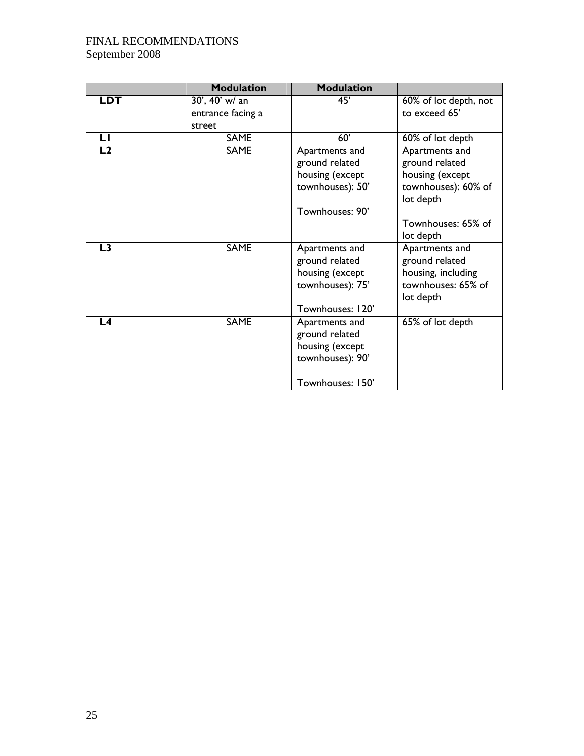|                | <b>Modulation</b> | <b>Modulation</b>                                                                           |                                                                                           |
|----------------|-------------------|---------------------------------------------------------------------------------------------|-------------------------------------------------------------------------------------------|
| <b>LDT</b>     | 30', 40' w/ an    | 45'                                                                                         | 60% of lot depth, not                                                                     |
|                | entrance facing a |                                                                                             | to exceed 65'                                                                             |
|                | street            |                                                                                             |                                                                                           |
| LI             | <b>SAME</b>       | 60'                                                                                         | 60% of lot depth                                                                          |
| L2             | <b>SAME</b>       | Apartments and<br>ground related<br>housing (except<br>townhouses): 50'                     | Apartments and<br>ground related<br>housing (except<br>townhouses): 60% of                |
|                |                   | Townhouses: 90'                                                                             | lot depth<br>Townhouses: 65% of<br>lot depth                                              |
| L <sub>3</sub> | <b>SAME</b>       | Apartments and<br>ground related<br>housing (except<br>townhouses): 75'<br>Townhouses: 120' | Apartments and<br>ground related<br>housing, including<br>townhouses: 65% of<br>lot depth |
| L <sub>4</sub> | <b>SAME</b>       | Apartments and<br>ground related<br>housing (except<br>townhouses): 90'<br>Townhouses: 150' | 65% of lot depth                                                                          |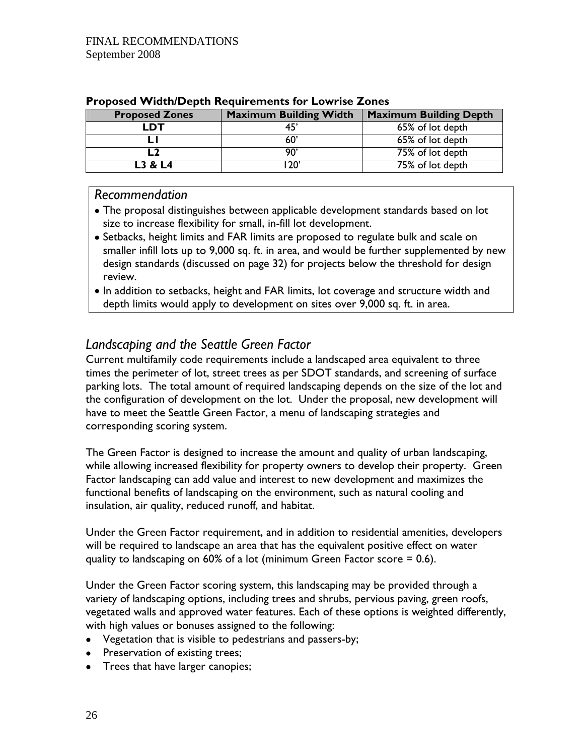| <b>Proposed Zones</b> | <b>Maximum Building Width</b> | <b>Maximum Building Depth</b> |
|-----------------------|-------------------------------|-------------------------------|
| דח                    |                               | 65% of lot depth              |
|                       |                               | 65% of lot depth              |
|                       | `ח                            | 75% of lot depth              |
| L3 & L4               | מרו                           | 75% of lot depth              |

#### **Proposed Width/Depth Requirements for Lowrise Zones**

#### *Recommendation*

- The proposal distinguishes between applicable development standards based on lot size to increase flexibility for small, in-fill lot development.
- Setbacks, height limits and FAR limits are proposed to regulate bulk and scale on smaller infill lots up to 9,000 sq. ft. in area, and would be further supplemented by new design standards (discussed on page 32) for projects below the threshold for design review.
- In addition to setbacks, height and FAR limits, lot coverage and structure width and depth limits would apply to development on sites over 9,000 sq. ft. in area.

## *Landscaping and the Seattle Green Factor*

Current multifamily code requirements include a landscaped area equivalent to three times the perimeter of lot, street trees as per SDOT standards, and screening of surface parking lots. The total amount of required landscaping depends on the size of the lot and the configuration of development on the lot. Under the proposal, new development will have to meet the Seattle Green Factor, a menu of landscaping strategies and corresponding scoring system.

The Green Factor is designed to increase the amount and quality of urban landscaping, while allowing increased flexibility for property owners to develop their property. Green Factor landscaping can add value and interest to new development and maximizes the functional benefits of landscaping on the environment, such as natural cooling and insulation, air quality, reduced runoff, and habitat.

Under the Green Factor requirement, and in addition to residential amenities, developers will be required to landscape an area that has the equivalent positive effect on water quality to landscaping on 60% of a lot (minimum Green Factor score  $= 0.6$ ).

Under the Green Factor scoring system, this landscaping may be provided through a variety of landscaping options, including trees and shrubs, pervious paving, green roofs, vegetated walls and approved water features. Each of these options is weighted differently, with high values or bonuses assigned to the following:

- Vegetation that is visible to pedestrians and passers-by;
- Preservation of existing trees;
- Trees that have larger canopies;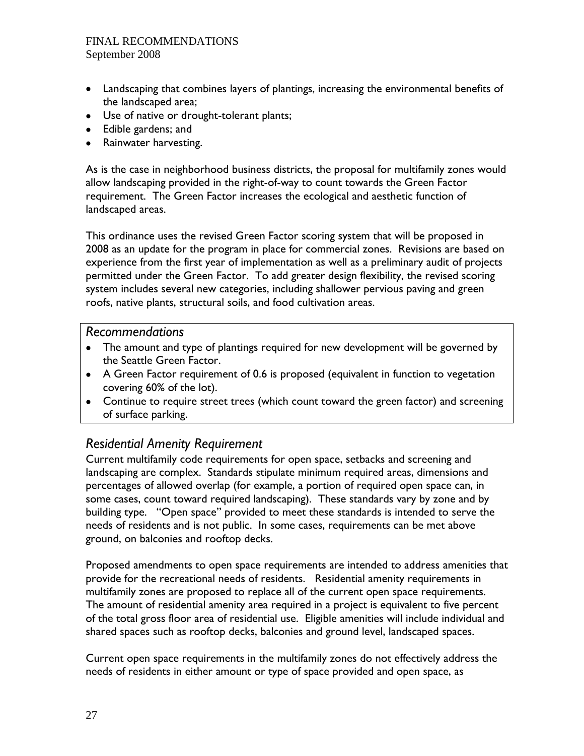- Landscaping that combines layers of plantings, increasing the environmental benefits of the landscaped area;
- Use of native or drought-tolerant plants;
- Edible gardens; and
- Rainwater harvesting.

As is the case in neighborhood business districts, the proposal for multifamily zones would allow landscaping provided in the right-of-way to count towards the Green Factor requirement. The Green Factor increases the ecological and aesthetic function of landscaped areas.

This ordinance uses the revised Green Factor scoring system that will be proposed in 2008 as an update for the program in place for commercial zones. Revisions are based on experience from the first year of implementation as well as a preliminary audit of projects permitted under the Green Factor. To add greater design flexibility, the revised scoring system includes several new categories, including shallower pervious paving and green roofs, native plants, structural soils, and food cultivation areas.

#### *Recommendations*

- The amount and type of plantings required for new development will be governed by the Seattle Green Factor.
- A Green Factor requirement of 0.6 is proposed (equivalent in function to vegetation covering 60% of the lot).
- Continue to require street trees (which count toward the green factor) and screening of surface parking.

## *Residential Amenity Requirement*

Current multifamily code requirements for open space, setbacks and screening and landscaping are complex. Standards stipulate minimum required areas, dimensions and percentages of allowed overlap (for example, a portion of required open space can, in some cases, count toward required landscaping). These standards vary by zone and by building type. "Open space" provided to meet these standards is intended to serve the needs of residents and is not public. In some cases, requirements can be met above ground, on balconies and rooftop decks.

Proposed amendments to open space requirements are intended to address amenities that provide for the recreational needs of residents. Residential amenity requirements in multifamily zones are proposed to replace all of the current open space requirements. The amount of residential amenity area required in a project is equivalent to five percent of the total gross floor area of residential use. Eligible amenities will include individual and shared spaces such as rooftop decks, balconies and ground level, landscaped spaces.

Current open space requirements in the multifamily zones do not effectively address the needs of residents in either amount or type of space provided and open space, as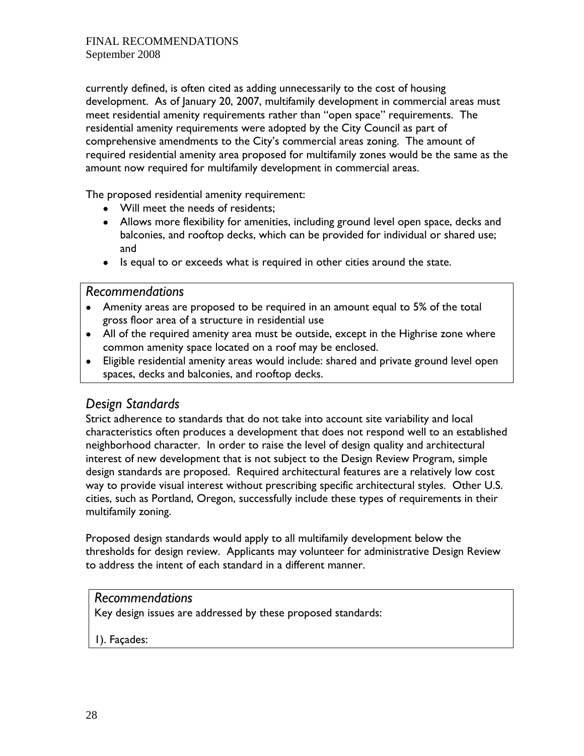currently defined, is often cited as adding unnecessarily to the cost of housing development. As of January 20, 2007, multifamily development in commercial areas must meet residential amenity requirements rather than "open space" requirements. The residential amenity requirements were adopted by the City Council as part of comprehensive amendments to the City's commercial areas zoning. The amount of required residential amenity area proposed for multifamily zones would be the same as the amount now required for multifamily development in commercial areas.

The proposed residential amenity requirement:

- Will meet the needs of residents;
- Allows more flexibility for amenities, including ground level open space, decks and balconies, and rooftop decks, which can be provided for individual or shared use; and
- Is equal to or exceeds what is required in other cities around the state.

#### *Recommendations*

- Amenity areas are proposed to be required in an amount equal to 5% of the total gross floor area of a structure in residential use
- All of the required amenity area must be outside, except in the Highrise zone where common amenity space located on a roof may be enclosed.
- Eligible residential amenity areas would include: shared and private ground level open spaces, decks and balconies, and rooftop decks.

## *Design Standards*

Strict adherence to standards that do not take into account site variability and local characteristics often produces a development that does not respond well to an established neighborhood character. In order to raise the level of design quality and architectural interest of new development that is not subject to the Design Review Program, simple design standards are proposed. Required architectural features are a relatively low cost way to provide visual interest without prescribing specific architectural styles. Other U.S. cities, such as Portland, Oregon, successfully include these types of requirements in their multifamily zoning.

Proposed design standards would apply to all multifamily development below the thresholds for design review. Applicants may volunteer for administrative Design Review to address the intent of each standard in a different manner.

#### *Recommendations*

Key design issues are addressed by these proposed standards:

1). Façades: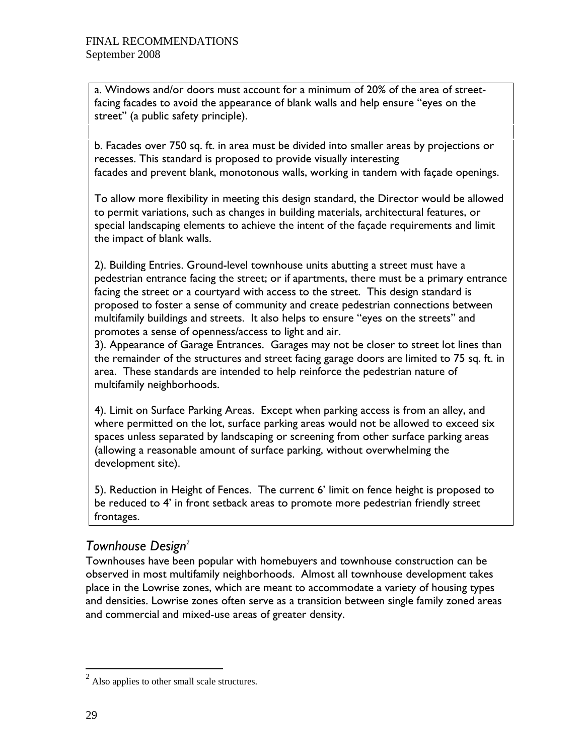a. Windows and/or doors must account for a minimum of 20% of the area of streetfacing facades to avoid the appearance of blank walls and help ensure "eyes on the street" (a public safety principle).

b. Facades over 750 sq. ft. in area must be divided into smaller areas by projections or recesses. This standard is proposed to provide visually interesting facades and prevent blank, monotonous walls, working in tandem with façade openings.

To allow more flexibility in meeting this design standard, the Director would be allowed to permit variations, such as changes in building materials, architectural features, or special landscaping elements to achieve the intent of the façade requirements and limit the impact of blank walls.

2). Building Entries. Ground-level townhouse units abutting a street must have a pedestrian entrance facing the street; or if apartments, there must be a primary entrance facing the street or a courtyard with access to the street. This design standard is proposed to foster a sense of community and create pedestrian connections between multifamily buildings and streets. It also helps to ensure "eyes on the streets" and promotes a sense of openness/access to light and air.

3). Appearance of Garage Entrances. Garages may not be closer to street lot lines than the remainder of the structures and street facing garage doors are limited to 75 sq. ft. in area. These standards are intended to help reinforce the pedestrian nature of multifamily neighborhoods.

4). Limit on Surface Parking Areas. Except when parking access is from an alley, and where permitted on the lot, surface parking areas would not be allowed to exceed six spaces unless separated by landscaping or screening from other surface parking areas (allowing a reasonable amount of surface parking, without overwhelming the development site).

5). Reduction in Height of Fences. The current 6' limit on fence height is proposed to be reduced to 4' in front setback areas to promote more pedestrian friendly street frontages.

## *Townhouse Design2*

Townhouses have been popular with homebuyers and townhouse construction can be observed in most multifamily neighborhoods. Almost all townhouse development takes place in the Lowrise zones, which are meant to accommodate a variety of housing types and densities. Lowrise zones often serve as a transition between single family zoned areas and commercial and mixed-use areas of greater density.

 $\overline{a}$ 

 $2$  Also applies to other small scale structures.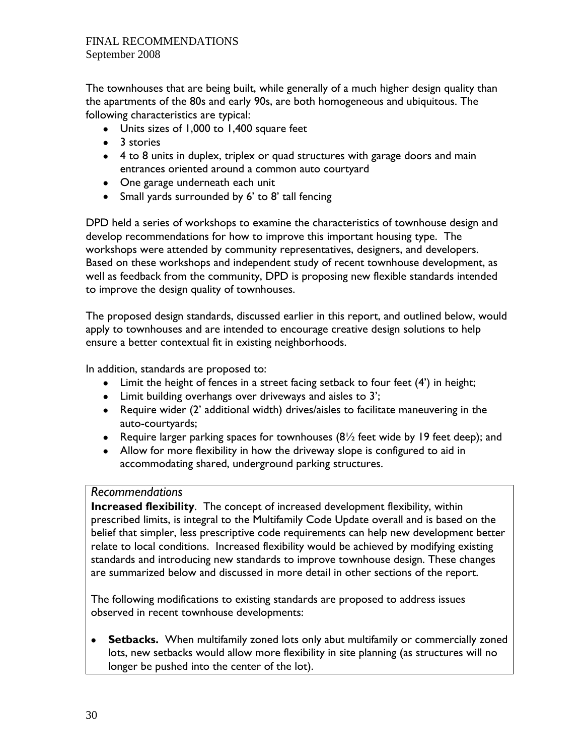The townhouses that are being built, while generally of a much higher design quality than the apartments of the 80s and early 90s, are both homogeneous and ubiquitous. The following characteristics are typical:

- Units sizes of 1,000 to 1,400 square feet
- 3 stories
- 4 to 8 units in duplex, triplex or quad structures with garage doors and main entrances oriented around a common auto courtyard
- One garage underneath each unit
- Small yards surrounded by 6' to 8' tall fencing

DPD held a series of workshops to examine the characteristics of townhouse design and develop recommendations for how to improve this important housing type. The workshops were attended by community representatives, designers, and developers. Based on these workshops and independent study of recent townhouse development, as well as feedback from the community, DPD is proposing new flexible standards intended to improve the design quality of townhouses.

The proposed design standards, discussed earlier in this report, and outlined below, would apply to townhouses and are intended to encourage creative design solutions to help ensure a better contextual fit in existing neighborhoods.

In addition, standards are proposed to:

- Limit the height of fences in a street facing setback to four feet (4') in height;
- Limit building overhangs over driveways and aisles to 3';
- Require wider (2' additional width) drives/aisles to facilitate maneuvering in the auto-courtyards;
- Require larger parking spaces for townhouses  $(8\frac{1}{2})$  feet wide by 19 feet deep); and
- Allow for more flexibility in how the driveway slope is configured to aid in accommodating shared, underground parking structures.

#### *Recommendations*

**Increased flexibility**. The concept of increased development flexibility, within prescribed limits, is integral to the Multifamily Code Update overall and is based on the belief that simpler, less prescriptive code requirements can help new development better relate to local conditions. Increased flexibility would be achieved by modifying existing standards and introducing new standards to improve townhouse design. These changes are summarized below and discussed in more detail in other sections of the report.

The following modifications to existing standards are proposed to address issues observed in recent townhouse developments:

• **Setbacks.** When multifamily zoned lots only abut multifamily or commercially zoned lots, new setbacks would allow more flexibility in site planning (as structures will no longer be pushed into the center of the lot).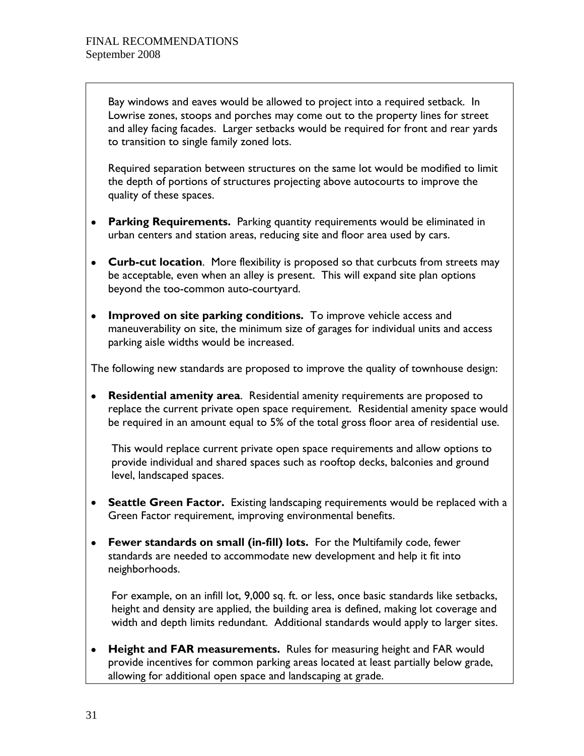Bay windows and eaves would be allowed to project into a required setback. In Lowrise zones, stoops and porches may come out to the property lines for street and alley facing facades. Larger setbacks would be required for front and rear yards to transition to single family zoned lots.

Required separation between structures on the same lot would be modified to limit the depth of portions of structures projecting above autocourts to improve the quality of these spaces.

- **Parking Requirements.** Parking quantity requirements would be eliminated in urban centers and station areas, reducing site and floor area used by cars.
- **Curb-cut location**. More flexibility is proposed so that curbcuts from streets may be acceptable, even when an alley is present. This will expand site plan options beyond the too-common auto-courtyard.
- **Improved on site parking conditions.** To improve vehicle access and maneuverability on site, the minimum size of garages for individual units and access parking aisle widths would be increased.

The following new standards are proposed to improve the quality of townhouse design:

• **Residential amenity area**. Residential amenity requirements are proposed to replace the current private open space requirement. Residential amenity space would be required in an amount equal to 5% of the total gross floor area of residential use.

This would replace current private open space requirements and allow options to provide individual and shared spaces such as rooftop decks, balconies and ground level, landscaped spaces.

- **Seattle Green Factor.** Existing landscaping requirements would be replaced with a Green Factor requirement, improving environmental benefits.
- **Fewer standards on small (in-fill) lots.** For the Multifamily code, fewer standards are needed to accommodate new development and help it fit into neighborhoods.

For example, on an infill lot, 9,000 sq. ft. or less, once basic standards like setbacks, height and density are applied, the building area is defined, making lot coverage and width and depth limits redundant. Additional standards would apply to larger sites.

• **Height and FAR measurements.** Rules for measuring height and FAR would provide incentives for common parking areas located at least partially below grade, allowing for additional open space and landscaping at grade.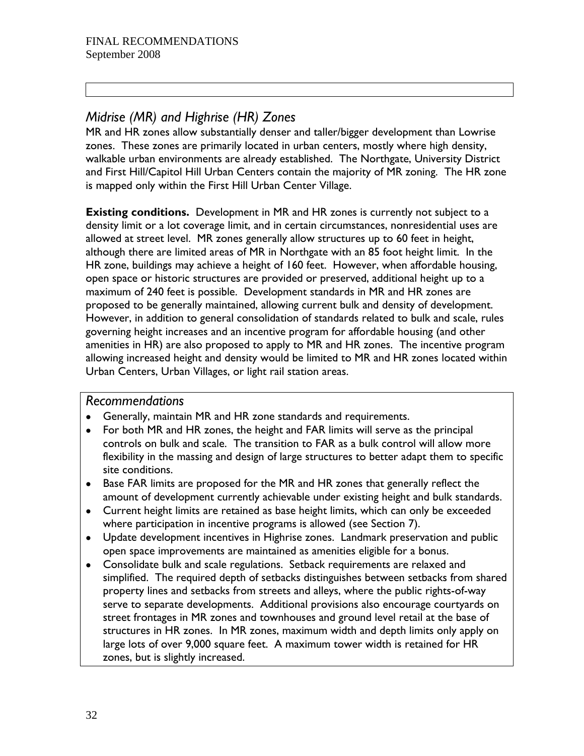## *Midrise (MR) and Highrise (HR) Zones*

MR and HR zones allow substantially denser and taller/bigger development than Lowrise zones. These zones are primarily located in urban centers, mostly where high density, walkable urban environments are already established. The Northgate, University District and First Hill/Capitol Hill Urban Centers contain the majority of MR zoning. The HR zone is mapped only within the First Hill Urban Center Village.

**Existing conditions.** Development in MR and HR zones is currently not subject to a density limit or a lot coverage limit, and in certain circumstances, nonresidential uses are allowed at street level. MR zones generally allow structures up to 60 feet in height, although there are limited areas of MR in Northgate with an 85 foot height limit. In the HR zone, buildings may achieve a height of 160 feet. However, when affordable housing, open space or historic structures are provided or preserved, additional height up to a maximum of 240 feet is possible. Development standards in MR and HR zones are proposed to be generally maintained, allowing current bulk and density of development. However, in addition to general consolidation of standards related to bulk and scale, rules governing height increases and an incentive program for affordable housing (and other amenities in HR) are also proposed to apply to MR and HR zones. The incentive program allowing increased height and density would be limited to MR and HR zones located within Urban Centers, Urban Villages, or light rail station areas.

#### *Recommendations*

- Generally, maintain MR and HR zone standards and requirements.
- For both MR and HR zones, the height and FAR limits will serve as the principal controls on bulk and scale. The transition to FAR as a bulk control will allow more flexibility in the massing and design of large structures to better adapt them to specific site conditions.
- Base FAR limits are proposed for the MR and HR zones that generally reflect the amount of development currently achievable under existing height and bulk standards.
- Current height limits are retained as base height limits, which can only be exceeded where participation in incentive programs is allowed (see Section 7).
- Update development incentives in Highrise zones. Landmark preservation and public open space improvements are maintained as amenities eligible for a bonus.
- Consolidate bulk and scale regulations. Setback requirements are relaxed and simplified. The required depth of setbacks distinguishes between setbacks from shared property lines and setbacks from streets and alleys, where the public rights-of-way serve to separate developments. Additional provisions also encourage courtyards on street frontages in MR zones and townhouses and ground level retail at the base of structures in HR zones. In MR zones, maximum width and depth limits only apply on large lots of over 9,000 square feet. A maximum tower width is retained for HR zones, but is slightly increased.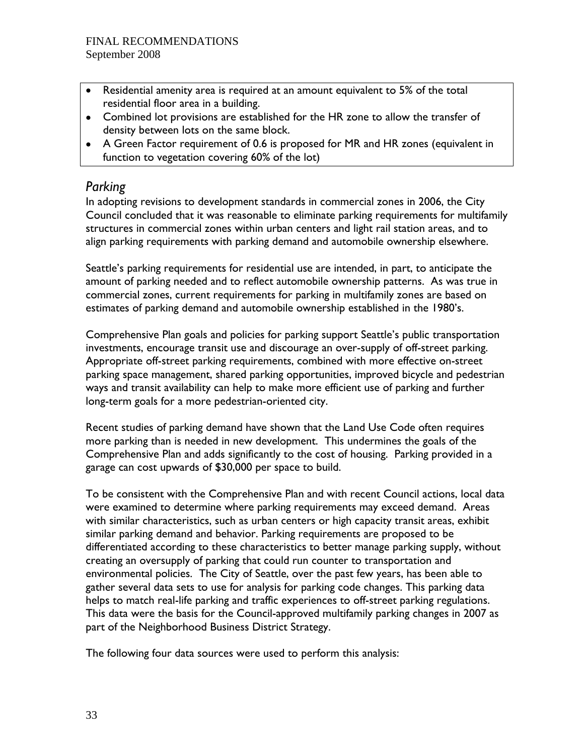- Residential amenity area is required at an amount equivalent to 5% of the total residential floor area in a building.
- Combined lot provisions are established for the HR zone to allow the transfer of density between lots on the same block.
- A Green Factor requirement of 0.6 is proposed for MR and HR zones (equivalent in function to vegetation covering 60% of the lot)

## *Parking*

In adopting revisions to development standards in commercial zones in 2006, the City Council concluded that it was reasonable to eliminate parking requirements for multifamily structures in commercial zones within urban centers and light rail station areas, and to align parking requirements with parking demand and automobile ownership elsewhere.

Seattle's parking requirements for residential use are intended, in part, to anticipate the amount of parking needed and to reflect automobile ownership patterns. As was true in commercial zones, current requirements for parking in multifamily zones are based on estimates of parking demand and automobile ownership established in the 1980's.

Comprehensive Plan goals and policies for parking support Seattle's public transportation investments, encourage transit use and discourage an over-supply of off-street parking. Appropriate off-street parking requirements, combined with more effective on-street parking space management, shared parking opportunities, improved bicycle and pedestrian ways and transit availability can help to make more efficient use of parking and further long-term goals for a more pedestrian-oriented city.

Recent studies of parking demand have shown that the Land Use Code often requires more parking than is needed in new development. This undermines the goals of the Comprehensive Plan and adds significantly to the cost of housing. Parking provided in a garage can cost upwards of \$30,000 per space to build.

To be consistent with the Comprehensive Plan and with recent Council actions, local data were examined to determine where parking requirements may exceed demand. Areas with similar characteristics, such as urban centers or high capacity transit areas, exhibit similar parking demand and behavior. Parking requirements are proposed to be differentiated according to these characteristics to better manage parking supply, without creating an oversupply of parking that could run counter to transportation and environmental policies. The City of Seattle, over the past few years, has been able to gather several data sets to use for analysis for parking code changes. This parking data helps to match real-life parking and traffic experiences to off-street parking regulations. This data were the basis for the Council-approved multifamily parking changes in 2007 as part of the Neighborhood Business District Strategy.

The following four data sources were used to perform this analysis: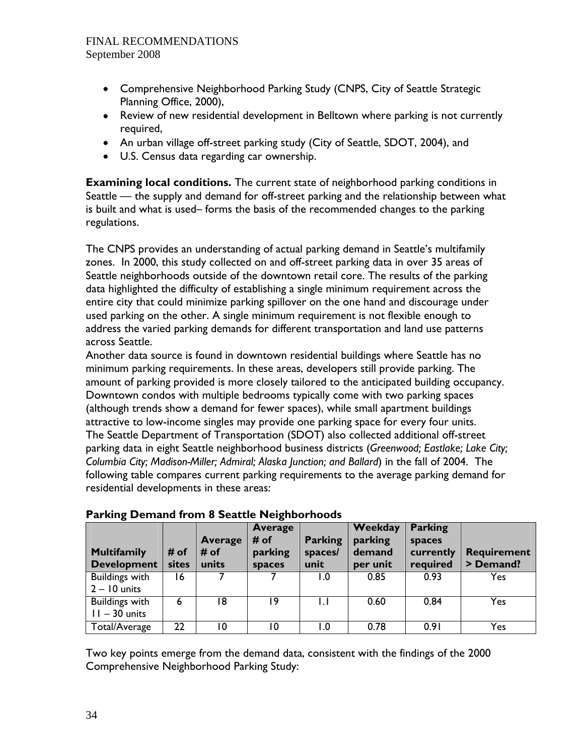- Comprehensive Neighborhood Parking Study (CNPS, City of Seattle Strategic Planning Office, 2000),
- Review of new residential development in Belltown where parking is not currently required,
- An urban village off-street parking study (City of Seattle, SDOT, 2004), and
- U.S. Census data regarding car ownership.

**Examining local conditions.** The current state of neighborhood parking conditions in Seattle — the supply and demand for off-street parking and the relationship between what is built and what is used– forms the basis of the recommended changes to the parking regulations.

The CNPS provides an understanding of actual parking demand in Seattle's multifamily zones. In 2000, this study collected on and off-street parking data in over 35 areas of Seattle neighborhoods outside of the downtown retail core. The results of the parking data highlighted the difficulty of establishing a single minimum requirement across the entire city that could minimize parking spillover on the one hand and discourage under used parking on the other. A single minimum requirement is not flexible enough to address the varied parking demands for different transportation and land use patterns across Seattle.

Another data source is found in downtown residential buildings where Seattle has no minimum parking requirements. In these areas, developers still provide parking. The amount of parking provided is more closely tailored to the anticipated building occupancy. Downtown condos with multiple bedrooms typically come with two parking spaces (although trends show a demand for fewer spaces), while small apartment buildings attractive to low-income singles may provide one parking space for every four units. The Seattle Department of Transportation (SDOT) also collected additional off-street parking data in eight Seattle neighborhood business districts (*Greenwood; Eastlake; Lake City; Columbia City; Madison-Miller; Admiral; Alaska Junction; and Ballard*) in the fall of 2004. The following table compares current parking requirements to the average parking demand for residential developments in these areas:

| <b>Multifamily</b><br><b>Development</b> | # of<br>sites | <b>Average</b><br># of<br>units | <b>Average</b><br># of<br>parking<br>spaces | <b>Parking</b><br>spaces/<br>unit | Weekday<br>parking<br>demand<br>per unit | <b>Parking</b><br>spaces<br>currently<br>required | <b>Requirement</b><br>> Demand? |
|------------------------------------------|---------------|---------------------------------|---------------------------------------------|-----------------------------------|------------------------------------------|---------------------------------------------------|---------------------------------|
| <b>Buildings with</b><br>$2 - 10$ units  | 16            |                                 |                                             | I.O                               | 0.85                                     | 0.93                                              | Yes                             |
| <b>Buildings with</b><br>$11 - 30$ units | 6             | 18                              | ۱9                                          |                                   | 0.60                                     | 0.84                                              | Yes                             |
| Total/Average                            | 22            | 10                              | 10                                          | I.O                               | 0.78                                     | 0.91                                              | Yes                             |

#### **Parking Demand from 8 Seattle Neighborhoods**

Two key points emerge from the demand data, consistent with the findings of the 2000 Comprehensive Neighborhood Parking Study: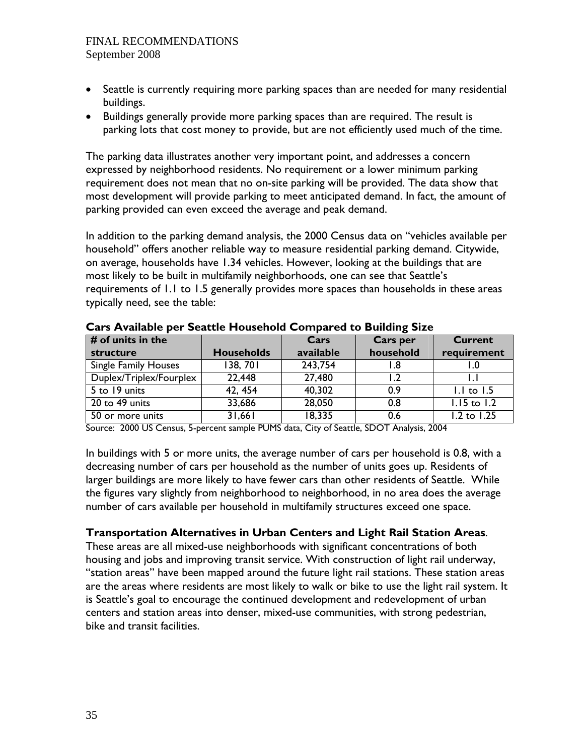- Seattle is currently requiring more parking spaces than are needed for many residential buildings.
- Buildings generally provide more parking spaces than are required. The result is parking lots that cost money to provide, but are not efficiently used much of the time.

The parking data illustrates another very important point, and addresses a concern expressed by neighborhood residents. No requirement or a lower minimum parking requirement does not mean that no on-site parking will be provided. The data show that most development will provide parking to meet anticipated demand. In fact, the amount of parking provided can even exceed the average and peak demand.

In addition to the parking demand analysis, the 2000 Census data on "vehicles available per household" offers another reliable way to measure residential parking demand. Citywide, on average, households have 1.34 vehicles. However, looking at the buildings that are most likely to be built in multifamily neighborhoods, one can see that Seattle's requirements of 1.1 to 1.5 generally provides more spaces than households in these areas typically need, see the table:

| $#$ of units in the         |                   | Cars      | <b>Cars per</b> | Current         |
|-----------------------------|-------------------|-----------|-----------------|-----------------|
| structure                   | <b>Households</b> | available | household       | requirement     |
| <b>Single Family Houses</b> | 138, 701          | 243,754   | l.8             |                 |
| Duplex/Triplex/Fourplex     | 22,448            | 27,480    | 2. ا            |                 |
| 5 to 19 units               | 42, 454           | 40,302    | 0.9             | $1.1$ to $1.5$  |
| 20 to 49 units              | 33,686            | 28,050    | 0.8             | $1.15$ to $1.2$ |
| 50 or more units            | 31,661            | 18,335    | 0.6             | 1.2 to 1.25     |

**Cars Available per Seattle Household Compared to Building Size** 

Source: 2000 US Census, 5-percent sample PUMS data, City of Seattle, SDOT Analysis, 2004

In buildings with 5 or more units, the average number of cars per household is 0.8, with a decreasing number of cars per household as the number of units goes up. Residents of larger buildings are more likely to have fewer cars than other residents of Seattle. While the figures vary slightly from neighborhood to neighborhood, in no area does the average number of cars available per household in multifamily structures exceed one space.

#### **Transportation Alternatives in Urban Centers and Light Rail Station Areas**.

These areas are all mixed-use neighborhoods with significant concentrations of both housing and jobs and improving transit service. With construction of light rail underway, "station areas" have been mapped around the future light rail stations. These station areas are the areas where residents are most likely to walk or bike to use the light rail system. It is Seattle's goal to encourage the continued development and redevelopment of urban centers and station areas into denser, mixed-use communities, with strong pedestrian, bike and transit facilities.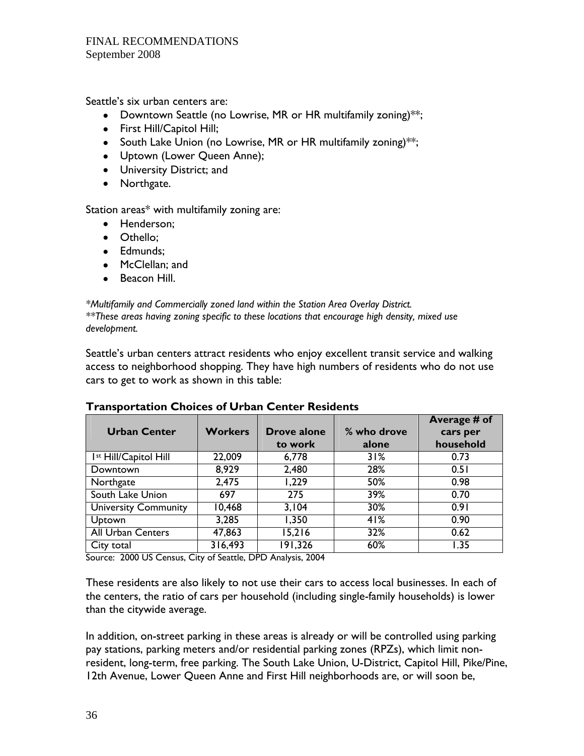Seattle's six urban centers are:

- Downtown Seattle (no Lowrise, MR or HR multifamily zoning)<sup>\*\*;</sup>
- First Hill/Capitol Hill;
- South Lake Union (no Lowrise, MR or HR multifamily zoning)<sup>\*\*;</sup>
- Uptown (Lower Queen Anne);
- University District; and
- Northgate.

Station areas\* with multifamily zoning are:

- Henderson;
- Othello;
- Edmunds;
- McClellan; and
- Beacon Hill.

*\*Multifamily and Commercially zoned land within the Station Area Overlay District. \*\*These areas having zoning specific to these locations that encourage high density, mixed use development.* 

Seattle's urban centers attract residents who enjoy excellent transit service and walking access to neighborhood shopping. They have high numbers of residents who do not use cars to get to work as shown in this table:

| <b>Urban Center</b>               | <b>Workers</b> | Drove alone<br>to work | % who drove<br>alone | Average # of<br>cars per<br>household |
|-----------------------------------|----------------|------------------------|----------------------|---------------------------------------|
| I <sup>st</sup> Hill/Capitol Hill | 22,009         | 6,778                  | 31%                  | 0.73                                  |
| Downtown                          | 8,929          | 2,480                  | 28%                  | 0.51                                  |
| Northgate                         | 2,475          | 1,229                  | 50%                  | 0.98                                  |
| South Lake Union                  | 697            | 275                    | 39%                  | 0.70                                  |
| <b>University Community</b>       | 10,468         | 3,104                  | 30%                  | 0.91                                  |
| <b>Uptown</b>                     | 3,285          | 1,350                  | 41%                  | 0.90                                  |
| <b>All Urban Centers</b>          | 47,863         | 15,216                 | 32%                  | 0.62                                  |
| City total                        | 316,493        | 191,326                | 60%                  | 1.35                                  |

#### **Transportation Choices of Urban Center Residents**

Source: 2000 US Census, City of Seattle, DPD Analysis, 2004

These residents are also likely to not use their cars to access local businesses. In each of the centers, the ratio of cars per household (including single-family households) is lower than the citywide average.

In addition, on-street parking in these areas is already or will be controlled using parking pay stations, parking meters and/or residential parking zones (RPZs), which limit nonresident, long-term, free parking. The South Lake Union, U-District, Capitol Hill, Pike/Pine, 12th Avenue, Lower Queen Anne and First Hill neighborhoods are, or will soon be,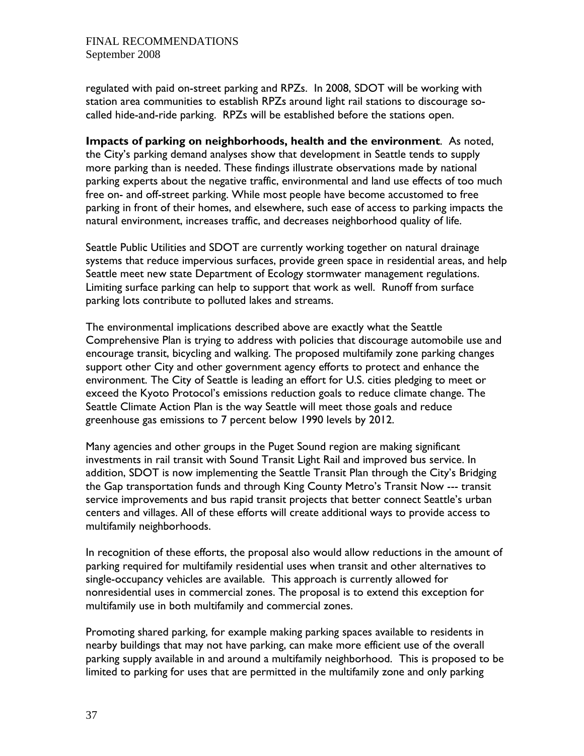regulated with paid on-street parking and RPZs. In 2008, SDOT will be working with station area communities to establish RPZs around light rail stations to discourage socalled hide-and-ride parking. RPZs will be established before the stations open.

**Impacts of parking on neighborhoods, health and the environment**. As noted, the City's parking demand analyses show that development in Seattle tends to supply more parking than is needed. These findings illustrate observations made by national parking experts about the negative traffic, environmental and land use effects of too much free on- and off-street parking. While most people have become accustomed to free parking in front of their homes, and elsewhere, such ease of access to parking impacts the natural environment, increases traffic, and decreases neighborhood quality of life.

Seattle Public Utilities and SDOT are currently working together on natural drainage systems that reduce impervious surfaces, provide green space in residential areas, and help Seattle meet new state Department of Ecology stormwater management regulations. Limiting surface parking can help to support that work as well. Runoff from surface parking lots contribute to polluted lakes and streams.

The environmental implications described above are exactly what the Seattle Comprehensive Plan is trying to address with policies that discourage automobile use and encourage transit, bicycling and walking. The proposed multifamily zone parking changes support other City and other government agency efforts to protect and enhance the environment. The City of Seattle is leading an effort for U.S. cities pledging to meet or exceed the Kyoto Protocol's emissions reduction goals to reduce climate change. The Seattle Climate Action Plan is the way Seattle will meet those goals and reduce greenhouse gas emissions to 7 percent below 1990 levels by 2012.

Many agencies and other groups in the Puget Sound region are making significant investments in rail transit with Sound Transit Light Rail and improved bus service. In addition, SDOT is now implementing the Seattle Transit Plan through the City's Bridging the Gap transportation funds and through King County Metro's Transit Now --- transit service improvements and bus rapid transit projects that better connect Seattle's urban centers and villages. All of these efforts will create additional ways to provide access to multifamily neighborhoods.

In recognition of these efforts, the proposal also would allow reductions in the amount of parking required for multifamily residential uses when transit and other alternatives to single-occupancy vehicles are available. This approach is currently allowed for nonresidential uses in commercial zones. The proposal is to extend this exception for multifamily use in both multifamily and commercial zones.

Promoting shared parking, for example making parking spaces available to residents in nearby buildings that may not have parking, can make more efficient use of the overall parking supply available in and around a multifamily neighborhood. This is proposed to be limited to parking for uses that are permitted in the multifamily zone and only parking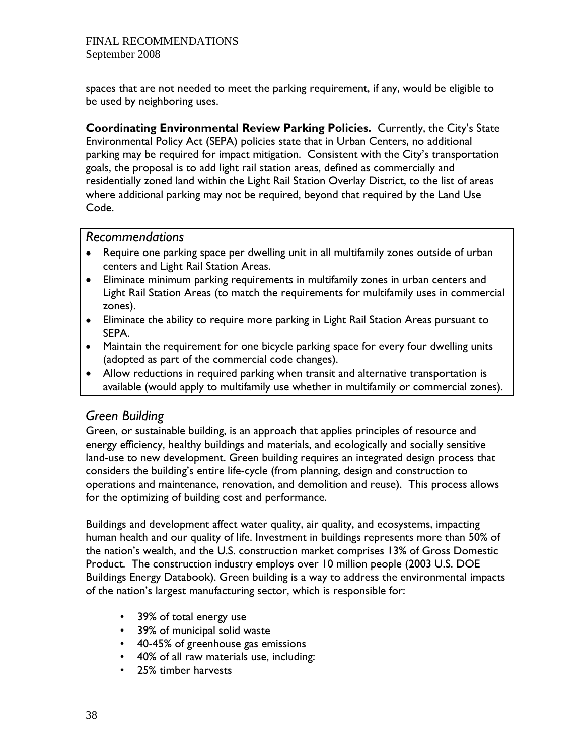spaces that are not needed to meet the parking requirement, if any, would be eligible to be used by neighboring uses.

**Coordinating Environmental Review Parking Policies.** Currently, the City's State Environmental Policy Act (SEPA) policies state that in Urban Centers, no additional parking may be required for impact mitigation. Consistent with the City's transportation goals, the proposal is to add light rail station areas, defined as commercially and residentially zoned land within the Light Rail Station Overlay District, to the list of areas where additional parking may not be required, beyond that required by the Land Use Code.

### *Recommendations*

- Require one parking space per dwelling unit in all multifamily zones outside of urban centers and Light Rail Station Areas.
- Eliminate minimum parking requirements in multifamily zones in urban centers and Light Rail Station Areas (to match the requirements for multifamily uses in commercial zones).
- Eliminate the ability to require more parking in Light Rail Station Areas pursuant to SEPA.
- Maintain the requirement for one bicycle parking space for every four dwelling units (adopted as part of the commercial code changes).
- Allow reductions in required parking when transit and alternative transportation is available (would apply to multifamily use whether in multifamily or commercial zones).

## *Green Building*

Green, or sustainable building, is an approach that applies principles of resource and energy efficiency, healthy buildings and materials, and ecologically and socially sensitive land-use to new development. Green building requires an integrated design process that considers the building's entire life-cycle (from planning, design and construction to operations and maintenance, renovation, and demolition and reuse). This process allows for the optimizing of building cost and performance.

Buildings and development affect water quality, air quality, and ecosystems, impacting human health and our quality of life. Investment in buildings represents more than 50% of the nation's wealth, and the U.S. construction market comprises 13% of Gross Domestic Product. The construction industry employs over 10 million people (2003 U.S. DOE Buildings Energy Databook). Green building is a way to address the environmental impacts of the nation's largest manufacturing sector, which is responsible for:

- 39% of total energy use
- 39% of municipal solid waste
- 40-45% of greenhouse gas emissions
- 40% of all raw materials use, including:
- 25% timber harvests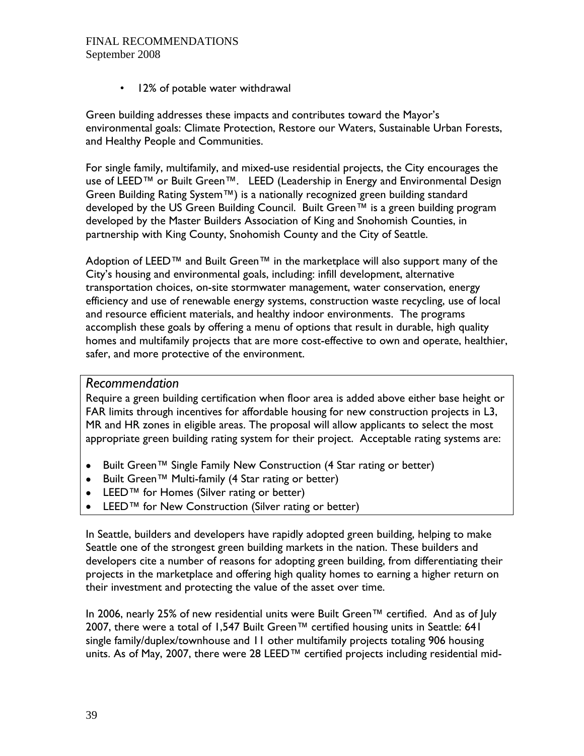• 12% of potable water withdrawal

Green building addresses these impacts and contributes toward the Mayor's environmental goals: Climate Protection, Restore our Waters, Sustainable Urban Forests, and Healthy People and Communities.

For single family, multifamily, and mixed-use residential projects, the City encourages the use of LEED™ or Built Green™. LEED (Leadership in Energy and Environmental Design Green Building Rating System™) is a nationally recognized green building standard developed by the US Green Building Council. Built Green™ is a green building program developed by the Master Builders Association of King and Snohomish Counties, in partnership with King County, Snohomish County and the City of Seattle.

Adoption of LEED™ and Built Green™ in the marketplace will also support many of the City's housing and environmental goals, including: infill development, alternative transportation choices, on-site stormwater management, water conservation, energy efficiency and use of renewable energy systems, construction waste recycling, use of local and resource efficient materials, and healthy indoor environments. The programs accomplish these goals by offering a menu of options that result in durable, high quality homes and multifamily projects that are more cost-effective to own and operate, healthier, safer, and more protective of the environment.

### *Recommendation*

Require a green building certification when floor area is added above either base height or FAR limits through incentives for affordable housing for new construction projects in L3, MR and HR zones in eligible areas. The proposal will allow applicants to select the most appropriate green building rating system for their project. Acceptable rating systems are:

- Built Green™ Single Family New Construction (4 Star rating or better)
- Built Green™ Multi-family (4 Star rating or better)
- LEED™ for Homes (Silver rating or better)
- LEED™ for New Construction (Silver rating or better)

In Seattle, builders and developers have rapidly adopted green building, helping to make Seattle one of the strongest green building markets in the nation. These builders and developers cite a number of reasons for adopting green building, from differentiating their projects in the marketplace and offering high quality homes to earning a higher return on their investment and protecting the value of the asset over time.

In 2006, nearly 25% of new residential units were Built Green™ certified. And as of July 2007, there were a total of 1,547 Built Green™ certified housing units in Seattle: 641 single family/duplex/townhouse and 11 other multifamily projects totaling 906 housing units. As of May, 2007, there were 28 LEED™ certified projects including residential mid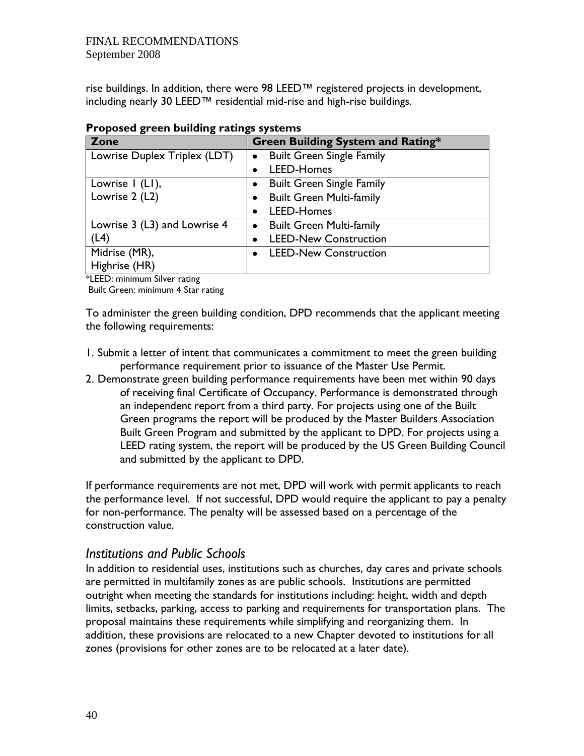rise buildings. In addition, there were 98 LEED™ registered projects in development, including nearly 30 LEED™ residential mid-rise and high-rise buildings.

| <u>I roposed green bununig ratings systems</u> |                                               |  |  |
|------------------------------------------------|-----------------------------------------------|--|--|
| Zone                                           | Green Building System and Rating*             |  |  |
| Lowrise Duplex Triplex (LDT)                   | <b>Built Green Single Family</b><br>$\bullet$ |  |  |
|                                                | <b>LEED-Homes</b>                             |  |  |
| Lowrise I (LI),                                | <b>Built Green Single Family</b>              |  |  |
| Lowrise 2 (L2)                                 | <b>Built Green Multi-family</b>               |  |  |
|                                                | LEED-Homes                                    |  |  |
| Lowrise 3 (L3) and Lowrise 4                   | <b>Built Green Multi-family</b><br>$\bullet$  |  |  |
| (L4)                                           | <b>LEED-New Construction</b>                  |  |  |
| Midrise (MR),                                  | <b>LEED-New Construction</b>                  |  |  |
| Highrise (HR)                                  |                                               |  |  |

### **Proposed green building ratings systems**

\*LEED: minimum Silver rating

Built Green: minimum 4 Star rating

To administer the green building condition, DPD recommends that the applicant meeting the following requirements:

- 1. Submit a letter of intent that communicates a commitment to meet the green building performance requirement prior to issuance of the Master Use Permit.
- 2. Demonstrate green building performance requirements have been met within 90 days of receiving final Certificate of Occupancy. Performance is demonstrated through an independent report from a third party. For projects using one of the Built Green programs the report will be produced by the Master Builders Association Built Green Program and submitted by the applicant to DPD. For projects using a LEED rating system, the report will be produced by the US Green Building Council and submitted by the applicant to DPD.

If performance requirements are not met, DPD will work with permit applicants to reach the performance level. If not successful, DPD would require the applicant to pay a penalty for non-performance. The penalty will be assessed based on a percentage of the construction value.

## *Institutions and Public Schools*

In addition to residential uses, institutions such as churches, day cares and private schools are permitted in multifamily zones as are public schools. Institutions are permitted outright when meeting the standards for institutions including: height, width and depth limits, setbacks, parking, access to parking and requirements for transportation plans. The proposal maintains these requirements while simplifying and reorganizing them. In addition, these provisions are relocated to a new Chapter devoted to institutions for all zones (provisions for other zones are to be relocated at a later date).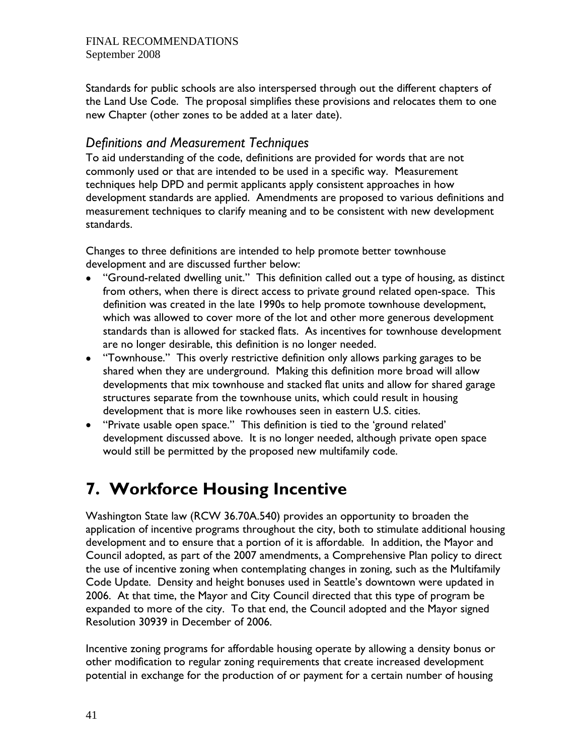Standards for public schools are also interspersed through out the different chapters of the Land Use Code. The proposal simplifies these provisions and relocates them to one new Chapter (other zones to be added at a later date).

## *Definitions and Measurement Techniques*

To aid understanding of the code, definitions are provided for words that are not commonly used or that are intended to be used in a specific way. Measurement techniques help DPD and permit applicants apply consistent approaches in how development standards are applied. Amendments are proposed to various definitions and measurement techniques to clarify meaning and to be consistent with new development standards.

Changes to three definitions are intended to help promote better townhouse development and are discussed further below:

- "Ground-related dwelling unit." This definition called out a type of housing, as distinct from others, when there is direct access to private ground related open-space. This definition was created in the late 1990s to help promote townhouse development, which was allowed to cover more of the lot and other more generous development standards than is allowed for stacked flats. As incentives for townhouse development are no longer desirable, this definition is no longer needed.
- "Townhouse." This overly restrictive definition only allows parking garages to be shared when they are underground. Making this definition more broad will allow developments that mix townhouse and stacked flat units and allow for shared garage structures separate from the townhouse units, which could result in housing development that is more like rowhouses seen in eastern U.S. cities.
- "Private usable open space." This definition is tied to the 'ground related' development discussed above. It is no longer needed, although private open space would still be permitted by the proposed new multifamily code.

# **7. Workforce Housing Incentive**

Washington State law (RCW 36.70A.540) provides an opportunity to broaden the application of incentive programs throughout the city, both to stimulate additional housing development and to ensure that a portion of it is affordable. In addition, the Mayor and Council adopted, as part of the 2007 amendments, a Comprehensive Plan policy to direct the use of incentive zoning when contemplating changes in zoning, such as the Multifamily Code Update. Density and height bonuses used in Seattle's downtown were updated in 2006. At that time, the Mayor and City Council directed that this type of program be expanded to more of the city. To that end, the Council adopted and the Mayor signed Resolution 30939 in December of 2006.

Incentive zoning programs for affordable housing operate by allowing a density bonus or other modification to regular zoning requirements that create increased development potential in exchange for the production of or payment for a certain number of housing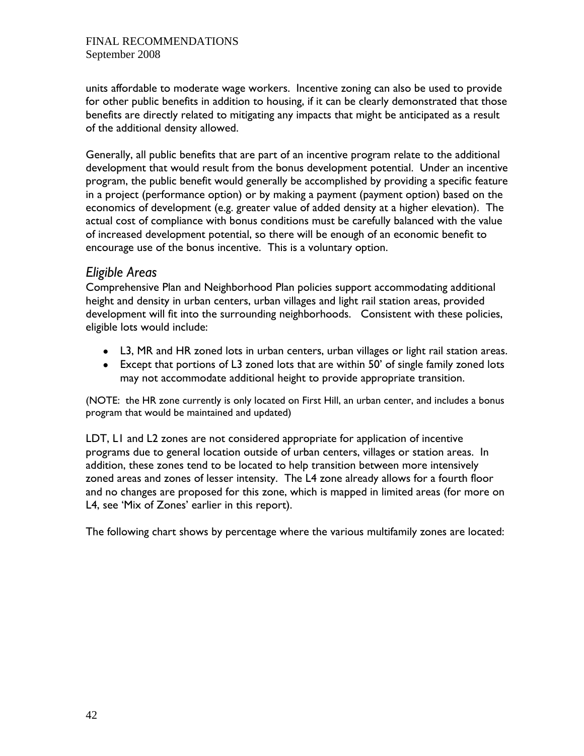units affordable to moderate wage workers. Incentive zoning can also be used to provide for other public benefits in addition to housing, if it can be clearly demonstrated that those benefits are directly related to mitigating any impacts that might be anticipated as a result of the additional density allowed.

Generally, all public benefits that are part of an incentive program relate to the additional development that would result from the bonus development potential. Under an incentive program, the public benefit would generally be accomplished by providing a specific feature in a project (performance option) or by making a payment (payment option) based on the economics of development (e.g. greater value of added density at a higher elevation). The actual cost of compliance with bonus conditions must be carefully balanced with the value of increased development potential, so there will be enough of an economic benefit to encourage use of the bonus incentive. This is a voluntary option.

## *Eligible Areas*

Comprehensive Plan and Neighborhood Plan policies support accommodating additional height and density in urban centers, urban villages and light rail station areas, provided development will fit into the surrounding neighborhoods. Consistent with these policies, eligible lots would include:

- L3, MR and HR zoned lots in urban centers, urban villages or light rail station areas.
- Except that portions of L3 zoned lots that are within 50' of single family zoned lots may not accommodate additional height to provide appropriate transition.

(NOTE: the HR zone currently is only located on First Hill, an urban center, and includes a bonus program that would be maintained and updated)

LDT, L1 and L2 zones are not considered appropriate for application of incentive programs due to general location outside of urban centers, villages or station areas. In addition, these zones tend to be located to help transition between more intensively zoned areas and zones of lesser intensity. The L4 zone already allows for a fourth floor and no changes are proposed for this zone, which is mapped in limited areas (for more on L4, see 'Mix of Zones' earlier in this report).

The following chart shows by percentage where the various multifamily zones are located: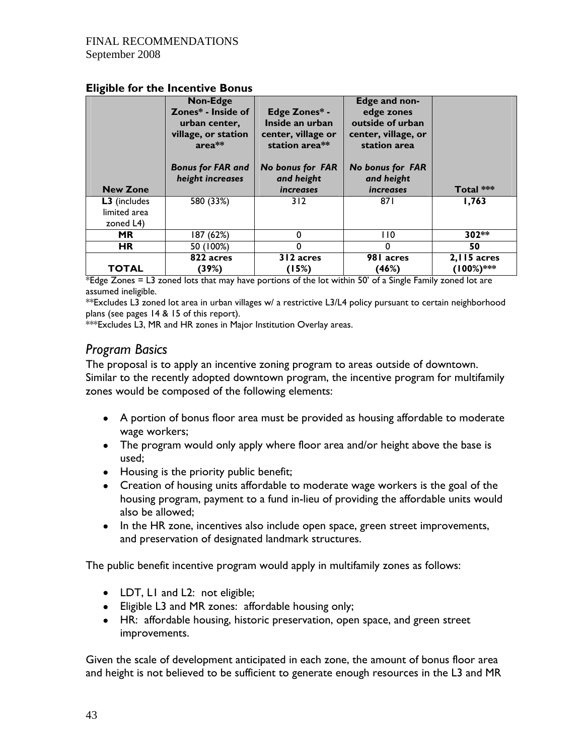|                                           | Non-Edge                                                             |                                                                          | Edge and non-                                                         |           |
|-------------------------------------------|----------------------------------------------------------------------|--------------------------------------------------------------------------|-----------------------------------------------------------------------|-----------|
|                                           | Zones* - Inside of<br>urban center,<br>village, or station<br>area** | Edge Zones* -<br>Inside an urban<br>center, village or<br>station area** | edge zones<br>outside of urban<br>center, village, or<br>station area |           |
|                                           | <b>Bonus for FAR and</b><br>height increases                         | <b>No bonus for FAR</b><br>and height                                    | <b>No bonus for FAR</b><br>and height                                 |           |
| <b>New Zone</b>                           |                                                                      | <i>increases</i>                                                         | <i>increases</i>                                                      | Total *** |
| L3 (includes<br>limited area<br>zoned L4) | 580 (33%)                                                            | 312                                                                      | 871                                                                   | 1,763     |
|                                           |                                                                      |                                                                          |                                                                       |           |
| <b>MR</b>                                 | 187 (62%)                                                            |                                                                          | l 10                                                                  | 302**     |
| <b>HR</b>                                 | 50 (100%)                                                            |                                                                          | 0                                                                     | 50        |

#### **Eligible for the Incentive Bonus**

\*Edge Zones  $=$  L3 zoned lots that may have portions of the lot within 50' of a Single Family zoned lot are assumed ineligible.

\*\*Excludes L3 zoned lot area in urban villages w/ a restrictive L3/L4 policy pursuant to certain neighborhood plans (see pages 14 & 15 of this report).

\*\*\*Excludes L3, MR and HR zones in Major Institution Overlay areas.

### *Program Basics*

The proposal is to apply an incentive zoning program to areas outside of downtown. Similar to the recently adopted downtown program, the incentive program for multifamily zones would be composed of the following elements:

- A portion of bonus floor area must be provided as housing affordable to moderate wage workers;
- The program would only apply where floor area and/or height above the base is used;
- Housing is the priority public benefit;
- Creation of housing units affordable to moderate wage workers is the goal of the housing program, payment to a fund in-lieu of providing the affordable units would also be allowed;
- In the HR zone, incentives also include open space, green street improvements, and preservation of designated landmark structures.

The public benefit incentive program would apply in multifamily zones as follows:

- LDT, L1 and L2: not eligible;
- Eligible L3 and MR zones: affordable housing only;
- HR: affordable housing, historic preservation, open space, and green street improvements.

Given the scale of development anticipated in each zone, the amount of bonus floor area and height is not believed to be sufficient to generate enough resources in the L3 and MR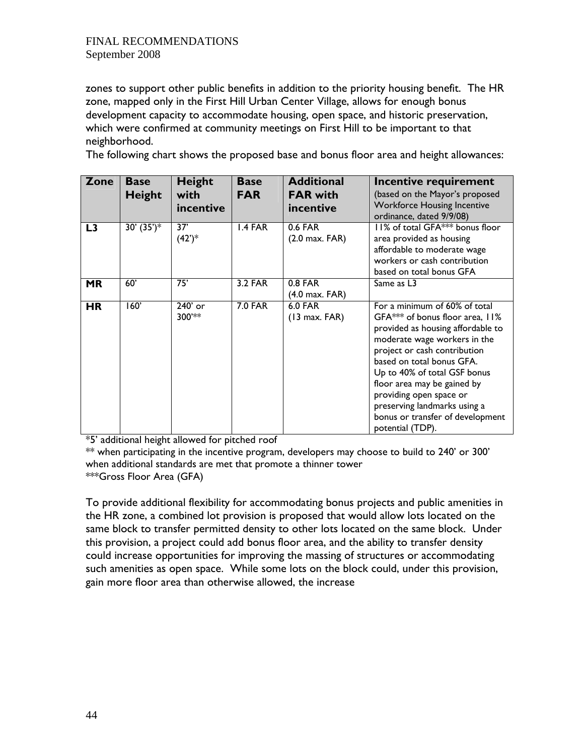zones to support other public benefits in addition to the priority housing benefit. The HR zone, mapped only in the First Hill Urban Center Village, allows for enough bonus development capacity to accommodate housing, open space, and historic preservation, which were confirmed at community meetings on First Hill to be important to that neighborhood.

The following chart shows the proposed base and bonus floor area and height allowances:

| Zone           | <b>Base</b><br>Height | <b>Height</b><br>with<br>incentive | <b>Base</b><br><b>FAR</b> | <b>Additional</b><br><b>FAR with</b><br>incentive | Incentive requirement<br>(based on the Mayor's proposed<br><b>Workforce Housing Incentive</b><br>ordinance, dated 9/9/08)                                                                                                                                                                                                                                                            |
|----------------|-----------------------|------------------------------------|---------------------------|---------------------------------------------------|--------------------------------------------------------------------------------------------------------------------------------------------------------------------------------------------------------------------------------------------------------------------------------------------------------------------------------------------------------------------------------------|
| L <sub>3</sub> | 30' $(35')^*$         | 37'<br>$(42^{\prime})^*$           | I.4 FAR                   | 0.6 FAR<br>$(2.0 \text{ max. } FAR)$              | 11% of total GFA*** bonus floor<br>area provided as housing<br>affordable to moderate wage<br>workers or cash contribution<br>based on total bonus GFA                                                                                                                                                                                                                               |
| <b>MR</b>      | 60'                   | 75'                                | <b>3.2 FAR</b>            | 0.8 FAR<br>$(4.0 \text{ max. } FAR)$              | Same as L3                                                                                                                                                                                                                                                                                                                                                                           |
| <b>HR</b>      | 160'                  | 240' or<br>300'**                  | <b>7.0 FAR</b>            | <b>6.0 FAR</b><br>$(13 \text{ max. } FAR)$        | For a minimum of 60% of total<br>GFA*** of bonus floor area, 11%<br>provided as housing affordable to<br>moderate wage workers in the<br>project or cash contribution<br>based on total bonus GFA.<br>Up to 40% of total GSF bonus<br>floor area may be gained by<br>providing open space or<br>preserving landmarks using a<br>bonus or transfer of development<br>potential (TDP). |

\*5' additional height allowed for pitched roof

 $**$  when participating in the incentive program, developers may choose to build to 240' or 300' when additional standards are met that promote a thinner tower \*\*\*Gross Floor Area (GFA)

To provide additional flexibility for accommodating bonus projects and public amenities in the HR zone, a combined lot provision is proposed that would allow lots located on the same block to transfer permitted density to other lots located on the same block. Under this provision, a project could add bonus floor area, and the ability to transfer density could increase opportunities for improving the massing of structures or accommodating such amenities as open space. While some lots on the block could, under this provision, gain more floor area than otherwise allowed, the increase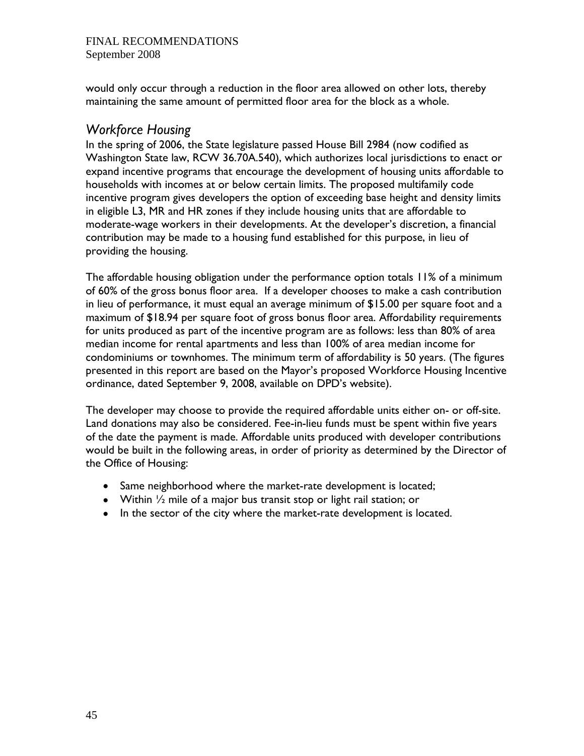would only occur through a reduction in the floor area allowed on other lots, thereby maintaining the same amount of permitted floor area for the block as a whole.

### *Workforce Housing*

In the spring of 2006, the State legislature passed House Bill 2984 (now codified as Washington State law, RCW 36.70A.540), which authorizes local jurisdictions to enact or expand incentive programs that encourage the development of housing units affordable to households with incomes at or below certain limits. The proposed multifamily code incentive program gives developers the option of exceeding base height and density limits in eligible L3, MR and HR zones if they include housing units that are affordable to moderate-wage workers in their developments. At the developer's discretion, a financial contribution may be made to a housing fund established for this purpose, in lieu of providing the housing.

The affordable housing obligation under the performance option totals 11% of a minimum of 60% of the gross bonus floor area. If a developer chooses to make a cash contribution in lieu of performance, it must equal an average minimum of \$15.00 per square foot and a maximum of \$18.94 per square foot of gross bonus floor area. Affordability requirements for units produced as part of the incentive program are as follows: less than 80% of area median income for rental apartments and less than 100% of area median income for condominiums or townhomes. The minimum term of affordability is 50 years. (The figures presented in this report are based on the Mayor's proposed Workforce Housing Incentive ordinance, dated September 9, 2008, available on DPD's website).

The developer may choose to provide the required affordable units either on- or off-site. Land donations may also be considered. Fee-in-lieu funds must be spent within five years of the date the payment is made. Affordable units produced with developer contributions would be built in the following areas, in order of priority as determined by the Director of the Office of Housing:

- Same neighborhood where the market-rate development is located;
- Within ½ mile of a major bus transit stop or light rail station; or
- In the sector of the city where the market-rate development is located.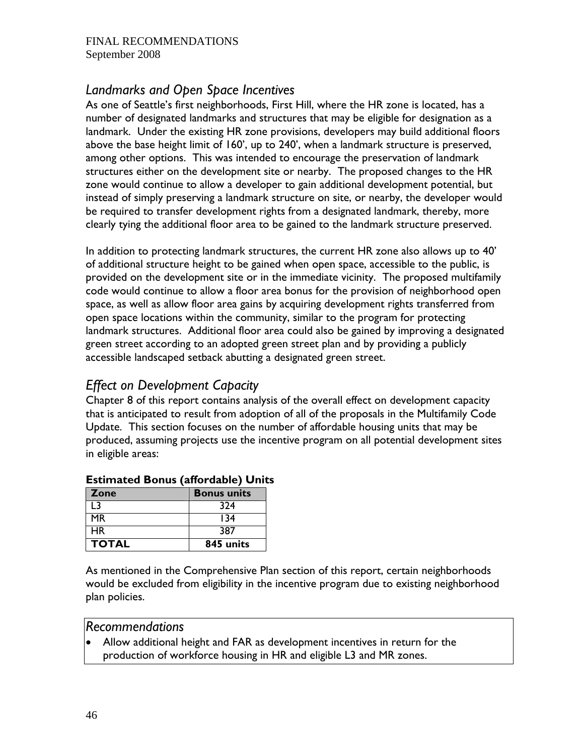## *Landmarks and Open Space Incentives*

As one of Seattle's first neighborhoods, First Hill, where the HR zone is located, has a number of designated landmarks and structures that may be eligible for designation as a landmark. Under the existing HR zone provisions, developers may build additional floors above the base height limit of 160', up to 240', when a landmark structure is preserved, among other options. This was intended to encourage the preservation of landmark structures either on the development site or nearby. The proposed changes to the HR zone would continue to allow a developer to gain additional development potential, but instead of simply preserving a landmark structure on site, or nearby, the developer would be required to transfer development rights from a designated landmark, thereby, more clearly tying the additional floor area to be gained to the landmark structure preserved.

In addition to protecting landmark structures, the current HR zone also allows up to 40' of additional structure height to be gained when open space, accessible to the public, is provided on the development site or in the immediate vicinity. The proposed multifamily code would continue to allow a floor area bonus for the provision of neighborhood open space, as well as allow floor area gains by acquiring development rights transferred from open space locations within the community, similar to the program for protecting landmark structures. Additional floor area could also be gained by improving a designated green street according to an adopted green street plan and by providing a publicly accessible landscaped setback abutting a designated green street.

## *Effect on Development Capacity*

Chapter 8 of this report contains analysis of the overall effect on development capacity that is anticipated to result from adoption of all of the proposals in the Multifamily Code Update. This section focuses on the number of affordable housing units that may be produced, assuming projects use the incentive program on all potential development sites in eligible areas:

| <b>Zone</b>  | <b>Bonus units</b> |
|--------------|--------------------|
| 13           | 324                |
| МR           | 134                |
| <b>HR</b>    | 387                |
| <b>TOTAL</b> | 845 units          |

### **Estimated Bonus (affordable) Units**

As mentioned in the Comprehensive Plan section of this report, certain neighborhoods would be excluded from eligibility in the incentive program due to existing neighborhood plan policies.

### *Recommendations*

• Allow additional height and FAR as development incentives in return for the production of workforce housing in HR and eligible L3 and MR zones.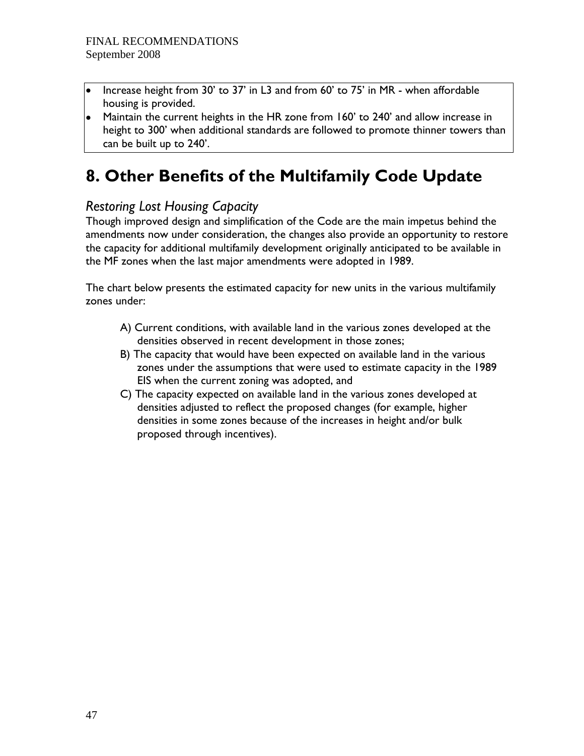- Increase height from 30' to 37' in L3 and from 60' to 75' in MR when affordable housing is provided.
- Maintain the current heights in the HR zone from 160' to 240' and allow increase in height to 300' when additional standards are followed to promote thinner towers than can be built up to 240'.

# **8. Other Benefits of the Multifamily Code Update**

## *Restoring Lost Housing Capacity*

Though improved design and simplification of the Code are the main impetus behind the amendments now under consideration, the changes also provide an opportunity to restore the capacity for additional multifamily development originally anticipated to be available in the MF zones when the last major amendments were adopted in 1989.

The chart below presents the estimated capacity for new units in the various multifamily zones under:

- A) Current conditions, with available land in the various zones developed at the densities observed in recent development in those zones;
- B) The capacity that would have been expected on available land in the various zones under the assumptions that were used to estimate capacity in the 1989 EIS when the current zoning was adopted, and
- C) The capacity expected on available land in the various zones developed at densities adjusted to reflect the proposed changes (for example, higher densities in some zones because of the increases in height and/or bulk proposed through incentives).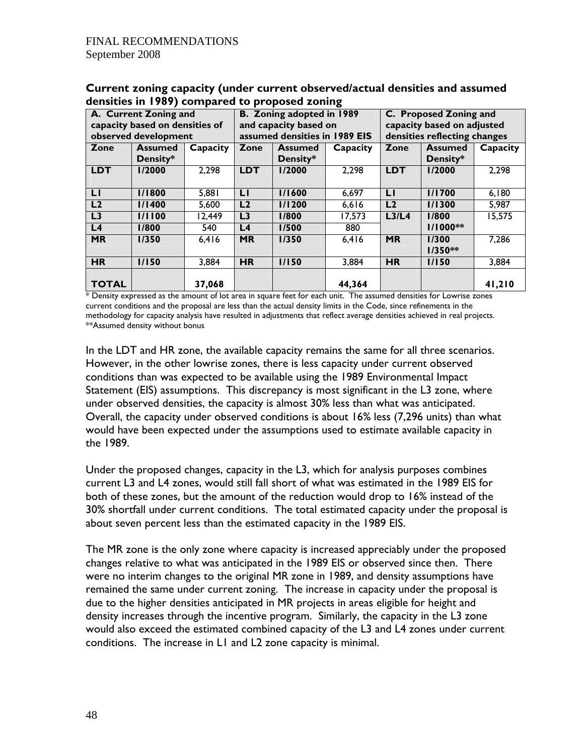|                                | A. Current Zoning and |          | B. Zoning adopted in 1989<br>C. Proposed Zoning and |                |          |                                |                |          |
|--------------------------------|-----------------------|----------|-----------------------------------------------------|----------------|----------|--------------------------------|----------------|----------|
| capacity based on densities of |                       |          | and capacity based on                               |                |          | capacity based on adjusted     |                |          |
|                                | observed development  |          | assumed densities in 1989 EIS                       |                |          | densities reflecting changes   |                |          |
| Zone                           | <b>Assumed</b>        | Capacity | Zone                                                | <b>Assumed</b> | Capacity | Zone                           | <b>Assumed</b> | Capacity |
|                                | Density*              |          |                                                     | Density*       |          |                                | Density*       |          |
| <b>LDT</b>                     | 1/2000                | 2,298    | <b>LDT</b>                                          | 1/2000         | 2,298    | <b>LDT</b>                     | 1/2000         | 2,298    |
|                                |                       |          |                                                     |                |          |                                |                |          |
| LI                             | 1/1800                | 5,881    | LI                                                  | 1/1600         | 6,697    | LI                             | <b>I/1700</b>  | 6,180    |
| L <sub>2</sub>                 | 1/1400                | 5,600    | L <sub>2</sub>                                      | 1/1200         | 6,616    | L2                             | 1/1300         | 5,987    |
| L3                             | 1/1100                | 12,449   | L <sub>3</sub>                                      | 1/800          | 17,573   | L <sub>3</sub> /L <sub>4</sub> | 1/800          | 15,575   |
| L4                             | 1/800                 | 540      | L <sub>4</sub>                                      | 1/500          | 880      |                                | $1/1000**$     |          |
| <b>MR</b>                      | 1/350                 | 6,416    | <b>MR</b>                                           | 1/350          | 6,416    | <b>MR</b>                      | 1/300          | 7,286    |
|                                |                       |          |                                                     |                |          |                                | $1/350**$      |          |
| <b>HR</b>                      | 1/150                 | 3,884    | <b>HR</b>                                           | 1/150          | 3,884    | <b>HR</b>                      | 1/150          | 3,884    |
|                                |                       |          |                                                     |                |          |                                |                |          |
| <b>TOTAL</b>                   |                       | 37,068   |                                                     |                | 44,364   |                                |                | 41,210   |

**Current zoning capacity (under current observed/actual densities and assumed densities in 1989) compared to proposed zoning** 

\* Density expressed as the amount of lot area in square feet for each unit. The assumed densities for Lowrise zones current conditions and the proposal are less than the actual density limits in the Code, since refinements in the methodology for capacity analysis have resulted in adjustments that reflect average densities achieved in real projects. \*\*Assumed density without bonus

In the LDT and HR zone, the available capacity remains the same for all three scenarios. However, in the other lowrise zones, there is less capacity under current observed conditions than was expected to be available using the 1989 Environmental Impact Statement (EIS) assumptions. This discrepancy is most significant in the L3 zone, where under observed densities, the capacity is almost 30% less than what was anticipated. Overall, the capacity under observed conditions is about 16% less (7,296 units) than what would have been expected under the assumptions used to estimate available capacity in the 1989.

Under the proposed changes, capacity in the L3, which for analysis purposes combines current L3 and L4 zones, would still fall short of what was estimated in the 1989 EIS for both of these zones, but the amount of the reduction would drop to 16% instead of the 30% shortfall under current conditions. The total estimated capacity under the proposal is about seven percent less than the estimated capacity in the 1989 EIS.

The MR zone is the only zone where capacity is increased appreciably under the proposed changes relative to what was anticipated in the 1989 EIS or observed since then. There were no interim changes to the original MR zone in 1989, and density assumptions have remained the same under current zoning. The increase in capacity under the proposal is due to the higher densities anticipated in MR projects in areas eligible for height and density increases through the incentive program. Similarly, the capacity in the L3 zone would also exceed the estimated combined capacity of the L3 and L4 zones under current conditions. The increase in L1 and L2 zone capacity is minimal.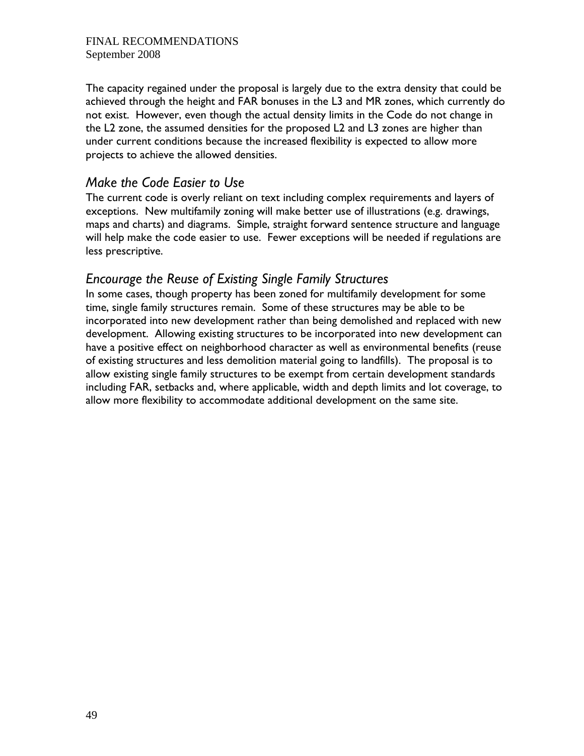The capacity regained under the proposal is largely due to the extra density that could be achieved through the height and FAR bonuses in the L3 and MR zones, which currently do not exist. However, even though the actual density limits in the Code do not change in the L2 zone, the assumed densities for the proposed L2 and L3 zones are higher than under current conditions because the increased flexibility is expected to allow more projects to achieve the allowed densities.

## *Make the Code Easier to Use*

The current code is overly reliant on text including complex requirements and layers of exceptions. New multifamily zoning will make better use of illustrations (e.g. drawings, maps and charts) and diagrams. Simple, straight forward sentence structure and language will help make the code easier to use. Fewer exceptions will be needed if regulations are less prescriptive.

## *Encourage the Reuse of Existing Single Family Structures*

In some cases, though property has been zoned for multifamily development for some time, single family structures remain. Some of these structures may be able to be incorporated into new development rather than being demolished and replaced with new development. Allowing existing structures to be incorporated into new development can have a positive effect on neighborhood character as well as environmental benefits (reuse of existing structures and less demolition material going to landfills). The proposal is to allow existing single family structures to be exempt from certain development standards including FAR, setbacks and, where applicable, width and depth limits and lot coverage, to allow more flexibility to accommodate additional development on the same site.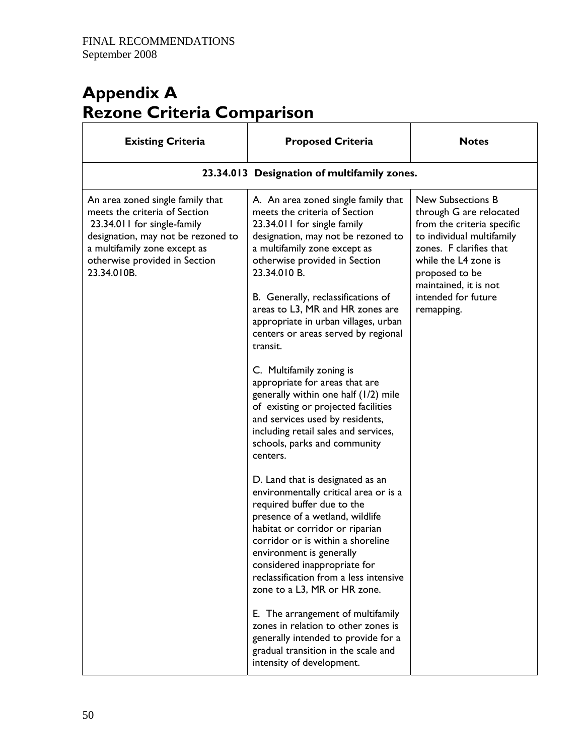# **Appendix A Rezone Criteria Comparison**

| <b>Existing Criteria</b>                                                                                                                                                                                               | <b>Proposed Criteria</b>                                                                                                                                                                                                                                                                                                                                                                                                                                                                                                                                                                                                                                                                                                                                                                                                                                                                                                                              | <b>Notes</b>                                                                                                                                                                                                                                      |  |  |
|------------------------------------------------------------------------------------------------------------------------------------------------------------------------------------------------------------------------|-------------------------------------------------------------------------------------------------------------------------------------------------------------------------------------------------------------------------------------------------------------------------------------------------------------------------------------------------------------------------------------------------------------------------------------------------------------------------------------------------------------------------------------------------------------------------------------------------------------------------------------------------------------------------------------------------------------------------------------------------------------------------------------------------------------------------------------------------------------------------------------------------------------------------------------------------------|---------------------------------------------------------------------------------------------------------------------------------------------------------------------------------------------------------------------------------------------------|--|--|
| 23.34.013 Designation of multifamily zones.                                                                                                                                                                            |                                                                                                                                                                                                                                                                                                                                                                                                                                                                                                                                                                                                                                                                                                                                                                                                                                                                                                                                                       |                                                                                                                                                                                                                                                   |  |  |
| An area zoned single family that<br>meets the criteria of Section<br>23.34.011 for single-family<br>designation, may not be rezoned to<br>a multifamily zone except as<br>otherwise provided in Section<br>23.34.010B. | A. An area zoned single family that<br>meets the criteria of Section<br>23.34.011 for single family<br>designation, may not be rezoned to<br>a multifamily zone except as<br>otherwise provided in Section<br>23.34.010 B.<br>B. Generally, reclassifications of<br>areas to L3, MR and HR zones are<br>appropriate in urban villages, urban<br>centers or areas served by regional<br>transit.<br>C. Multifamily zoning is<br>appropriate for areas that are<br>generally within one half (1/2) mile<br>of existing or projected facilities<br>and services used by residents,<br>including retail sales and services,<br>schools, parks and community<br>centers.<br>D. Land that is designated as an<br>environmentally critical area or is a<br>required buffer due to the<br>presence of a wetland, wildlife<br>habitat or corridor or riparian<br>corridor or is within a shoreline<br>environment is generally<br>considered inappropriate for | <b>New Subsections B</b><br>through G are relocated<br>from the criteria specific<br>to individual multifamily<br>zones. F clarifies that<br>while the L4 zone is<br>proposed to be<br>maintained, it is not<br>intended for future<br>remapping. |  |  |
|                                                                                                                                                                                                                        | reclassification from a less intensive<br>zone to a L3, MR or HR zone.<br>E. The arrangement of multifamily<br>zones in relation to other zones is<br>generally intended to provide for a                                                                                                                                                                                                                                                                                                                                                                                                                                                                                                                                                                                                                                                                                                                                                             |                                                                                                                                                                                                                                                   |  |  |
|                                                                                                                                                                                                                        | gradual transition in the scale and<br>intensity of development.                                                                                                                                                                                                                                                                                                                                                                                                                                                                                                                                                                                                                                                                                                                                                                                                                                                                                      |                                                                                                                                                                                                                                                   |  |  |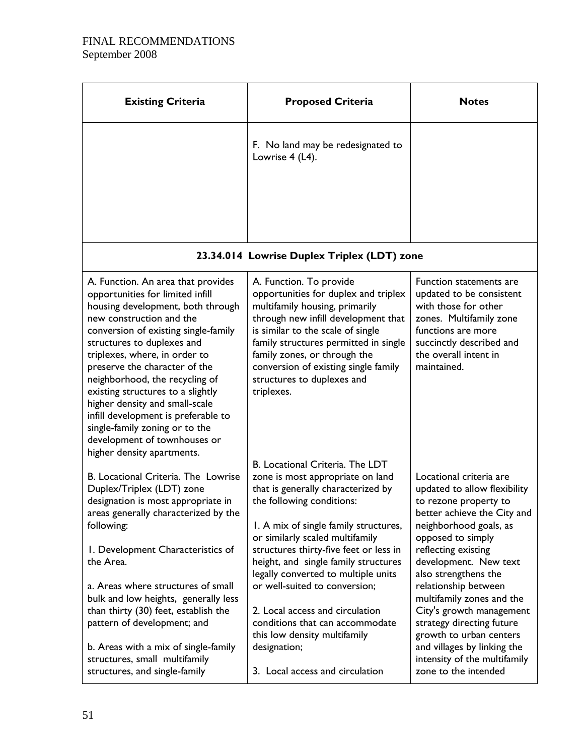| <b>Existing Criteria</b>                                                                                                                                                                                                                                                                                                                                                                                                                                                                                                        | <b>Proposed Criteria</b>                                                                                                                                                                                                                                                                                                                                                                                                                                                                                                              | <b>Notes</b>                                                                                                                                                                                                                                                                                                                                                                                                                                                           |
|---------------------------------------------------------------------------------------------------------------------------------------------------------------------------------------------------------------------------------------------------------------------------------------------------------------------------------------------------------------------------------------------------------------------------------------------------------------------------------------------------------------------------------|---------------------------------------------------------------------------------------------------------------------------------------------------------------------------------------------------------------------------------------------------------------------------------------------------------------------------------------------------------------------------------------------------------------------------------------------------------------------------------------------------------------------------------------|------------------------------------------------------------------------------------------------------------------------------------------------------------------------------------------------------------------------------------------------------------------------------------------------------------------------------------------------------------------------------------------------------------------------------------------------------------------------|
|                                                                                                                                                                                                                                                                                                                                                                                                                                                                                                                                 | F. No land may be redesignated to<br>Lowrise 4 (L4).                                                                                                                                                                                                                                                                                                                                                                                                                                                                                  |                                                                                                                                                                                                                                                                                                                                                                                                                                                                        |
|                                                                                                                                                                                                                                                                                                                                                                                                                                                                                                                                 |                                                                                                                                                                                                                                                                                                                                                                                                                                                                                                                                       |                                                                                                                                                                                                                                                                                                                                                                                                                                                                        |
|                                                                                                                                                                                                                                                                                                                                                                                                                                                                                                                                 | 23.34.014 Lowrise Duplex Triplex (LDT) zone                                                                                                                                                                                                                                                                                                                                                                                                                                                                                           |                                                                                                                                                                                                                                                                                                                                                                                                                                                                        |
| A. Function. An area that provides<br>opportunities for limited infill<br>housing development, both through<br>new construction and the<br>conversion of existing single-family<br>structures to duplexes and<br>triplexes, where, in order to<br>preserve the character of the<br>neighborhood, the recycling of<br>existing structures to a slightly<br>higher density and small-scale<br>infill development is preferable to<br>single-family zoning or to the<br>development of townhouses or<br>higher density apartments. | A. Function. To provide<br>opportunities for duplex and triplex<br>multifamily housing, primarily<br>through new infill development that<br>is similar to the scale of single<br>family structures permitted in single<br>family zones, or through the<br>conversion of existing single family<br>structures to duplexes and<br>triplexes.                                                                                                                                                                                            | Function statements are<br>updated to be consistent<br>with those for other<br>zones. Multifamily zone<br>functions are more<br>succinctly described and<br>the overall intent in<br>maintained.                                                                                                                                                                                                                                                                       |
| B. Locational Criteria. The Lowrise<br>Duplex/Triplex (LDT) zone<br>designation is most appropriate in<br>areas generally characterized by the<br>following:<br>I. Development Characteristics of<br>the Area.<br>a. Areas where structures of small<br>bulk and low heights, generally less<br>than thirty (30) feet, establish the<br>pattern of development; and<br>b. Areas with a mix of single-family<br>structures, small multifamily<br>structures, and single-family                                                   | B. Locational Criteria. The LDT<br>zone is most appropriate on land<br>that is generally characterized by<br>the following conditions:<br>1. A mix of single family structures,<br>or similarly scaled multifamily<br>structures thirty-five feet or less in<br>height, and single family structures<br>legally converted to multiple units<br>or well-suited to conversion;<br>2. Local access and circulation<br>conditions that can accommodate<br>this low density multifamily<br>designation;<br>3. Local access and circulation | Locational criteria are<br>updated to allow flexibility<br>to rezone property to<br>better achieve the City and<br>neighborhood goals, as<br>opposed to simply<br>reflecting existing<br>development. New text<br>also strengthens the<br>relationship between<br>multifamily zones and the<br>City's growth management<br>strategy directing future<br>growth to urban centers<br>and villages by linking the<br>intensity of the multifamily<br>zone to the intended |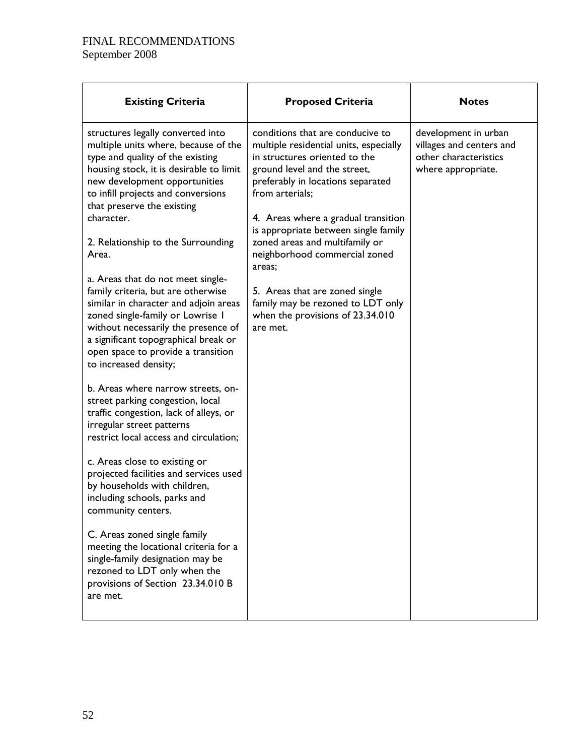| <b>Existing Criteria</b>                                                                                                                                                                                                                                                                                                                                                                                                                                                                                                                                                                                                         | <b>Proposed Criteria</b>                                                                                                                                                                                                                                                                                                                                                                                                                                                               | <b>Notes</b>                                                                                    |
|----------------------------------------------------------------------------------------------------------------------------------------------------------------------------------------------------------------------------------------------------------------------------------------------------------------------------------------------------------------------------------------------------------------------------------------------------------------------------------------------------------------------------------------------------------------------------------------------------------------------------------|----------------------------------------------------------------------------------------------------------------------------------------------------------------------------------------------------------------------------------------------------------------------------------------------------------------------------------------------------------------------------------------------------------------------------------------------------------------------------------------|-------------------------------------------------------------------------------------------------|
| structures legally converted into<br>multiple units where, because of the<br>type and quality of the existing<br>housing stock, it is desirable to limit<br>new development opportunities<br>to infill projects and conversions<br>that preserve the existing<br>character.<br>2. Relationship to the Surrounding<br>Area.<br>a. Areas that do not meet single-<br>family criteria, but are otherwise<br>similar in character and adjoin areas<br>zoned single-family or Lowrise I<br>without necessarily the presence of<br>a significant topographical break or<br>open space to provide a transition<br>to increased density; | conditions that are conducive to<br>multiple residential units, especially<br>in structures oriented to the<br>ground level and the street,<br>preferably in locations separated<br>from arterials;<br>4. Areas where a gradual transition<br>is appropriate between single family<br>zoned areas and multifamily or<br>neighborhood commercial zoned<br>areas;<br>5. Areas that are zoned single<br>family may be rezoned to LDT only<br>when the provisions of 23.34.010<br>are met. | development in urban<br>villages and centers and<br>other characteristics<br>where appropriate. |
| b. Areas where narrow streets, on-<br>street parking congestion, local<br>traffic congestion, lack of alleys, or<br>irregular street patterns<br>restrict local access and circulation;                                                                                                                                                                                                                                                                                                                                                                                                                                          |                                                                                                                                                                                                                                                                                                                                                                                                                                                                                        |                                                                                                 |
| c. Areas close to existing or<br>projected facilities and services used<br>by households with children,<br>including schools, parks and<br>community centers.                                                                                                                                                                                                                                                                                                                                                                                                                                                                    |                                                                                                                                                                                                                                                                                                                                                                                                                                                                                        |                                                                                                 |
| C. Areas zoned single family<br>meeting the locational criteria for a<br>single-family designation may be<br>rezoned to LDT only when the<br>provisions of Section 23.34.010 B<br>are met.                                                                                                                                                                                                                                                                                                                                                                                                                                       |                                                                                                                                                                                                                                                                                                                                                                                                                                                                                        |                                                                                                 |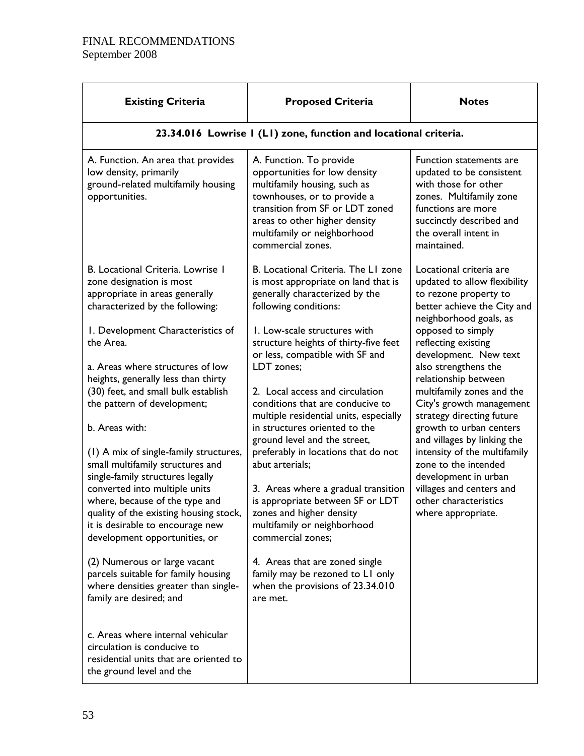| <b>Existing Criteria</b>                                                                                                               | <b>Proposed Criteria</b>                                                                                                                                                                                                                        | <b>Notes</b>                                                                                                                                                                                     |  |  |  |
|----------------------------------------------------------------------------------------------------------------------------------------|-------------------------------------------------------------------------------------------------------------------------------------------------------------------------------------------------------------------------------------------------|--------------------------------------------------------------------------------------------------------------------------------------------------------------------------------------------------|--|--|--|
| 23.34.016 Lowrise I (LI) zone, function and locational criteria.                                                                       |                                                                                                                                                                                                                                                 |                                                                                                                                                                                                  |  |  |  |
| A. Function. An area that provides<br>low density, primarily<br>ground-related multifamily housing<br>opportunities.                   | A. Function. To provide<br>opportunities for low density<br>multifamily housing, such as<br>townhouses, or to provide a<br>transition from SF or LDT zoned<br>areas to other higher density<br>multifamily or neighborhood<br>commercial zones. | Function statements are<br>updated to be consistent<br>with those for other<br>zones. Multifamily zone<br>functions are more<br>succinctly described and<br>the overall intent in<br>maintained. |  |  |  |
| B. Locational Criteria. Lowrise 1<br>zone designation is most<br>appropriate in areas generally<br>characterized by the following:     | B. Locational Criteria. The L1 zone<br>is most appropriate on land that is<br>generally characterized by the<br>following conditions:                                                                                                           | Locational criteria are<br>updated to allow flexibility<br>to rezone property to<br>better achieve the City and<br>neighborhood goals, as                                                        |  |  |  |
| I. Development Characteristics of<br>the Area.                                                                                         | I. Low-scale structures with<br>structure heights of thirty-five feet<br>or less, compatible with SF and                                                                                                                                        | opposed to simply<br>reflecting existing<br>development. New text                                                                                                                                |  |  |  |
| a. Areas where structures of low<br>heights, generally less than thirty                                                                | LDT zones;                                                                                                                                                                                                                                      | also strengthens the<br>relationship between                                                                                                                                                     |  |  |  |
| (30) feet, and small bulk establish<br>the pattern of development;                                                                     | 2. Local access and circulation<br>conditions that are conducive to<br>multiple residential units, especially                                                                                                                                   | multifamily zones and the<br>City's growth management<br>strategy directing future                                                                                                               |  |  |  |
| b. Areas with:                                                                                                                         | in structures oriented to the<br>ground level and the street,                                                                                                                                                                                   | growth to urban centers<br>and villages by linking the                                                                                                                                           |  |  |  |
| (1) A mix of single-family structures,<br>small multifamily structures and<br>single-family structures legally                         | preferably in locations that do not<br>abut arterials;                                                                                                                                                                                          | intensity of the multifamily<br>zone to the intended<br>development in urban                                                                                                                     |  |  |  |
| converted into multiple units<br>where, because of the type and                                                                        | 3. Areas where a gradual transition<br>is appropriate between SF or LDT                                                                                                                                                                         | villages and centers and<br>other characteristics                                                                                                                                                |  |  |  |
| quality of the existing housing stock,<br>it is desirable to encourage new<br>development opportunities, or                            | zones and higher density<br>multifamily or neighborhood<br>commercial zones;                                                                                                                                                                    | where appropriate.                                                                                                                                                                               |  |  |  |
| (2) Numerous or large vacant<br>parcels suitable for family housing<br>where densities greater than single-<br>family are desired; and | 4. Areas that are zoned single<br>family may be rezoned to LI only<br>when the provisions of 23.34.010<br>are met.                                                                                                                              |                                                                                                                                                                                                  |  |  |  |
| c. Areas where internal vehicular<br>circulation is conducive to<br>residential units that are oriented to<br>the ground level and the |                                                                                                                                                                                                                                                 |                                                                                                                                                                                                  |  |  |  |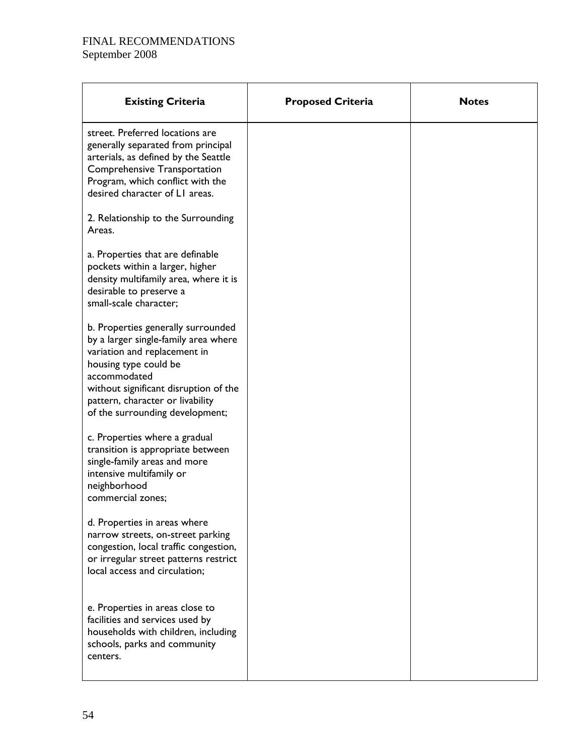| <b>Existing Criteria</b>                                                                                                                                                                                                                                            | <b>Proposed Criteria</b> | <b>Notes</b> |
|---------------------------------------------------------------------------------------------------------------------------------------------------------------------------------------------------------------------------------------------------------------------|--------------------------|--------------|
| street. Preferred locations are<br>generally separated from principal<br>arterials, as defined by the Seattle<br>Comprehensive Transportation<br>Program, which conflict with the<br>desired character of LI areas.                                                 |                          |              |
| 2. Relationship to the Surrounding<br>Areas.                                                                                                                                                                                                                        |                          |              |
| a. Properties that are definable<br>pockets within a larger, higher<br>density multifamily area, where it is<br>desirable to preserve a<br>small-scale character;                                                                                                   |                          |              |
| b. Properties generally surrounded<br>by a larger single-family area where<br>variation and replacement in<br>housing type could be<br>accommodated<br>without significant disruption of the<br>pattern, character or livability<br>of the surrounding development; |                          |              |
| c. Properties where a gradual<br>transition is appropriate between<br>single-family areas and more<br>intensive multifamily or<br>neighborhood<br>commercial zones;                                                                                                 |                          |              |
| d. Properties in areas where<br>narrow streets, on-street parking<br>congestion, local traffic congestion,<br>or irregular street patterns restrict<br>local access and circulation;                                                                                |                          |              |
| e. Properties in areas close to<br>facilities and services used by<br>households with children, including<br>schools, parks and community<br>centers.                                                                                                               |                          |              |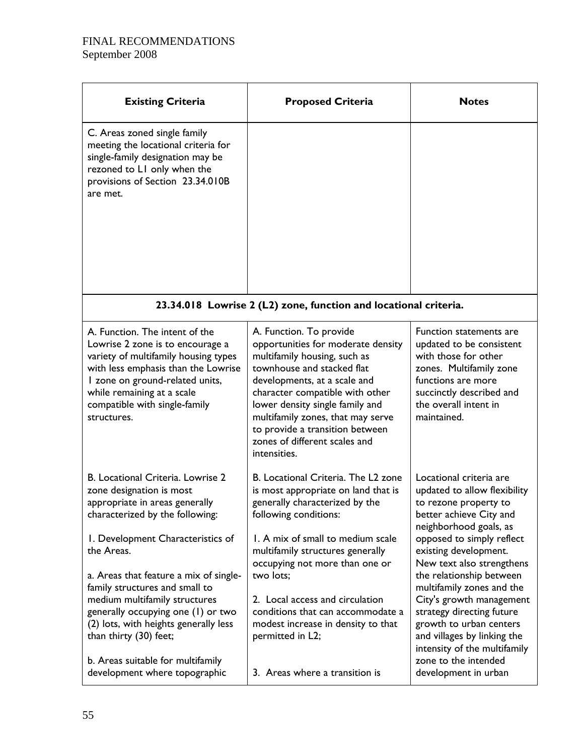| <b>Existing Criteria</b>                                                                                                                                                                                                                                                                                                                                                                                                                                                          | <b>Proposed Criteria</b>                                                                                                                                                                                                                                                                                                                                                                                                          | <b>Notes</b>                                                                                                                                                                                                                                                                                                                                                                                                                                                                         |
|-----------------------------------------------------------------------------------------------------------------------------------------------------------------------------------------------------------------------------------------------------------------------------------------------------------------------------------------------------------------------------------------------------------------------------------------------------------------------------------|-----------------------------------------------------------------------------------------------------------------------------------------------------------------------------------------------------------------------------------------------------------------------------------------------------------------------------------------------------------------------------------------------------------------------------------|--------------------------------------------------------------------------------------------------------------------------------------------------------------------------------------------------------------------------------------------------------------------------------------------------------------------------------------------------------------------------------------------------------------------------------------------------------------------------------------|
| C. Areas zoned single family<br>meeting the locational criteria for<br>single-family designation may be<br>rezoned to LI only when the<br>provisions of Section 23.34.010B<br>are met.                                                                                                                                                                                                                                                                                            |                                                                                                                                                                                                                                                                                                                                                                                                                                   |                                                                                                                                                                                                                                                                                                                                                                                                                                                                                      |
|                                                                                                                                                                                                                                                                                                                                                                                                                                                                                   | 23.34.018 Lowrise 2 (L2) zone, function and locational criteria.                                                                                                                                                                                                                                                                                                                                                                  |                                                                                                                                                                                                                                                                                                                                                                                                                                                                                      |
| A. Function. The intent of the<br>Lowrise 2 zone is to encourage a<br>variety of multifamily housing types<br>with less emphasis than the Lowrise<br>I zone on ground-related units,<br>while remaining at a scale<br>compatible with single-family<br>structures.                                                                                                                                                                                                                | A. Function. To provide<br>opportunities for moderate density<br>multifamily housing, such as<br>townhouse and stacked flat<br>developments, at a scale and<br>character compatible with other<br>lower density single family and<br>multifamily zones, that may serve<br>to provide a transition between<br>zones of different scales and<br>intensities.                                                                        | Function statements are<br>updated to be consistent<br>with those for other<br>zones. Multifamily zone<br>functions are more<br>succinctly described and<br>the overall intent in<br>maintained.                                                                                                                                                                                                                                                                                     |
| B. Locational Criteria. Lowrise 2<br>zone designation is most<br>appropriate in areas generally<br>characterized by the following:<br>I. Development Characteristics of<br>the Areas.<br>a. Areas that feature a mix of single-<br>family structures and small to<br>medium multifamily structures<br>generally occupying one (1) or two<br>(2) lots, with heights generally less<br>than thirty (30) feet;<br>b. Areas suitable for multifamily<br>development where topographic | B. Locational Criteria. The L2 zone<br>is most appropriate on land that is<br>generally characterized by the<br>following conditions:<br>1. A mix of small to medium scale<br>multifamily structures generally<br>occupying not more than one or<br>two lots;<br>2. Local access and circulation<br>conditions that can accommodate a<br>modest increase in density to that<br>permitted in L2;<br>3. Areas where a transition is | Locational criteria are<br>updated to allow flexibility<br>to rezone property to<br>better achieve City and<br>neighborhood goals, as<br>opposed to simply reflect<br>existing development.<br>New text also strengthens<br>the relationship between<br>multifamily zones and the<br>City's growth management<br>strategy directing future<br>growth to urban centers<br>and villages by linking the<br>intensity of the multifamily<br>zone to the intended<br>development in urban |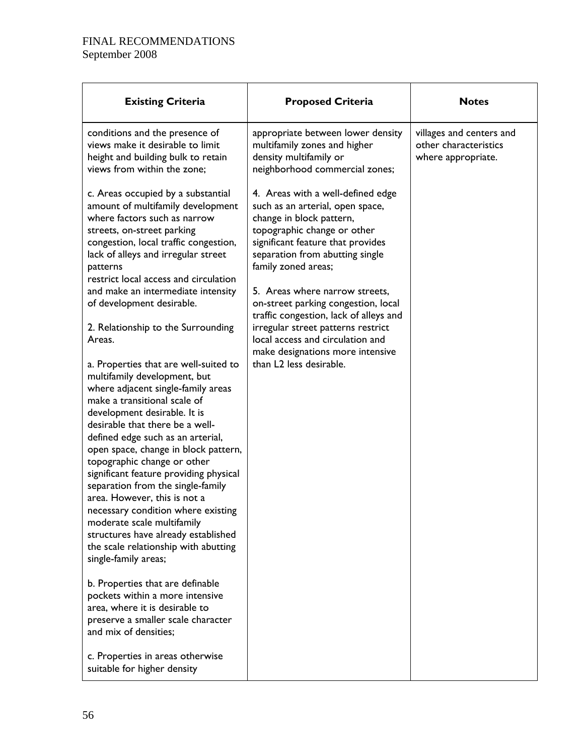| <b>Existing Criteria</b>                                                                                                                                                                                                                                                                                                                                                                                                                                                                                                                                                                                                                                                                                                                                                                                                                                                                                                                                                                                                                                                                                                                                                                                                          | <b>Proposed Criteria</b>                                                                                                                                                                                                                                                                                                                                                                                                                                                                    | <b>Notes</b>                                                            |
|-----------------------------------------------------------------------------------------------------------------------------------------------------------------------------------------------------------------------------------------------------------------------------------------------------------------------------------------------------------------------------------------------------------------------------------------------------------------------------------------------------------------------------------------------------------------------------------------------------------------------------------------------------------------------------------------------------------------------------------------------------------------------------------------------------------------------------------------------------------------------------------------------------------------------------------------------------------------------------------------------------------------------------------------------------------------------------------------------------------------------------------------------------------------------------------------------------------------------------------|---------------------------------------------------------------------------------------------------------------------------------------------------------------------------------------------------------------------------------------------------------------------------------------------------------------------------------------------------------------------------------------------------------------------------------------------------------------------------------------------|-------------------------------------------------------------------------|
| conditions and the presence of<br>views make it desirable to limit<br>height and building bulk to retain<br>views from within the zone;                                                                                                                                                                                                                                                                                                                                                                                                                                                                                                                                                                                                                                                                                                                                                                                                                                                                                                                                                                                                                                                                                           | appropriate between lower density<br>multifamily zones and higher<br>density multifamily or<br>neighborhood commercial zones;                                                                                                                                                                                                                                                                                                                                                               | villages and centers and<br>other characteristics<br>where appropriate. |
| c. Areas occupied by a substantial<br>amount of multifamily development<br>where factors such as narrow<br>streets, on-street parking<br>congestion, local traffic congestion,<br>lack of alleys and irregular street<br>patterns<br>restrict local access and circulation<br>and make an intermediate intensity<br>of development desirable.<br>2. Relationship to the Surrounding<br>Areas.<br>a. Properties that are well-suited to<br>multifamily development, but<br>where adjacent single-family areas<br>make a transitional scale of<br>development desirable. It is<br>desirable that there be a well-<br>defined edge such as an arterial,<br>open space, change in block pattern,<br>topographic change or other<br>significant feature providing physical<br>separation from the single-family<br>area. However, this is not a<br>necessary condition where existing<br>moderate scale multifamily<br>structures have already established<br>the scale relationship with abutting<br>single-family areas;<br>b. Properties that are definable<br>pockets within a more intensive<br>area, where it is desirable to<br>preserve a smaller scale character<br>and mix of densities;<br>c. Properties in areas otherwise | 4. Areas with a well-defined edge<br>such as an arterial, open space,<br>change in block pattern,<br>topographic change or other<br>significant feature that provides<br>separation from abutting single<br>family zoned areas;<br>5. Areas where narrow streets,<br>on-street parking congestion, local<br>traffic congestion, lack of alleys and<br>irregular street patterns restrict<br>local access and circulation and<br>make designations more intensive<br>than L2 less desirable. |                                                                         |
| suitable for higher density                                                                                                                                                                                                                                                                                                                                                                                                                                                                                                                                                                                                                                                                                                                                                                                                                                                                                                                                                                                                                                                                                                                                                                                                       |                                                                                                                                                                                                                                                                                                                                                                                                                                                                                             |                                                                         |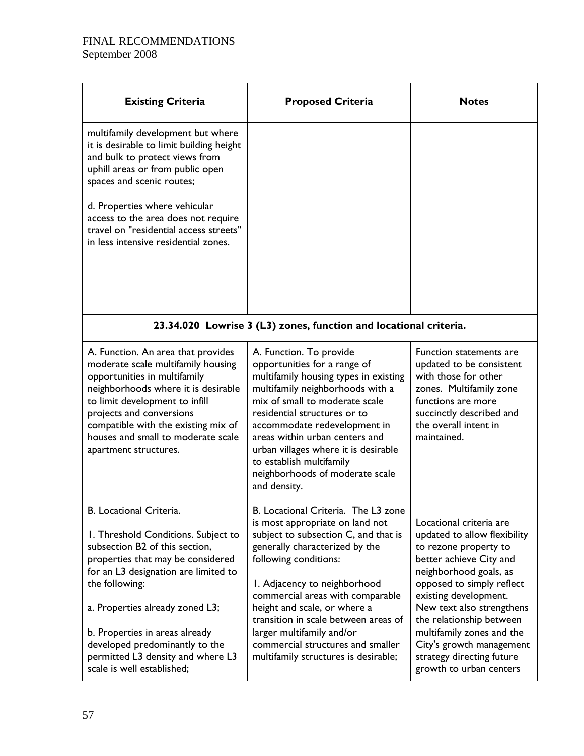| <b>Existing Criteria</b>                                                                                                                                                                                                                                                                                                                                                  | <b>Proposed Criteria</b>                                                                                                                                                                                                                                                                                                                                                                                                        | <b>Notes</b>                                                                                                                                                                                                                                                                                                                                                          |
|---------------------------------------------------------------------------------------------------------------------------------------------------------------------------------------------------------------------------------------------------------------------------------------------------------------------------------------------------------------------------|---------------------------------------------------------------------------------------------------------------------------------------------------------------------------------------------------------------------------------------------------------------------------------------------------------------------------------------------------------------------------------------------------------------------------------|-----------------------------------------------------------------------------------------------------------------------------------------------------------------------------------------------------------------------------------------------------------------------------------------------------------------------------------------------------------------------|
| multifamily development but where<br>it is desirable to limit building height<br>and bulk to protect views from<br>uphill areas or from public open<br>spaces and scenic routes;<br>d. Properties where vehicular<br>access to the area does not require<br>travel on "residential access streets"<br>in less intensive residential zones.                                |                                                                                                                                                                                                                                                                                                                                                                                                                                 |                                                                                                                                                                                                                                                                                                                                                                       |
|                                                                                                                                                                                                                                                                                                                                                                           | 23.34.020 Lowrise 3 (L3) zones, function and locational criteria.                                                                                                                                                                                                                                                                                                                                                               |                                                                                                                                                                                                                                                                                                                                                                       |
| A. Function. An area that provides<br>moderate scale multifamily housing<br>opportunities in multifamily<br>neighborhoods where it is desirable<br>to limit development to infill<br>projects and conversions<br>compatible with the existing mix of<br>houses and small to moderate scale<br>apartment structures.                                                       | A. Function. To provide<br>opportunities for a range of<br>multifamily housing types in existing<br>multifamily neighborhoods with a<br>mix of small to moderate scale<br>residential structures or to<br>accommodate redevelopment in<br>areas within urban centers and<br>urban villages where it is desirable<br>to establish multifamily<br>neighborhoods of moderate scale<br>and density.                                 | Function statements are<br>updated to be consistent<br>with those for other<br>zones. Multifamily zone<br>functions are more<br>succinctly described and<br>the overall intent in<br>maintained.                                                                                                                                                                      |
| B. Locational Criteria.<br>I. Threshold Conditions. Subject to<br>subsection B2 of this section,<br>properties that may be considered<br>for an L3 designation are limited to<br>the following:<br>a. Properties already zoned L3;<br>b. Properties in areas already<br>developed predominantly to the<br>permitted L3 density and where L3<br>scale is well established; | B. Locational Criteria. The L3 zone<br>is most appropriate on land not<br>subject to subsection C, and that is<br>generally characterized by the<br>following conditions:<br>I. Adjacency to neighborhood<br>commercial areas with comparable<br>height and scale, or where a<br>transition in scale between areas of<br>larger multifamily and/or<br>commercial structures and smaller<br>multifamily structures is desirable; | Locational criteria are<br>updated to allow flexibility<br>to rezone property to<br>better achieve City and<br>neighborhood goals, as<br>opposed to simply reflect<br>existing development.<br>New text also strengthens<br>the relationship between<br>multifamily zones and the<br>City's growth management<br>strategy directing future<br>growth to urban centers |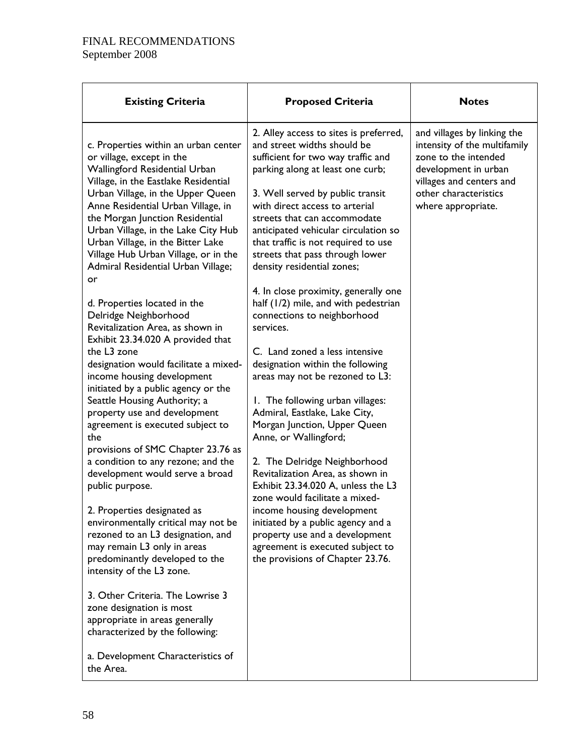| <b>Existing Criteria</b>                                                                                                                                                                                                                                                                                                                                                                                                                                                                                                                                                                                                                                                                                                                                                                                                                                                                                                                                                                                                                                                                                                                                                                                                                                                                                                | <b>Proposed Criteria</b>                                                                                                                                                                                                                                                                                                                                                                                                                                                                                                                                                                                                                                                                                                                                                                                                                                                                                                                                                                                                                                                                           | <b>Notes</b>                                                                                                                                                                           |
|-------------------------------------------------------------------------------------------------------------------------------------------------------------------------------------------------------------------------------------------------------------------------------------------------------------------------------------------------------------------------------------------------------------------------------------------------------------------------------------------------------------------------------------------------------------------------------------------------------------------------------------------------------------------------------------------------------------------------------------------------------------------------------------------------------------------------------------------------------------------------------------------------------------------------------------------------------------------------------------------------------------------------------------------------------------------------------------------------------------------------------------------------------------------------------------------------------------------------------------------------------------------------------------------------------------------------|----------------------------------------------------------------------------------------------------------------------------------------------------------------------------------------------------------------------------------------------------------------------------------------------------------------------------------------------------------------------------------------------------------------------------------------------------------------------------------------------------------------------------------------------------------------------------------------------------------------------------------------------------------------------------------------------------------------------------------------------------------------------------------------------------------------------------------------------------------------------------------------------------------------------------------------------------------------------------------------------------------------------------------------------------------------------------------------------------|----------------------------------------------------------------------------------------------------------------------------------------------------------------------------------------|
| c. Properties within an urban center<br>or village, except in the<br>Wallingford Residential Urban<br>Village, in the Eastlake Residential<br>Urban Village, in the Upper Queen<br>Anne Residential Urban Village, in<br>the Morgan Junction Residential<br>Urban Village, in the Lake City Hub<br>Urban Village, in the Bitter Lake<br>Village Hub Urban Village, or in the<br>Admiral Residential Urban Village;<br>or<br>d. Properties located in the<br>Delridge Neighborhood<br>Revitalization Area, as shown in<br>Exhibit 23.34.020 A provided that<br>the L3 zone<br>designation would facilitate a mixed-<br>income housing development<br>initiated by a public agency or the<br>Seattle Housing Authority; a<br>property use and development<br>agreement is executed subject to<br>the<br>provisions of SMC Chapter 23.76 as<br>a condition to any rezone; and the<br>development would serve a broad<br>public purpose.<br>2. Properties designated as<br>environmentally critical may not be<br>rezoned to an L3 designation, and<br>may remain L3 only in areas<br>predominantly developed to the<br>intensity of the L3 zone.<br>3. Other Criteria. The Lowrise 3<br>zone designation is most<br>appropriate in areas generally<br>characterized by the following:<br>a. Development Characteristics of | 2. Alley access to sites is preferred,<br>and street widths should be<br>sufficient for two way traffic and<br>parking along at least one curb;<br>3. Well served by public transit<br>with direct access to arterial<br>streets that can accommodate<br>anticipated vehicular circulation so<br>that traffic is not required to use<br>streets that pass through lower<br>density residential zones;<br>4. In close proximity, generally one<br>half (1/2) mile, and with pedestrian<br>connections to neighborhood<br>services.<br>C. Land zoned a less intensive<br>designation within the following<br>areas may not be rezoned to L3:<br>1. The following urban villages:<br>Admiral, Eastlake, Lake City,<br>Morgan Junction, Upper Queen<br>Anne, or Wallingford;<br>2. The Delridge Neighborhood<br>Revitalization Area, as shown in<br>Exhibit 23.34.020 A, unless the L3<br>zone would facilitate a mixed-<br>income housing development<br>initiated by a public agency and a<br>property use and a development<br>agreement is executed subject to<br>the provisions of Chapter 23.76. | and villages by linking the<br>intensity of the multifamily<br>zone to the intended<br>development in urban<br>villages and centers and<br>other characteristics<br>where appropriate. |
| the Area.                                                                                                                                                                                                                                                                                                                                                                                                                                                                                                                                                                                                                                                                                                                                                                                                                                                                                                                                                                                                                                                                                                                                                                                                                                                                                                               |                                                                                                                                                                                                                                                                                                                                                                                                                                                                                                                                                                                                                                                                                                                                                                                                                                                                                                                                                                                                                                                                                                    |                                                                                                                                                                                        |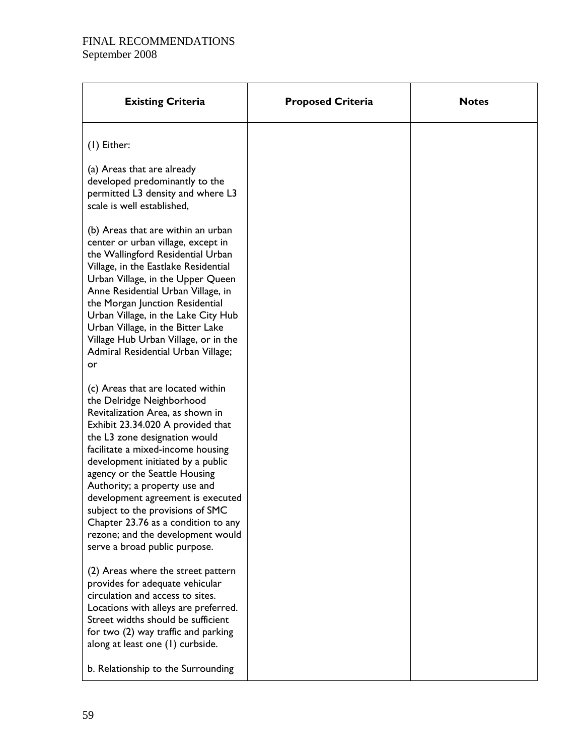| <b>Existing Criteria</b>                                                                                                                                                                                                                                                                                                                                                                                                                                                                                   | <b>Proposed Criteria</b> | <b>Notes</b> |
|------------------------------------------------------------------------------------------------------------------------------------------------------------------------------------------------------------------------------------------------------------------------------------------------------------------------------------------------------------------------------------------------------------------------------------------------------------------------------------------------------------|--------------------------|--------------|
| $(1)$ Either:                                                                                                                                                                                                                                                                                                                                                                                                                                                                                              |                          |              |
| (a) Areas that are already<br>developed predominantly to the<br>permitted L3 density and where L3<br>scale is well established,                                                                                                                                                                                                                                                                                                                                                                            |                          |              |
| (b) Areas that are within an urban<br>center or urban village, except in<br>the Wallingford Residential Urban<br>Village, in the Eastlake Residential<br>Urban Village, in the Upper Queen<br>Anne Residential Urban Village, in<br>the Morgan Junction Residential<br>Urban Village, in the Lake City Hub<br>Urban Village, in the Bitter Lake<br>Village Hub Urban Village, or in the<br>Admiral Residential Urban Village;<br>or                                                                        |                          |              |
| (c) Areas that are located within<br>the Delridge Neighborhood<br>Revitalization Area, as shown in<br>Exhibit 23.34.020 A provided that<br>the L3 zone designation would<br>facilitate a mixed-income housing<br>development initiated by a public<br>agency or the Seattle Housing<br>Authority; a property use and<br>development agreement is executed<br>subject to the provisions of SMC<br>Chapter 23.76 as a condition to any<br>rezone; and the development would<br>serve a broad public purpose. |                          |              |
| (2) Areas where the street pattern<br>provides for adequate vehicular<br>circulation and access to sites.<br>Locations with alleys are preferred.<br>Street widths should be sufficient<br>for two (2) way traffic and parking<br>along at least one (1) curbside.<br>b. Relationship to the Surrounding                                                                                                                                                                                                   |                          |              |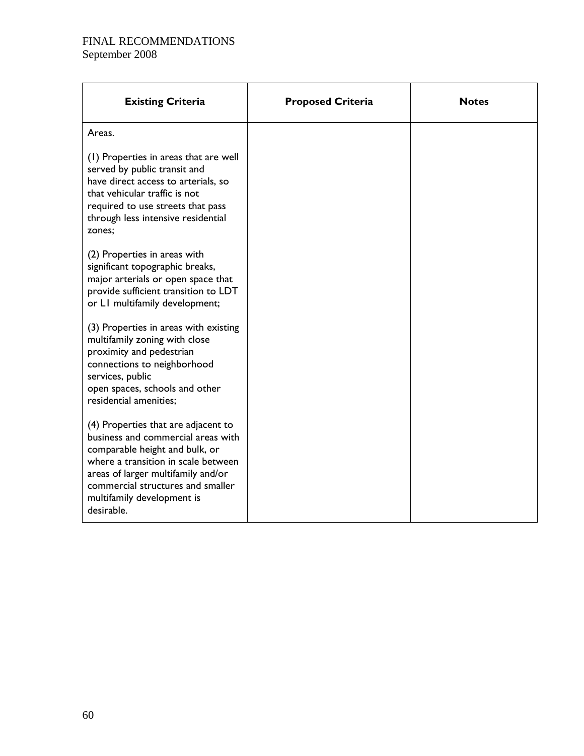| <b>Existing Criteria</b>                                                                                                                                                                                                                                                  | <b>Proposed Criteria</b> | <b>Notes</b> |
|---------------------------------------------------------------------------------------------------------------------------------------------------------------------------------------------------------------------------------------------------------------------------|--------------------------|--------------|
| Areas.                                                                                                                                                                                                                                                                    |                          |              |
| (1) Properties in areas that are well<br>served by public transit and<br>have direct access to arterials, so<br>that vehicular traffic is not<br>required to use streets that pass<br>through less intensive residential<br>zones;                                        |                          |              |
| (2) Properties in areas with<br>significant topographic breaks,<br>major arterials or open space that<br>provide sufficient transition to LDT<br>or LI multifamily development;                                                                                           |                          |              |
| (3) Properties in areas with existing<br>multifamily zoning with close<br>proximity and pedestrian<br>connections to neighborhood<br>services, public<br>open spaces, schools and other<br>residential amenities;                                                         |                          |              |
| (4) Properties that are adjacent to<br>business and commercial areas with<br>comparable height and bulk, or<br>where a transition in scale between<br>areas of larger multifamily and/or<br>commercial structures and smaller<br>multifamily development is<br>desirable. |                          |              |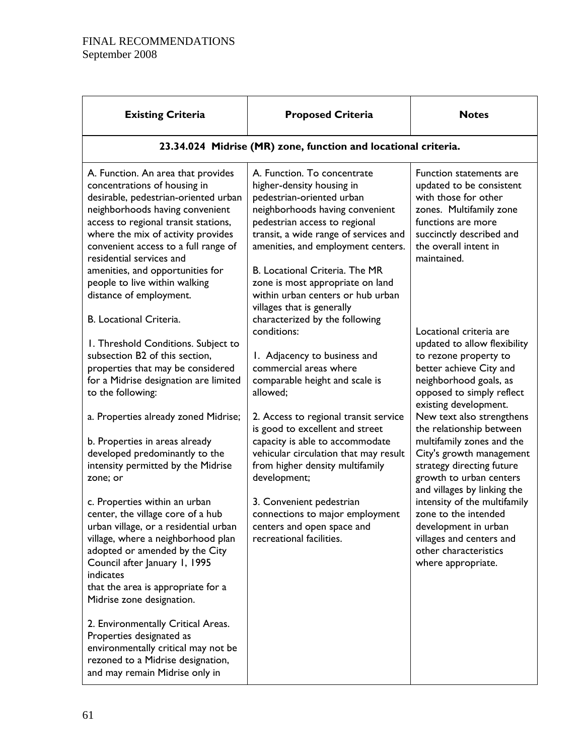| <b>Existing Criteria</b>                                                                                                                                                                                                                                                                                                                                                                                                   | <b>Proposed Criteria</b>                                                                                                                                                                                                                                                                                                                                                                                            | <b>Notes</b>                                                                                                                                                                                          |  |  |
|----------------------------------------------------------------------------------------------------------------------------------------------------------------------------------------------------------------------------------------------------------------------------------------------------------------------------------------------------------------------------------------------------------------------------|---------------------------------------------------------------------------------------------------------------------------------------------------------------------------------------------------------------------------------------------------------------------------------------------------------------------------------------------------------------------------------------------------------------------|-------------------------------------------------------------------------------------------------------------------------------------------------------------------------------------------------------|--|--|
|                                                                                                                                                                                                                                                                                                                                                                                                                            | 23.34.024 Midrise (MR) zone, function and locational criteria.                                                                                                                                                                                                                                                                                                                                                      |                                                                                                                                                                                                       |  |  |
| A. Function. An area that provides<br>concentrations of housing in<br>desirable, pedestrian-oriented urban<br>neighborhoods having convenient<br>access to regional transit stations,<br>where the mix of activity provides<br>convenient access to a full range of<br>residential services and<br>amenities, and opportunities for<br>people to live within walking<br>distance of employment.<br>B. Locational Criteria. | A. Function. To concentrate<br>higher-density housing in<br>pedestrian-oriented urban<br>neighborhoods having convenient<br>pedestrian access to regional<br>transit, a wide range of services and<br>amenities, and employment centers.<br>B. Locational Criteria. The MR<br>zone is most appropriate on land<br>within urban centers or hub urban<br>villages that is generally<br>characterized by the following | Function statements are<br>updated to be consistent<br>with those for other<br>zones. Multifamily zone<br>functions are more<br>succinctly described and<br>the overall intent in<br>maintained.      |  |  |
| I. Threshold Conditions. Subject to<br>subsection B2 of this section,<br>properties that may be considered<br>for a Midrise designation are limited<br>to the following:                                                                                                                                                                                                                                                   | conditions:<br>1. Adjacency to business and<br>commercial areas where<br>comparable height and scale is<br>allowed;                                                                                                                                                                                                                                                                                                 | Locational criteria are<br>updated to allow flexibility<br>to rezone property to<br>better achieve City and<br>neighborhood goals, as<br>opposed to simply reflect<br>existing development.           |  |  |
| a. Properties already zoned Midrise;<br>b. Properties in areas already<br>developed predominantly to the<br>intensity permitted by the Midrise<br>zone; or                                                                                                                                                                                                                                                                 | 2. Access to regional transit service<br>is good to excellent and street<br>capacity is able to accommodate<br>vehicular circulation that may result<br>from higher density multifamily<br>development;                                                                                                                                                                                                             | New text also strengthens<br>the relationship between<br>multifamily zones and the<br>City's growth management<br>strategy directing future<br>growth to urban centers<br>and villages by linking the |  |  |
| c. Properties within an urban<br>center, the village core of a hub<br>urban village, or a residential urban<br>village, where a neighborhood plan<br>adopted or amended by the City<br>Council after January 1, 1995<br>indicates<br>that the area is appropriate for a<br>Midrise zone designation.                                                                                                                       | 3. Convenient pedestrian<br>connections to major employment<br>centers and open space and<br>recreational facilities.                                                                                                                                                                                                                                                                                               | intensity of the multifamily<br>zone to the intended<br>development in urban<br>villages and centers and<br>other characteristics<br>where appropriate.                                               |  |  |
| 2. Environmentally Critical Areas.<br>Properties designated as<br>environmentally critical may not be<br>rezoned to a Midrise designation,<br>and may remain Midrise only in                                                                                                                                                                                                                                               |                                                                                                                                                                                                                                                                                                                                                                                                                     |                                                                                                                                                                                                       |  |  |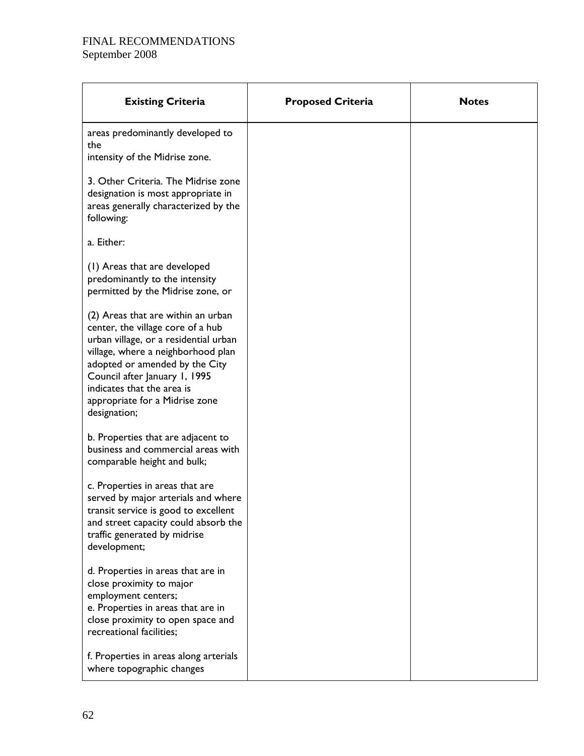| <b>Existing Criteria</b>                                                                                                                                                                                                                                                                                  | <b>Proposed Criteria</b> | <b>Notes</b> |
|-----------------------------------------------------------------------------------------------------------------------------------------------------------------------------------------------------------------------------------------------------------------------------------------------------------|--------------------------|--------------|
| areas predominantly developed to<br>the                                                                                                                                                                                                                                                                   |                          |              |
| intensity of the Midrise zone.                                                                                                                                                                                                                                                                            |                          |              |
| 3. Other Criteria. The Midrise zone<br>designation is most appropriate in<br>areas generally characterized by the<br>following:                                                                                                                                                                           |                          |              |
| a. Either:                                                                                                                                                                                                                                                                                                |                          |              |
| (1) Areas that are developed<br>predominantly to the intensity<br>permitted by the Midrise zone, or                                                                                                                                                                                                       |                          |              |
| (2) Areas that are within an urban<br>center, the village core of a hub<br>urban village, or a residential urban<br>village, where a neighborhood plan<br>adopted or amended by the City<br>Council after January 1, 1995<br>indicates that the area is<br>appropriate for a Midrise zone<br>designation; |                          |              |
| b. Properties that are adjacent to<br>business and commercial areas with<br>comparable height and bulk;                                                                                                                                                                                                   |                          |              |
| c. Properties in areas that are<br>served by major arterials and where<br>transit service is good to excellent<br>and street capacity could absorb the<br>traffic generated by midrise<br>development;                                                                                                    |                          |              |
| d. Properties in areas that are in<br>close proximity to major<br>employment centers;<br>e. Properties in areas that are in<br>close proximity to open space and<br>recreational facilities;                                                                                                              |                          |              |
| f. Properties in areas along arterials<br>where topographic changes                                                                                                                                                                                                                                       |                          |              |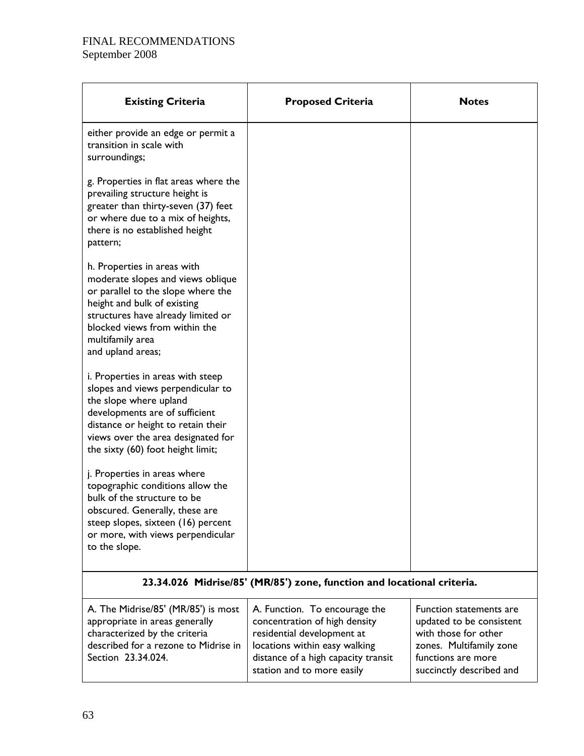| <b>Existing Criteria</b>                                                                                                                                                                                                                              | <b>Proposed Criteria</b>                                                                                                                                                                           | <b>Notes</b>                                                                                                                                             |
|-------------------------------------------------------------------------------------------------------------------------------------------------------------------------------------------------------------------------------------------------------|----------------------------------------------------------------------------------------------------------------------------------------------------------------------------------------------------|----------------------------------------------------------------------------------------------------------------------------------------------------------|
| either provide an edge or permit a<br>transition in scale with<br>surroundings;                                                                                                                                                                       |                                                                                                                                                                                                    |                                                                                                                                                          |
| g. Properties in flat areas where the<br>prevailing structure height is<br>greater than thirty-seven (37) feet<br>or where due to a mix of heights,<br>there is no established height<br>pattern;                                                     |                                                                                                                                                                                                    |                                                                                                                                                          |
| h. Properties in areas with<br>moderate slopes and views oblique<br>or parallel to the slope where the<br>height and bulk of existing<br>structures have already limited or<br>blocked views from within the<br>multifamily area<br>and upland areas; |                                                                                                                                                                                                    |                                                                                                                                                          |
| i. Properties in areas with steep<br>slopes and views perpendicular to<br>the slope where upland<br>developments are of sufficient<br>distance or height to retain their<br>views over the area designated for<br>the sixty (60) foot height limit;   |                                                                                                                                                                                                    |                                                                                                                                                          |
| j. Properties in areas where<br>topographic conditions allow the<br>bulk of the structure to be<br>obscured. Generally, these are<br>steep slopes, sixteen (16) percent<br>or more, with views perpendicular<br>to the slope.                         |                                                                                                                                                                                                    |                                                                                                                                                          |
|                                                                                                                                                                                                                                                       | 23.34.026 Midrise/85' (MR/85') zone, function and locational criteria.                                                                                                                             |                                                                                                                                                          |
| A. The Midrise/85' (MR/85') is most<br>appropriate in areas generally<br>characterized by the criteria<br>described for a rezone to Midrise in<br>Section 23.34.024.                                                                                  | A. Function. To encourage the<br>concentration of high density<br>residential development at<br>locations within easy walking<br>distance of a high capacity transit<br>station and to more easily | Function statements are<br>updated to be consistent<br>with those for other<br>zones. Multifamily zone<br>functions are more<br>succinctly described and |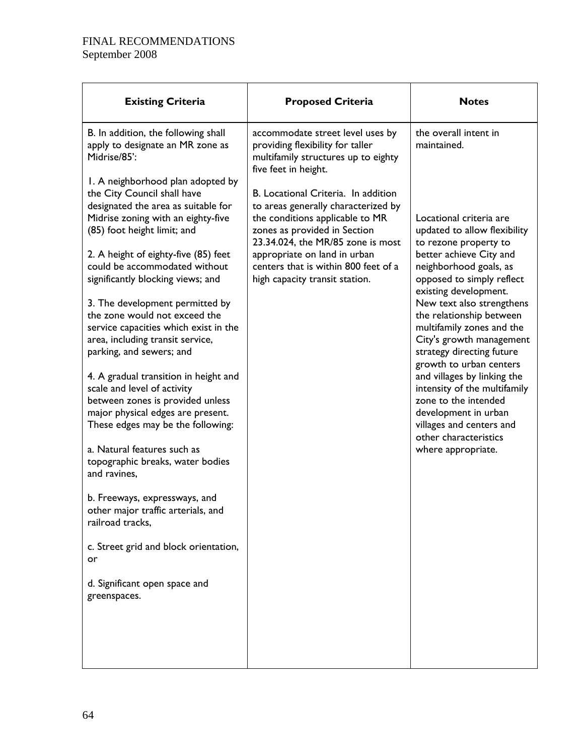| <b>Existing Criteria</b>                                                                                                                                                                                                                                                                   | <b>Proposed Criteria</b>                                                                                                                                                                                                                                                                     | <b>Notes</b>                                                                                                                                                                                |
|--------------------------------------------------------------------------------------------------------------------------------------------------------------------------------------------------------------------------------------------------------------------------------------------|----------------------------------------------------------------------------------------------------------------------------------------------------------------------------------------------------------------------------------------------------------------------------------------------|---------------------------------------------------------------------------------------------------------------------------------------------------------------------------------------------|
| B. In addition, the following shall<br>apply to designate an MR zone as<br>Midrise/85':                                                                                                                                                                                                    | accommodate street level uses by<br>providing flexibility for taller<br>multifamily structures up to eighty<br>five feet in height.                                                                                                                                                          | the overall intent in<br>maintained.                                                                                                                                                        |
| I. A neighborhood plan adopted by<br>the City Council shall have<br>designated the area as suitable for<br>Midrise zoning with an eighty-five<br>(85) foot height limit; and<br>2. A height of eighty-five (85) feet<br>could be accommodated without<br>significantly blocking views; and | B. Locational Criteria. In addition<br>to areas generally characterized by<br>the conditions applicable to MR<br>zones as provided in Section<br>23.34.024, the MR/85 zone is most<br>appropriate on land in urban<br>centers that is within 800 feet of a<br>high capacity transit station. | Locational criteria are<br>updated to allow flexibility<br>to rezone property to<br>better achieve City and<br>neighborhood goals, as<br>opposed to simply reflect<br>existing development. |
| 3. The development permitted by<br>the zone would not exceed the<br>service capacities which exist in the<br>area, including transit service,<br>parking, and sewers; and                                                                                                                  |                                                                                                                                                                                                                                                                                              | New text also strengthens<br>the relationship between<br>multifamily zones and the<br>City's growth management<br>strategy directing future<br>growth to urban centers                      |
| 4. A gradual transition in height and<br>scale and level of activity<br>between zones is provided unless<br>major physical edges are present.<br>These edges may be the following:                                                                                                         |                                                                                                                                                                                                                                                                                              | and villages by linking the<br>intensity of the multifamily<br>zone to the intended<br>development in urban<br>villages and centers and<br>other characteristics                            |
| a. Natural features such as<br>topographic breaks, water bodies<br>and ravines,                                                                                                                                                                                                            |                                                                                                                                                                                                                                                                                              | where appropriate.                                                                                                                                                                          |
| b. Freeways, expressways, and<br>other major traffic arterials, and<br>railroad tracks,                                                                                                                                                                                                    |                                                                                                                                                                                                                                                                                              |                                                                                                                                                                                             |
| c. Street grid and block orientation,<br>or                                                                                                                                                                                                                                                |                                                                                                                                                                                                                                                                                              |                                                                                                                                                                                             |
| d. Significant open space and<br>greenspaces.                                                                                                                                                                                                                                              |                                                                                                                                                                                                                                                                                              |                                                                                                                                                                                             |
|                                                                                                                                                                                                                                                                                            |                                                                                                                                                                                                                                                                                              |                                                                                                                                                                                             |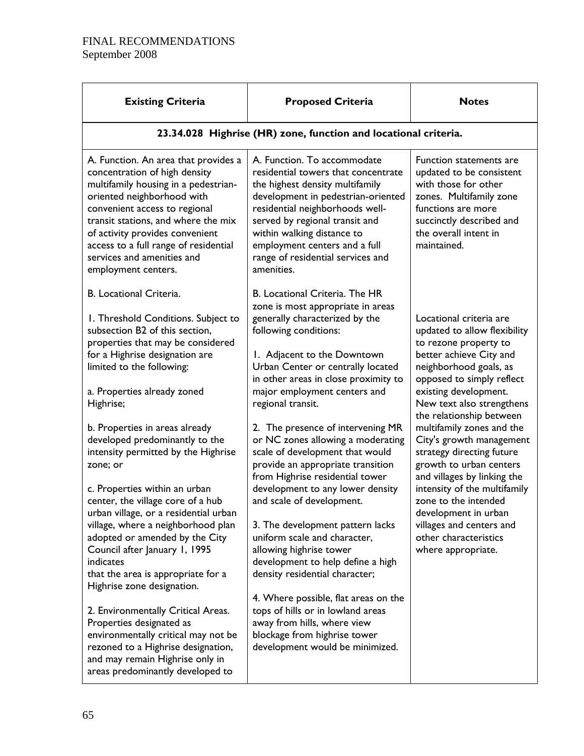| <b>Proposed Criteria</b>                                                                                                                                                                                                                                                                                                                          | <b>Notes</b>                                                                                                                                                                                                                                         |  |
|---------------------------------------------------------------------------------------------------------------------------------------------------------------------------------------------------------------------------------------------------------------------------------------------------------------------------------------------------|------------------------------------------------------------------------------------------------------------------------------------------------------------------------------------------------------------------------------------------------------|--|
| 23.34.028 Highrise (HR) zone, function and locational criteria.                                                                                                                                                                                                                                                                                   |                                                                                                                                                                                                                                                      |  |
| A. Function. To accommodate<br>residential towers that concentrate<br>the highest density multifamily<br>development in pedestrian-oriented<br>residential neighborhoods well-<br>served by regional transit and<br>within walking distance to<br>employment centers and a full<br>range of residential services and<br>amenities.                | Function statements are<br>updated to be consistent<br>with those for other<br>zones. Multifamily zone<br>functions are more<br>succinctly described and<br>the overall intent in<br>maintained.                                                     |  |
| B. Locational Criteria. The HR<br>zone is most appropriate in areas<br>generally characterized by the<br>following conditions:<br>I. Adjacent to the Downtown<br>Urban Center or centrally located<br>in other areas in close proximity to<br>major employment centers and<br>regional transit.                                                   | Locational criteria are<br>updated to allow flexibility<br>to rezone property to<br>better achieve City and<br>neighborhood goals, as<br>opposed to simply reflect<br>existing development.<br>New text also strengthens<br>the relationship between |  |
| 2. The presence of intervening MR<br>or NC zones allowing a moderating<br>scale of development that would<br>provide an appropriate transition<br>from Highrise residential tower<br>development to any lower density<br>and scale of development.                                                                                                | multifamily zones and the<br>City's growth management<br>strategy directing future<br>growth to urban centers<br>and villages by linking the<br>intensity of the multifamily<br>zone to the intended<br>development in urban                         |  |
| 3. The development pattern lacks<br>uniform scale and character,<br>allowing highrise tower<br>development to help define a high<br>density residential character;<br>4. Where possible, flat areas on the<br>tops of hills or in lowland areas<br>away from hills, where view<br>blockage from highrise tower<br>development would be minimized. | villages and centers and<br>other characteristics<br>where appropriate.                                                                                                                                                                              |  |
|                                                                                                                                                                                                                                                                                                                                                   |                                                                                                                                                                                                                                                      |  |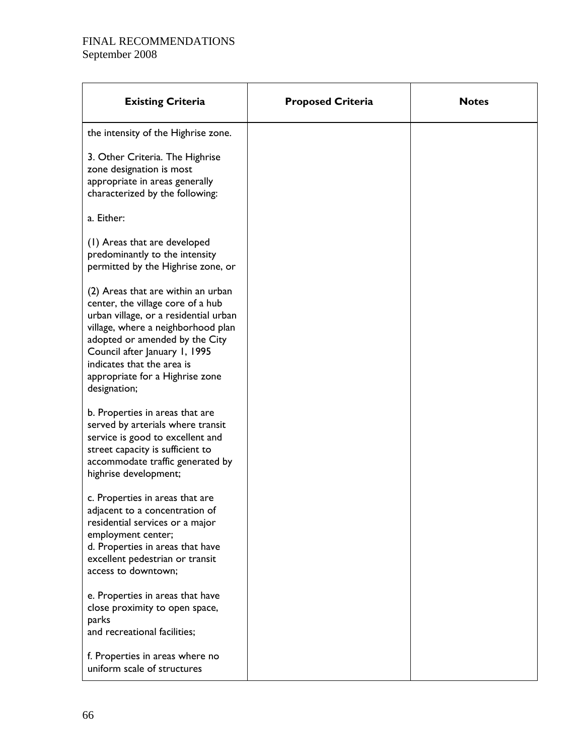| <b>Existing Criteria</b>                                                                                                                                                                                                                                                                                   | <b>Proposed Criteria</b> | <b>Notes</b> |
|------------------------------------------------------------------------------------------------------------------------------------------------------------------------------------------------------------------------------------------------------------------------------------------------------------|--------------------------|--------------|
| the intensity of the Highrise zone.                                                                                                                                                                                                                                                                        |                          |              |
| 3. Other Criteria. The Highrise<br>zone designation is most<br>appropriate in areas generally<br>characterized by the following:                                                                                                                                                                           |                          |              |
| a. Either:                                                                                                                                                                                                                                                                                                 |                          |              |
| (1) Areas that are developed<br>predominantly to the intensity<br>permitted by the Highrise zone, or                                                                                                                                                                                                       |                          |              |
| (2) Areas that are within an urban<br>center, the village core of a hub<br>urban village, or a residential urban<br>village, where a neighborhood plan<br>adopted or amended by the City<br>Council after January 1, 1995<br>indicates that the area is<br>appropriate for a Highrise zone<br>designation; |                          |              |
| b. Properties in areas that are<br>served by arterials where transit<br>service is good to excellent and<br>street capacity is sufficient to<br>accommodate traffic generated by<br>highrise development;                                                                                                  |                          |              |
| c. Properties in areas that are<br>adjacent to a concentration of<br>residential services or a major<br>employment center;<br>d. Properties in areas that have<br>excellent pedestrian or transit<br>access to downtown;                                                                                   |                          |              |
| e. Properties in areas that have<br>close proximity to open space,<br>parks<br>and recreational facilities;                                                                                                                                                                                                |                          |              |
| f. Properties in areas where no<br>uniform scale of structures                                                                                                                                                                                                                                             |                          |              |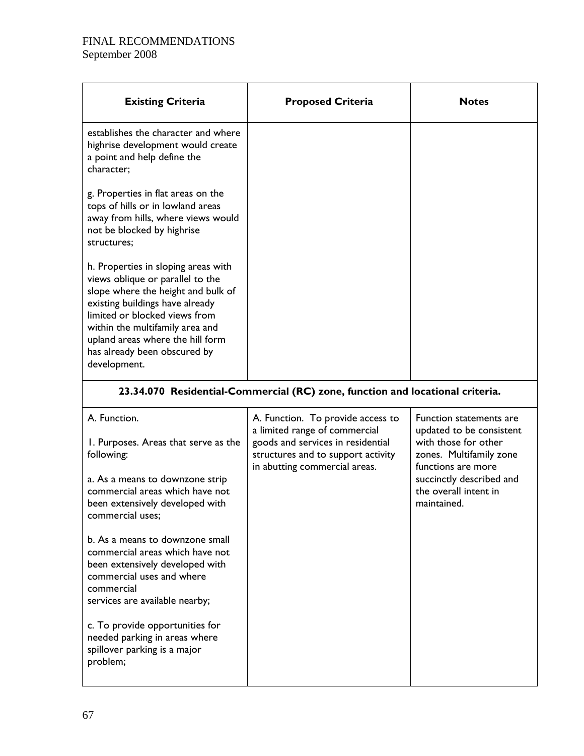| <b>Existing Criteria</b>                                                                                                                                                                                                                                                                                 | <b>Proposed Criteria</b>                                                                                                                                                       | <b>Notes</b>                                                                                                                                                                                     |
|----------------------------------------------------------------------------------------------------------------------------------------------------------------------------------------------------------------------------------------------------------------------------------------------------------|--------------------------------------------------------------------------------------------------------------------------------------------------------------------------------|--------------------------------------------------------------------------------------------------------------------------------------------------------------------------------------------------|
| establishes the character and where<br>highrise development would create<br>a point and help define the<br>character;                                                                                                                                                                                    |                                                                                                                                                                                |                                                                                                                                                                                                  |
| g. Properties in flat areas on the<br>tops of hills or in lowland areas<br>away from hills, where views would<br>not be blocked by highrise<br>structures;                                                                                                                                               |                                                                                                                                                                                |                                                                                                                                                                                                  |
| h. Properties in sloping areas with<br>views oblique or parallel to the<br>slope where the height and bulk of<br>existing buildings have already<br>limited or blocked views from<br>within the multifamily area and<br>upland areas where the hill form<br>has already been obscured by<br>development. |                                                                                                                                                                                |                                                                                                                                                                                                  |
|                                                                                                                                                                                                                                                                                                          | 23.34.070 Residential-Commercial (RC) zone, function and locational criteria.                                                                                                  |                                                                                                                                                                                                  |
| A. Function.<br>I. Purposes. Areas that serve as the<br>following:<br>a. As a means to downzone strip<br>commercial areas which have not<br>been extensively developed with<br>commercial uses;                                                                                                          | A. Function. To provide access to<br>a limited range of commercial<br>goods and services in residential<br>structures and to support activity<br>in abutting commercial areas. | Function statements are<br>updated to be consistent<br>with those for other<br>zones. Multifamily zone<br>functions are more<br>succinctly described and<br>the overall intent in<br>maintained. |
| b. As a means to downzone small<br>commercial areas which have not<br>been extensively developed with<br>commercial uses and where<br>commercial<br>services are available nearby;                                                                                                                       |                                                                                                                                                                                |                                                                                                                                                                                                  |
| c. To provide opportunities for                                                                                                                                                                                                                                                                          |                                                                                                                                                                                |                                                                                                                                                                                                  |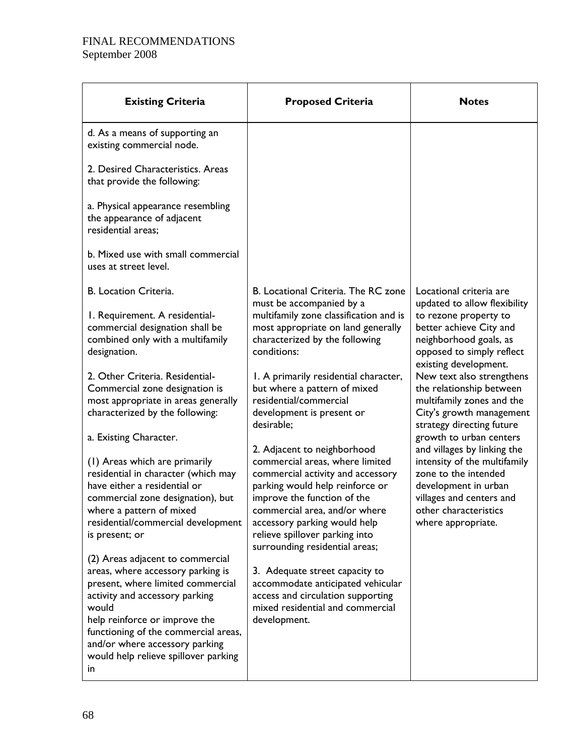| <b>Existing Criteria</b>                                                                                                                                                                                                                                                                                        | <b>Proposed Criteria</b>                                                                                                                                                                                                                                                                                   | <b>Notes</b>                                                                                                                                                                                                           |  |
|-----------------------------------------------------------------------------------------------------------------------------------------------------------------------------------------------------------------------------------------------------------------------------------------------------------------|------------------------------------------------------------------------------------------------------------------------------------------------------------------------------------------------------------------------------------------------------------------------------------------------------------|------------------------------------------------------------------------------------------------------------------------------------------------------------------------------------------------------------------------|--|
| d. As a means of supporting an<br>existing commercial node.                                                                                                                                                                                                                                                     |                                                                                                                                                                                                                                                                                                            |                                                                                                                                                                                                                        |  |
| 2. Desired Characteristics. Areas<br>that provide the following:                                                                                                                                                                                                                                                |                                                                                                                                                                                                                                                                                                            |                                                                                                                                                                                                                        |  |
| a. Physical appearance resembling<br>the appearance of adjacent<br>residential areas;                                                                                                                                                                                                                           |                                                                                                                                                                                                                                                                                                            |                                                                                                                                                                                                                        |  |
| b. Mixed use with small commercial<br>uses at street level.                                                                                                                                                                                                                                                     |                                                                                                                                                                                                                                                                                                            |                                                                                                                                                                                                                        |  |
| B. Location Criteria.                                                                                                                                                                                                                                                                                           | B. Locational Criteria. The RC zone<br>must be accompanied by a                                                                                                                                                                                                                                            | Locational criteria are<br>updated to allow flexibility                                                                                                                                                                |  |
| I. Requirement. A residential-<br>commercial designation shall be<br>combined only with a multifamily<br>designation.<br>2. Other Criteria. Residential-<br>Commercial zone designation is<br>most appropriate in areas generally                                                                               | multifamily zone classification and is<br>most appropriate on land generally<br>characterized by the following<br>conditions:<br>1. A primarily residential character,<br>but where a pattern of mixed<br>residential/commercial                                                                           | to rezone property to<br>better achieve City and<br>neighborhood goals, as<br>opposed to simply reflect<br>existing development.<br>New text also strengthens<br>the relationship between<br>multifamily zones and the |  |
| characterized by the following:<br>a. Existing Character.                                                                                                                                                                                                                                                       | development is present or<br>desirable;                                                                                                                                                                                                                                                                    | City's growth management<br>strategy directing future<br>growth to urban centers                                                                                                                                       |  |
| (1) Areas which are primarily<br>residential in character (which may<br>have either a residential or<br>commercial zone designation), but<br>where a pattern of mixed<br>residential/commercial development<br>is present; or                                                                                   | 2. Adjacent to neighborhood<br>commercial areas, where limited<br>commercial activity and accessory<br>parking would help reinforce or<br>improve the function of the<br>commercial area, and/or where<br>accessory parking would help<br>relieve spillover parking into<br>surrounding residential areas; | and villages by linking the<br>intensity of the multifamily<br>zone to the intended<br>development in urban<br>villages and centers and<br>other characteristics<br>where appropriate.                                 |  |
| (2) Areas adjacent to commercial<br>areas, where accessory parking is<br>present, where limited commercial<br>activity and accessory parking<br>would<br>help reinforce or improve the<br>functioning of the commercial areas,<br>and/or where accessory parking<br>would help relieve spillover parking<br>in. | 3. Adequate street capacity to<br>accommodate anticipated vehicular<br>access and circulation supporting<br>mixed residential and commercial<br>development.                                                                                                                                               |                                                                                                                                                                                                                        |  |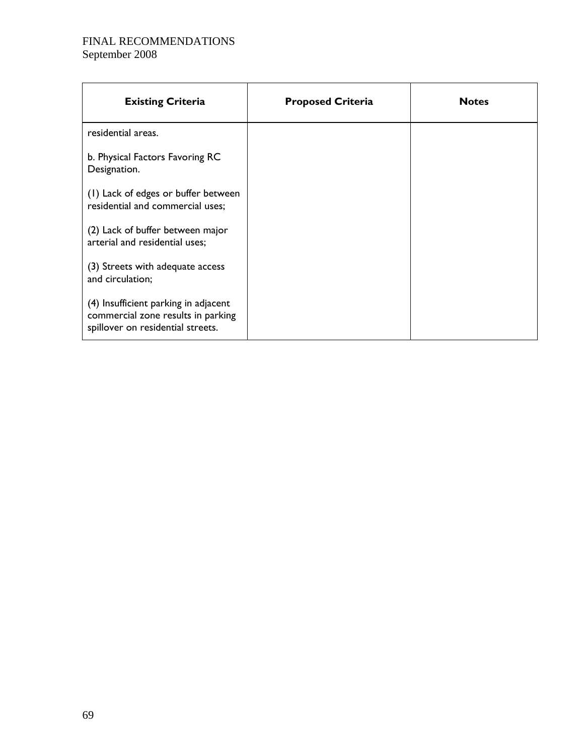| <b>Existing Criteria</b>                                                                                        | <b>Proposed Criteria</b> | <b>Notes</b> |
|-----------------------------------------------------------------------------------------------------------------|--------------------------|--------------|
| residential areas.                                                                                              |                          |              |
| b. Physical Factors Favoring RC<br>Designation.                                                                 |                          |              |
| (1) Lack of edges or buffer between<br>residential and commercial uses;                                         |                          |              |
| (2) Lack of buffer between major<br>arterial and residential uses;                                              |                          |              |
| (3) Streets with adequate access<br>and circulation;                                                            |                          |              |
| (4) Insufficient parking in adjacent<br>commercial zone results in parking<br>spillover on residential streets. |                          |              |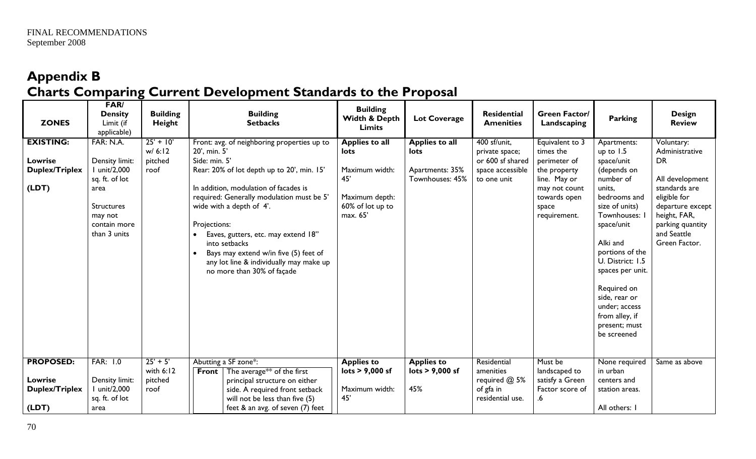# **Appendix B Charts Comparing Current Development Standards to the Proposal**

| <b>ZONES</b>          | FAR/<br><b>Density</b><br>Limit (if<br>applicable) | <b>Building</b><br>Height | <b>Building</b><br><b>Setbacks</b>                                                            | <b>Building</b><br>Width & Depth<br><b>Limits</b> | <b>Lot Coverage</b>                | <b>Residential</b><br><b>Amenities</b> | <b>Green Factor/</b><br>Landscaping | <b>Parking</b>                  | <b>Design</b><br><b>Review</b>   |
|-----------------------|----------------------------------------------------|---------------------------|-----------------------------------------------------------------------------------------------|---------------------------------------------------|------------------------------------|----------------------------------------|-------------------------------------|---------------------------------|----------------------------------|
| <b>EXISTING:</b>      | FAR: N.A.                                          | $25' + 10'$<br>w/6:12     | Front: avg. of neighboring properties up to<br>20', min. 5'                                   | <b>Applies to all</b><br>lots                     | <b>Applies to all</b><br>lots      | 400 sf/unit,<br>private space;         | Equivalent to 3<br>times the        | Apartments:<br>up to 1.5        | Voluntary:<br>Administrative     |
| <b>Lowrise</b>        | Density limit:                                     | pitched                   | Side: min. 5'                                                                                 |                                                   |                                    | or 600 sf shared                       | perimeter of                        | space/unit                      | <b>DR</b>                        |
| <b>Duplex/Triplex</b> | unit/2,000<br>sq. ft. of lot                       | roof                      | Rear: 20% of lot depth up to 20', min. 15'                                                    | Maximum width:<br>45'                             | Apartments: 35%<br>Townhouses: 45% | space accessible<br>to one unit        | the property<br>line. May or        | (depends on<br>number of        | All development                  |
| (LDT)                 | area                                               |                           | In addition, modulation of facades is                                                         |                                                   |                                    |                                        | may not count                       | units,                          | standards are                    |
|                       |                                                    |                           | required: Generally modulation must be 5'                                                     | Maximum depth:                                    |                                    |                                        | towards open                        | bedrooms and                    | eligible for                     |
|                       | Structures<br>may not                              |                           | wide with a depth of 4'.                                                                      | 60% of lot up to<br>max. 65'                      |                                    |                                        | space<br>requirement.               | size of units)<br>Townhouses:   | departure except<br>height, FAR, |
|                       | contain more                                       |                           | Projections:                                                                                  |                                                   |                                    |                                        |                                     | space/unit                      | parking quantity                 |
|                       | than 3 units                                       |                           | Eaves, gutters, etc. may extend 18"                                                           |                                                   |                                    |                                        |                                     |                                 | and Seattle                      |
|                       |                                                    |                           | into setbacks                                                                                 |                                                   |                                    |                                        |                                     | Alki and<br>portions of the     | Green Factor.                    |
|                       |                                                    |                           | Bays may extend w/in five (5) feet of<br>$\bullet$<br>any lot line & individually may make up |                                                   |                                    |                                        |                                     | U. District: 1.5                |                                  |
|                       |                                                    |                           | no more than 30% of façade                                                                    |                                                   |                                    |                                        |                                     | spaces per unit.                |                                  |
|                       |                                                    |                           |                                                                                               |                                                   |                                    |                                        |                                     | Required on                     |                                  |
|                       |                                                    |                           |                                                                                               |                                                   |                                    |                                        |                                     | side, rear or                   |                                  |
|                       |                                                    |                           |                                                                                               |                                                   |                                    |                                        |                                     | under; access                   |                                  |
|                       |                                                    |                           |                                                                                               |                                                   |                                    |                                        |                                     | from alley, if<br>present; must |                                  |
|                       |                                                    |                           |                                                                                               |                                                   |                                    |                                        |                                     | be screened                     |                                  |
|                       |                                                    |                           |                                                                                               |                                                   |                                    |                                        |                                     |                                 |                                  |
| <b>PROPOSED:</b>      | <b>FAR: 1.0</b>                                    | $25' + 5'$                | Abutting a SF zone*:                                                                          | <b>Applies to</b>                                 | <b>Applies to</b>                  | Residential                            | Must be                             | None required                   | Same as above                    |
|                       |                                                    | with 6:12                 | The average $**$ of the first<br><b>Front</b>                                                 | lots > 9,000 sf                                   | lots > 9,000 sf                    | amenities                              | landscaped to                       | in urban                        |                                  |
| Lowrise               | Density limit:                                     | pitched                   | principal structure on either                                                                 |                                                   |                                    | required @ 5%                          | satisfy a Green                     | centers and                     |                                  |
| <b>Duplex/Triplex</b> | unit/2,000<br>sq. ft. of lot                       | roof                      | side. A required front setback<br>will not be less than five (5)                              | Maximum width:<br>45'                             | 45%                                | of gfa in<br>residential use.          | Factor score of<br>.6               | station areas.                  |                                  |
| (LDT)                 | area                                               |                           | feet & an avg. of seven (7) feet                                                              |                                                   |                                    |                                        |                                     | All others: I                   |                                  |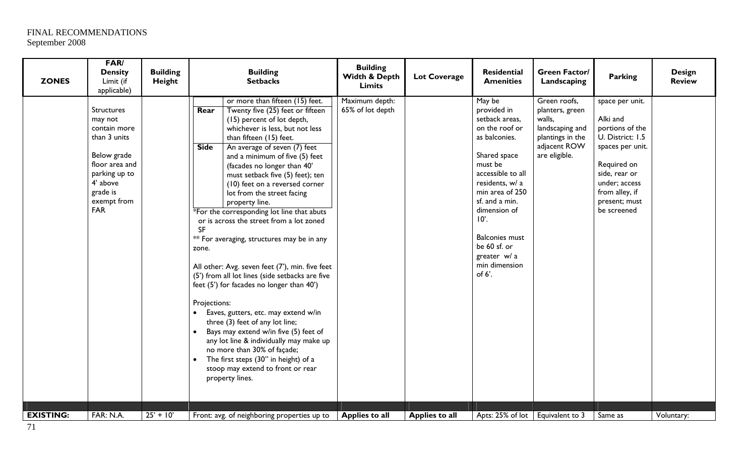| <b>ZONES</b>     | <b>FAR/</b><br><b>Density</b><br>Limit (if<br>applicable)                                                                                                           | <b>Building</b><br>Height | <b>Building</b><br><b>Setbacks</b>                                                                                                                                                                                                                                                                                                                                                                                                                                                                                                                                                                                                                                                                                                                                                                                                                                                                                                                                                                                                                        | <b>Building</b><br>Width & Depth<br><b>Limits</b> | <b>Lot Coverage</b> | <b>Residential</b><br><b>Amenities</b>                                                                                                                                                                                                                                                                    | <b>Green Factor/</b><br>Landscaping                                                                               | <b>Parking</b>                                                                                                                                                                            | <b>Design</b><br><b>Review</b> |
|------------------|---------------------------------------------------------------------------------------------------------------------------------------------------------------------|---------------------------|-----------------------------------------------------------------------------------------------------------------------------------------------------------------------------------------------------------------------------------------------------------------------------------------------------------------------------------------------------------------------------------------------------------------------------------------------------------------------------------------------------------------------------------------------------------------------------------------------------------------------------------------------------------------------------------------------------------------------------------------------------------------------------------------------------------------------------------------------------------------------------------------------------------------------------------------------------------------------------------------------------------------------------------------------------------|---------------------------------------------------|---------------------|-----------------------------------------------------------------------------------------------------------------------------------------------------------------------------------------------------------------------------------------------------------------------------------------------------------|-------------------------------------------------------------------------------------------------------------------|-------------------------------------------------------------------------------------------------------------------------------------------------------------------------------------------|--------------------------------|
|                  | <b>Structures</b><br>may not<br>contain more<br>than 3 units<br>Below grade<br>floor area and<br>parking up to<br>4' above<br>grade is<br>exempt from<br><b>FAR</b> |                           | or more than fifteen (15) feet.<br>Twenty five (25) feet or fifteen<br>Rear<br>(15) percent of lot depth,<br>whichever is less, but not less<br>than fifteen (15) feet.<br>An average of seven (7) feet<br><b>Side</b><br>and a minimum of five (5) feet<br>(facades no longer than 40'<br>must setback five (5) feet); ten<br>(10) feet on a reversed corner<br>lot from the street facing<br>property line.<br>*For the corresponding lot line that abuts<br>or is across the street from a lot zoned<br><b>SF</b><br>** For averaging, structures may be in any<br>zone.<br>All other: Avg. seven feet (7'), min. five feet<br>(5') from all lot lines (side setbacks are five<br>feet (5') for facades no longer than 40')<br>Projections:<br>Eaves, gutters, etc. may extend w/in<br>three (3) feet of any lot line;<br>Bays may extend w/in five (5) feet of<br>any lot line & individually may make up<br>no more than 30% of façade;<br>The first steps (30" in height) of a<br>$\bullet$<br>stoop may extend to front or rear<br>property lines. | Maximum depth:<br>65% of lot depth                |                     | May be<br>provided in<br>setback areas,<br>on the roof or<br>as balconies.<br>Shared space<br>must be<br>accessible to all<br>residents, w/ a<br>min area of 250<br>sf. and a min.<br>dimension of<br>$10^\circ$ .<br><b>Balconies must</b><br>be 60 sf. or<br>greater w/ a<br>min dimension<br>of $6'$ . | Green roofs,<br>planters, green<br>walls,<br>landscaping and<br>plantings in the<br>adjacent ROW<br>are eligible. | space per unit.<br>Alki and<br>portions of the<br>U. District: 1.5<br>spaces per unit.<br>Required on<br>side, rear or<br>under; access<br>from alley, if<br>present; must<br>be screened |                                |
| <b>EXISTING:</b> | FAR: N.A.                                                                                                                                                           | $25' + 10'$               | Front: avg. of neighboring properties up to                                                                                                                                                                                                                                                                                                                                                                                                                                                                                                                                                                                                                                                                                                                                                                                                                                                                                                                                                                                                               | Applies to all                                    | Applies to all      | Apts: 25% of lot   Equivalent to 3                                                                                                                                                                                                                                                                        |                                                                                                                   | Same as                                                                                                                                                                                   | Voluntary:                     |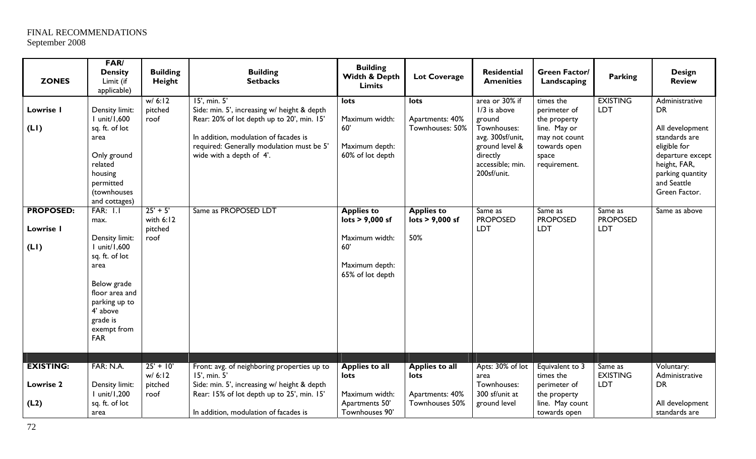| <b>ZONES</b>                                 | <b>FAR/</b><br><b>Density</b><br>Limit (if<br>applicable)                                                                                                                                  | <b>Building</b><br>Height                    | <b>Building</b><br><b>Setbacks</b>                                                                                                                                                                                          | <b>Building</b><br>Width & Depth<br><b>Limits</b>                                                   | <b>Lot Coverage</b>                                                | Residential<br><b>Amenities</b>                                                                                                                | <b>Green Factor/</b><br>Landscaping                                                                                 | <b>Parking</b>                           | <b>Design</b><br><b>Review</b>                                                                                                                                          |
|----------------------------------------------|--------------------------------------------------------------------------------------------------------------------------------------------------------------------------------------------|----------------------------------------------|-----------------------------------------------------------------------------------------------------------------------------------------------------------------------------------------------------------------------------|-----------------------------------------------------------------------------------------------------|--------------------------------------------------------------------|------------------------------------------------------------------------------------------------------------------------------------------------|---------------------------------------------------------------------------------------------------------------------|------------------------------------------|-------------------------------------------------------------------------------------------------------------------------------------------------------------------------|
| Lowrise I<br>(LI)                            | Density limit:<br>I unit/1,600<br>sq. ft. of lot<br>area<br>Only ground<br>related<br>housing<br>permitted<br>(townhouses<br>and cottages)                                                 | W/6:12<br>pitched<br>roof                    | 15', min. 5'<br>Side: min. 5', increasing w/ height & depth<br>Rear: 20% of lot depth up to 20', min. 15'<br>In addition, modulation of facades is<br>required: Generally modulation must be 5'<br>wide with a depth of 4'. | lots<br>Maximum width:<br>60'<br>Maximum depth:<br>60% of lot depth                                 | lots<br>Apartments: 40%<br>Townhouses: 50%                         | area or 30% if<br>$1/3$ is above<br>ground<br>Townhouses:<br>avg. 300sf/unit,<br>ground level &<br>directly<br>accessible; min.<br>200sf/unit. | times the<br>perimeter of<br>the property<br>line. May or<br>may not count<br>towards open<br>space<br>requirement. | <b>EXISTING</b><br><b>LDT</b>            | Administrative<br><b>DR</b><br>All development<br>standards are<br>eligible for<br>departure except<br>height, FAR,<br>parking quantity<br>and Seattle<br>Green Factor. |
| <b>PROPOSED:</b><br>Lowrise I<br>(LI)        | <b>FAR: 1.1</b><br>max.<br>Density limit:<br>I unit/1,600<br>sq. ft. of lot<br>area<br>Below grade<br>floor area and<br>parking up to<br>4' above<br>grade is<br>exempt from<br><b>FAR</b> | $25' + 5'$<br>with $6:12$<br>pitched<br>roof | Same as PROPOSED LDT                                                                                                                                                                                                        | <b>Applies to</b><br>lots > 9,000 sf<br>Maximum width:<br>60'<br>Maximum depth:<br>65% of lot depth | <b>Applies to</b><br>lots $> 9,000$ sf<br>50%                      | Same as<br><b>PROPOSED</b><br>LDT                                                                                                              | Same as<br><b>PROPOSED</b><br>LDT                                                                                   | Same as<br><b>PROPOSED</b><br><b>LDT</b> | Same as above                                                                                                                                                           |
| <b>EXISTING:</b><br><b>Lowrise 2</b><br>(L2) | FAR: N.A.<br>Density limit:<br>I unit/1,200<br>sq. ft. of lot<br>area                                                                                                                      | $25' + 10'$<br>w/6:12<br>pitched<br>roof     | Front: avg. of neighboring properties up to<br>15', min. 5'<br>Side: min. 5', increasing w/ height & depth<br>Rear: 15% of lot depth up to 25', min. 15'<br>In addition, modulation of facades is                           | <b>Applies to all</b><br>lots<br>Maximum width:<br>Apartments 50'<br>Townhouses 90'                 | <b>Applies to all</b><br>lots<br>Apartments: 40%<br>Townhouses 50% | Apts: 30% of lot<br>area<br>Townhouses:<br>300 sf/unit at<br>ground level                                                                      | Equivalent to 3<br>times the<br>perimeter of<br>the property<br>line. May count<br>towards open                     | Same as<br><b>EXISTING</b><br><b>LDT</b> | Voluntary:<br>Administrative<br><b>DR</b><br>All development<br>standards are                                                                                           |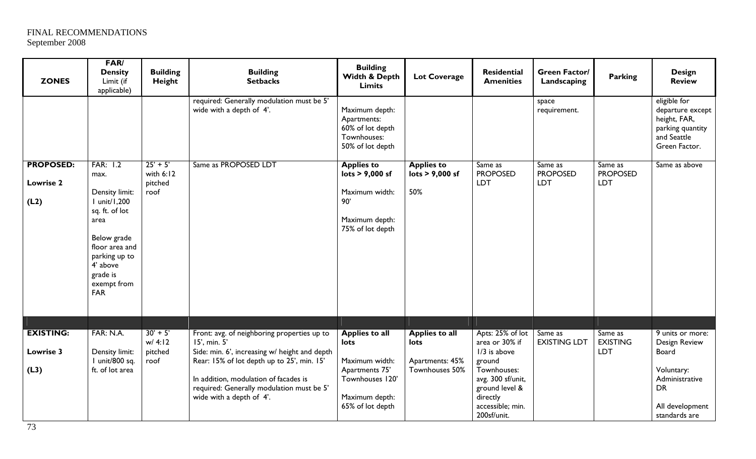| <b>ZONES</b>                                 | FAR/<br><b>Density</b><br>Limit (if<br>applicable)                                                                                                                                  | <b>Building</b><br>Height                    | <b>Building</b><br><b>Setbacks</b>                                                                                                                                                                                            | <b>Building</b><br>Width & Depth<br><b>Limits</b>                                                                       | <b>Lot Coverage</b>                                             | <b>Residential</b><br><b>Amenities</b>                                                                                                          | <b>Green Factor/</b><br>Landscaping | <b>Parking</b>                           | <b>Design</b><br><b>Review</b>                                                                          |
|----------------------------------------------|-------------------------------------------------------------------------------------------------------------------------------------------------------------------------------------|----------------------------------------------|-------------------------------------------------------------------------------------------------------------------------------------------------------------------------------------------------------------------------------|-------------------------------------------------------------------------------------------------------------------------|-----------------------------------------------------------------|-------------------------------------------------------------------------------------------------------------------------------------------------|-------------------------------------|------------------------------------------|---------------------------------------------------------------------------------------------------------|
|                                              |                                                                                                                                                                                     |                                              | required: Generally modulation must be 5'<br>wide with a depth of 4'.                                                                                                                                                         | Maximum depth:<br>Apartments:<br>60% of lot depth<br>Townhouses:<br>50% of lot depth                                    |                                                                 |                                                                                                                                                 | space<br>requirement.               |                                          | eligible for<br>departure except<br>height, FAR,<br>parking quantity<br>and Seattle<br>Green Factor.    |
| <b>PROPOSED:</b><br><b>Lowrise 2</b><br>(L2) | FAR: 1.2<br>max.<br>Density limit:<br>I unit/1,200<br>sq. ft. of lot<br>area<br>Below grade<br>floor area and<br>parking up to<br>4' above<br>grade is<br>exempt from<br><b>FAR</b> | $25' + 5'$<br>with $6:12$<br>pitched<br>roof | Same as PROPOSED LDT                                                                                                                                                                                                          | <b>Applies to</b><br>$\mathsf{lots} > 9,000 \mathsf{sf}$<br>Maximum width:<br>90'<br>Maximum depth:<br>75% of lot depth | <b>Applies to</b><br>$\overline{\text{lots}}$ > 9,000 sf<br>50% | Same as<br><b>PROPOSED</b><br><b>LDT</b>                                                                                                        | Same as<br><b>PROPOSED</b><br>LDT   | Same as<br><b>PROPOSED</b><br><b>LDT</b> | Same as above                                                                                           |
| <b>EXISTING:</b>                             | FAR: N.A.                                                                                                                                                                           | $30' + 5'$                                   | Front: avg. of neighboring properties up to                                                                                                                                                                                   | <b>Applies to all</b>                                                                                                   | <b>Applies to all</b>                                           | Apts: 25% of lot                                                                                                                                | Same as                             | Same as                                  | 9 units or more:                                                                                        |
| Lowrise 3<br>(L3)                            | Density limit:<br>I unit/800 sq.<br>ft. of lot area                                                                                                                                 | w/4:12<br>pitched<br>roof                    | 15', min. 5'<br>Side: min. 6', increasing w/ height and depth<br>Rear: 15% of lot depth up to 25', min. 15'<br>In addition, modulation of facades is<br>required: Generally modulation must be 5'<br>wide with a depth of 4'. | lots<br>Maximum width:<br>Apartments 75'<br>Townhouses 120'<br>Maximum depth:<br>65% of lot depth                       | lots<br>Apartments: 45%<br>Townhouses 50%                       | area or 30% if<br>$1/3$ is above<br>ground<br>Townhouses:<br>avg. 300 sf/unit,<br>ground level &<br>directly<br>accessible; min.<br>200sf/unit. | <b>EXISTING LDT</b>                 | <b>EXISTING</b><br><b>LDT</b>            | Design Review<br>Board<br>Voluntary:<br>Administrative<br><b>DR</b><br>All development<br>standards are |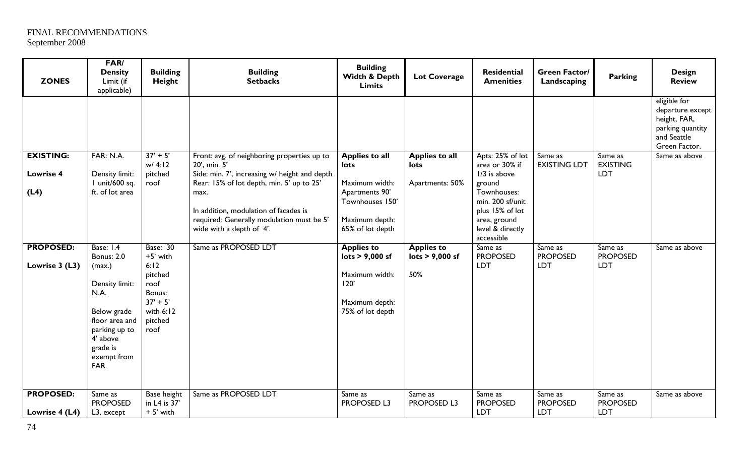| <b>ZONES</b>                       | FAR/<br><b>Density</b><br>Limit (if<br>applicable)                                                                                                           | <b>Building</b><br>Height                                                                     | <b>Building</b><br><b>Setbacks</b>                                                                                                                                                                                   | <b>Building</b><br>Width & Depth<br><b>Limits</b>                                         | <b>Lot Coverage</b>           | Residential<br><b>Amenities</b>                                                                                                | <b>Green Factor/</b><br>Landscaping      | <b>Parking</b>                           | <b>Design</b><br><b>Review</b>                                                                       |
|------------------------------------|--------------------------------------------------------------------------------------------------------------------------------------------------------------|-----------------------------------------------------------------------------------------------|----------------------------------------------------------------------------------------------------------------------------------------------------------------------------------------------------------------------|-------------------------------------------------------------------------------------------|-------------------------------|--------------------------------------------------------------------------------------------------------------------------------|------------------------------------------|------------------------------------------|------------------------------------------------------------------------------------------------------|
|                                    |                                                                                                                                                              |                                                                                               |                                                                                                                                                                                                                      |                                                                                           |                               |                                                                                                                                |                                          |                                          | eligible for<br>departure except<br>height, FAR,<br>parking quantity<br>and Seattle<br>Green Factor. |
| <b>EXISTING:</b>                   | <b>FAR: N.A.</b>                                                                                                                                             | $37' + 5'$<br>w/4:12                                                                          | Front: avg. of neighboring properties up to<br>20', min. 5'                                                                                                                                                          | <b>Applies to all</b><br>lots                                                             | <b>Applies to all</b><br>lots | Apts: 25% of lot<br>area or 30% if                                                                                             | Same as<br><b>EXISTING LDT</b>           | Same as<br><b>EXISTING</b>               | Same as above                                                                                        |
| <b>Lowrise 4</b><br>(L4)           | Density limit:<br>I unit/600 sq.<br>ft. of lot area                                                                                                          | pitched<br>roof                                                                               | Side: min. 7', increasing w/ height and depth<br>Rear: 15% of lot depth, min. 5' up to 25'<br>max.<br>In addition, modulation of facades is<br>required: Generally modulation must be 5'<br>wide with a depth of 4'. | Maximum width:<br>Apartments 90'<br>Townhouses 150'<br>Maximum depth:<br>65% of lot depth | Apartments: 50%               | 1/3 is above<br>ground<br>Townhouses:<br>min. 200 sf/unit<br>plus 15% of lot<br>area, ground<br>level & directly<br>accessible |                                          | <b>LDT</b>                               |                                                                                                      |
| <b>PROPOSED:</b>                   | Base: 1.4                                                                                                                                                    | <b>Base: 30</b>                                                                               | Same as PROPOSED LDT                                                                                                                                                                                                 | <b>Applies to</b>                                                                         | <b>Applies to</b>             | Same as                                                                                                                        | Same as                                  | Same as                                  | Same as above                                                                                        |
| Lowrise 3 (L3)                     | <b>Bonus: 2.0</b><br>(max.)<br>Density limit:<br>N.A.<br>Below grade<br>floor area and<br>parking up to<br>4' above<br>grade is<br>exempt from<br><b>FAR</b> | +5' with<br>6:12<br>pitched<br>roof<br>Bonus:<br>$37' + 5'$<br>with $6:12$<br>pitched<br>roof |                                                                                                                                                                                                                      | lots > 9,000 sf<br>Maximum width:<br>120'<br>Maximum depth:<br>75% of lot depth           | lots > 9,000 sf<br>50%        | <b>PROPOSED</b><br><b>LDT</b>                                                                                                  | <b>PROPOSED</b><br><b>LDT</b>            | <b>PROPOSED</b><br><b>LDT</b>            |                                                                                                      |
| <b>PROPOSED:</b><br>Lowrise 4 (L4) | Same as<br><b>PROPOSED</b><br>L3, except                                                                                                                     | <b>Base height</b><br>in L4 is 37'<br>+ 5' with                                               | Same as PROPOSED LDT                                                                                                                                                                                                 | Same as<br><b>PROPOSED L3</b>                                                             | Same as<br><b>PROPOSED L3</b> | Same as<br><b>PROPOSED</b><br><b>LDT</b>                                                                                       | Same as<br><b>PROPOSED</b><br><b>LDT</b> | Same as<br><b>PROPOSED</b><br><b>LDT</b> | Same as above                                                                                        |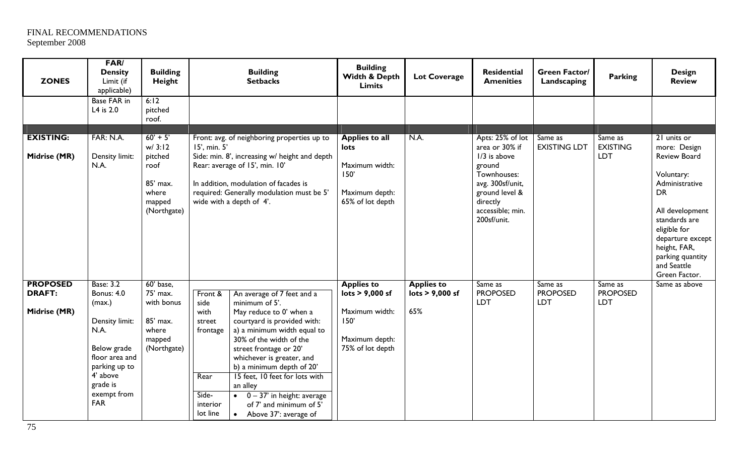| <b>ZONES</b>                                     | FAR/<br><b>Density</b><br>Limit (if<br>applicable)                                                                                                                               | <b>Building</b><br>Height                                                             |                                                                                        | <b>Building</b><br><b>Setbacks</b>                                                                                                                                                                                                                                                                                                                                                                          | <b>Building</b><br>Width & Depth<br><b>Limits</b>                                                    | <b>Lot Coverage</b>                                             | Residential<br><b>Amenities</b>                                                                                                                                    | <b>Green Factor/</b><br>Landscaping                            | <b>Parking</b>                           | <b>Design</b><br><b>Review</b>                                                                                                                                                                                                              |
|--------------------------------------------------|----------------------------------------------------------------------------------------------------------------------------------------------------------------------------------|---------------------------------------------------------------------------------------|----------------------------------------------------------------------------------------|-------------------------------------------------------------------------------------------------------------------------------------------------------------------------------------------------------------------------------------------------------------------------------------------------------------------------------------------------------------------------------------------------------------|------------------------------------------------------------------------------------------------------|-----------------------------------------------------------------|--------------------------------------------------------------------------------------------------------------------------------------------------------------------|----------------------------------------------------------------|------------------------------------------|---------------------------------------------------------------------------------------------------------------------------------------------------------------------------------------------------------------------------------------------|
|                                                  | <b>Base FAR in</b><br>L4 is 2.0                                                                                                                                                  | 6:12<br>pitched<br>roof.                                                              |                                                                                        |                                                                                                                                                                                                                                                                                                                                                                                                             |                                                                                                      |                                                                 |                                                                                                                                                                    |                                                                |                                          |                                                                                                                                                                                                                                             |
| <b>EXISTING:</b><br>Midrise (MR)                 | FAR: N.A.<br>Density limit:<br>N.A.                                                                                                                                              | $60' + 5'$<br>w/3:12<br>pitched<br>roof<br>85' max.<br>where<br>mapped<br>(Northgate) | 15', min. 5'                                                                           | Front: avg. of neighboring properties up to<br>Side: min. 8', increasing w/ height and depth<br>Rear: average of 15', min. 10'<br>In addition, modulation of facades is<br>required: Generally modulation must be 5'<br>wide with a depth of 4'.                                                                                                                                                            | <b>Applies to all</b><br>lots<br>Maximum width:<br>150'<br>Maximum depth:<br>65% of lot depth        | N.A.                                                            | Apts: 25% of lot<br>area or 30% if<br>$1/3$ is above<br>ground<br>Townhouses:<br>avg. 300sf/unit,<br>ground level &<br>directly<br>accessible; min.<br>200sf/unit. | Same as<br><b>EXISTING LDT</b>                                 | Same as<br><b>EXISTING</b><br><b>LDT</b> | 21 units or<br>more: Design<br><b>Review Board</b><br>Voluntary:<br>Administrative<br><b>DR</b><br>All development<br>standards are<br>eligible for<br>departure except<br>height, FAR,<br>parking quantity<br>and Seattle<br>Green Factor. |
| <b>PROPOSED</b><br><b>DRAFT:</b><br>Midrise (MR) | <b>Base: 3.2</b><br><b>Bonus: 4.0</b><br>(max.)<br>Density limit:<br>N.A.<br>Below grade<br>floor area and<br>parking up to<br>4' above<br>grade is<br>exempt from<br><b>FAR</b> | 60' base,<br>75' max.<br>with bonus<br>85' max.<br>where<br>mapped<br>(Northgate)     | Front &<br>side<br>with<br>street<br>frontage<br>Rear<br>Side-<br>interior<br>lot line | An average of 7 feet and a<br>minimum of 5'.<br>May reduce to 0' when a<br>courtyard is provided with:<br>a) a minimum width equal to<br>30% of the width of the<br>street frontage or 20'<br>whichever is greater, and<br>b) a minimum depth of 20'<br>15 feet, 10 feet for lots with<br>an alley<br>$\bullet$ 0 - 37' in height: average<br>of 7' and minimum of 5'<br>Above 37': average of<br>$\bullet$ | <b>Applies to</b><br>lots > 9,000 sf<br>Maximum width:<br>150'<br>Maximum depth:<br>75% of lot depth | <b>Applies to</b><br>$\mathsf{lots} > 9,000 \mathsf{sf}$<br>65% | Same as<br><b>PROPOSED</b><br><b>LDT</b>                                                                                                                           | $\overline{\mathsf{Same}}$ as<br><b>PROPOSED</b><br><b>LDT</b> | Same as<br><b>PROPOSED</b><br>LDT        | Same as above                                                                                                                                                                                                                               |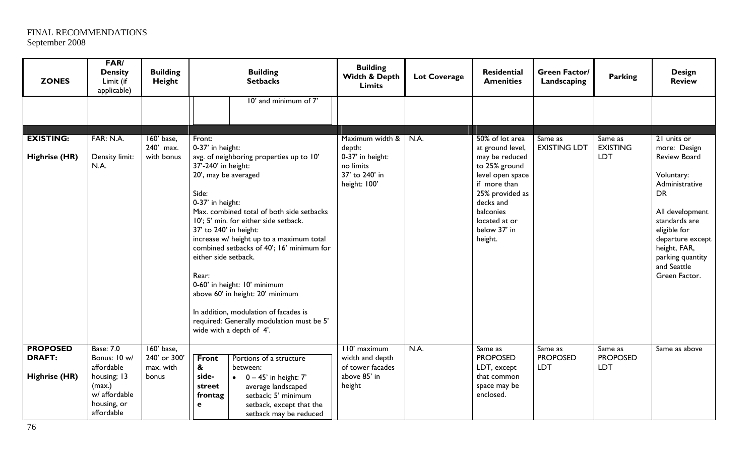| <b>ZONES</b>                     | FAR/<br><b>Density</b><br>Limit (if<br>applicable)                  | <b>Building</b><br>Height               | <b>Building</b><br><b>Setbacks</b>                                                                                                                                                                                                                                                                                                                                                                                                                                                                                                                   | <b>Building</b><br>Width & Depth<br><b>Limits</b>               | <b>Lot Coverage</b> | Residential<br><b>Amenities</b>                                                                                                                              | <b>Green Factor/</b><br>Landscaping | <b>Parking</b>                    | <b>Design</b><br><b>Review</b>                                                                                                                                                                               |
|----------------------------------|---------------------------------------------------------------------|-----------------------------------------|------------------------------------------------------------------------------------------------------------------------------------------------------------------------------------------------------------------------------------------------------------------------------------------------------------------------------------------------------------------------------------------------------------------------------------------------------------------------------------------------------------------------------------------------------|-----------------------------------------------------------------|---------------------|--------------------------------------------------------------------------------------------------------------------------------------------------------------|-------------------------------------|-----------------------------------|--------------------------------------------------------------------------------------------------------------------------------------------------------------------------------------------------------------|
|                                  |                                                                     |                                         | 10' and minimum of 7'                                                                                                                                                                                                                                                                                                                                                                                                                                                                                                                                |                                                                 |                     |                                                                                                                                                              |                                     |                                   |                                                                                                                                                                                                              |
|                                  |                                                                     |                                         |                                                                                                                                                                                                                                                                                                                                                                                                                                                                                                                                                      |                                                                 |                     |                                                                                                                                                              |                                     |                                   |                                                                                                                                                                                                              |
| <b>EXISTING:</b>                 | FAR: N.A.                                                           | 160' base,<br>240' max.                 | Front:<br>0-37' in height:                                                                                                                                                                                                                                                                                                                                                                                                                                                                                                                           | Maximum width &<br>depth:                                       | N.A.                | 50% of lot area<br>at ground level,                                                                                                                          | Same as<br><b>EXISTING LDT</b>      | Same as<br><b>EXISTING</b>        | 21 units or<br>more: Design                                                                                                                                                                                  |
| <b>Highrise (HR)</b>             | Density limit:<br>N.A.                                              | with bonus                              | avg. of neighboring properties up to 10'<br>37'-240' in height:<br>20', may be averaged<br>Side:<br>0-37' in height:<br>Max. combined total of both side setbacks<br>10'; 5' min. for either side setback.<br>37' to 240' in height:<br>increase w/ height up to a maximum total<br>combined setbacks of 40'; 16' minimum for<br>either side setback.<br>Rear:<br>0-60' in height: 10' minimum<br>above 60' in height: 20' minimum<br>In addition, modulation of facades is<br>required: Generally modulation must be 5'<br>wide with a depth of 4'. | 0-37' in height:<br>no limits<br>37' to 240' in<br>height: 100' |                     | may be reduced<br>to 25% ground<br>level open space<br>if more than<br>25% provided as<br>decks and<br>balconies<br>located at or<br>below 37' in<br>height. |                                     | <b>LDT</b>                        | <b>Review Board</b><br>Voluntary:<br>Administrative<br><b>DR</b><br>All development<br>standards are<br>eligible for<br>departure except<br>height, FAR,<br>parking quantity<br>and Seattle<br>Green Factor. |
| <b>PROPOSED</b><br><b>DRAFT:</b> | <b>Base: 7.0</b><br>Bonus: 10 w/<br>affordable                      | 160' base.<br>240' or 300'<br>max. with | <b>Front</b><br>Portions of a structure<br>&<br>between:                                                                                                                                                                                                                                                                                                                                                                                                                                                                                             | 110' maximum<br>width and depth<br>of tower facades             | N.A.                | Same as<br><b>PROPOSED</b><br>LDT, except                                                                                                                    | Same as<br><b>PROPOSED</b><br>LDT   | Same as<br><b>PROPOSED</b><br>LDT | Same as above                                                                                                                                                                                                |
| Highrise (HR)                    | housing; 13<br>(max.)<br>w/ affordable<br>housing, or<br>affordable | bonus                                   | side-<br>$\bullet$ 0 - 45' in height: 7'<br>street<br>average landscaped<br>setback; 5' minimum<br>frontag<br>setback, except that the<br>e<br>setback may be reduced                                                                                                                                                                                                                                                                                                                                                                                | above 85' in<br>height                                          |                     | that common<br>space may be<br>enclosed.                                                                                                                     |                                     |                                   |                                                                                                                                                                                                              |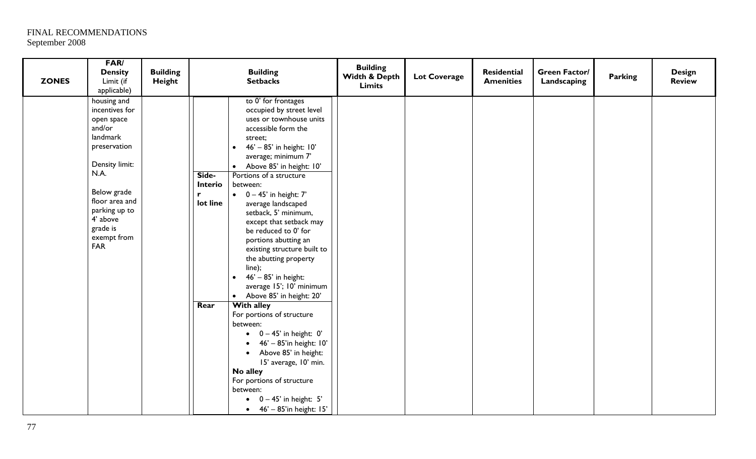| <b>ZONES</b> | FAR/<br><b>Density</b><br>Limit (if<br>applicable)                                                                                                                                                                 | <b>Building</b><br>Height | <b>Building</b><br><b>Setbacks</b>                                                                                                                                                                                                                                                                                                                                                                                                                                                                                                                                                                                       | <b>Building</b><br>Width & Depth<br><b>Limits</b> | <b>Lot Coverage</b> | <b>Residential</b><br><b>Amenities</b> | <b>Green Factor/</b><br>Landscaping | Parking | <b>Design</b><br><b>Review</b> |
|--------------|--------------------------------------------------------------------------------------------------------------------------------------------------------------------------------------------------------------------|---------------------------|--------------------------------------------------------------------------------------------------------------------------------------------------------------------------------------------------------------------------------------------------------------------------------------------------------------------------------------------------------------------------------------------------------------------------------------------------------------------------------------------------------------------------------------------------------------------------------------------------------------------------|---------------------------------------------------|---------------------|----------------------------------------|-------------------------------------|---------|--------------------------------|
|              | housing and<br>incentives for<br>open space<br>and/or<br>landmark<br>preservation<br>Density limit:<br>N.A.<br>Below grade<br>floor area and<br>parking up to<br>4' above<br>grade is<br>exempt from<br><b>FAR</b> |                           | to 0' for frontages<br>occupied by street level<br>uses or townhouse units<br>accessible form the<br>street;<br>46' - 85' in height: 10'<br>average; minimum 7'<br>Above 85' in height: 10'<br>$\bullet$<br>Portions of a structure<br>Side-<br><b>Interio</b><br>between:<br>$0 - 45'$ in height: $7'$<br>$\bullet$<br>lot line<br>average landscaped<br>setback, 5' minimum,<br>except that setback may<br>be reduced to 0' for<br>portions abutting an<br>existing structure built to<br>the abutting property<br>line);<br>46' - 85' in height:<br>average 15'; 10' minimum<br>Above 85' in height: 20'<br>$\bullet$ |                                                   |                     |                                        |                                     |         |                                |
|              |                                                                                                                                                                                                                    |                           | <b>With alley</b><br>Rear<br>For portions of structure<br>between:<br>$\bullet$ 0 - 45' in height: 0'<br>46' - 85'in height: 10'<br>Above 85' in height:<br>$\bullet$<br>15' average, 10' min.<br>No alley<br>For portions of structure<br>between:<br>$\bullet$ 0 - 45' in height: 5'<br>46' - 85'in height: 15'<br>$\bullet$                                                                                                                                                                                                                                                                                           |                                                   |                     |                                        |                                     |         |                                |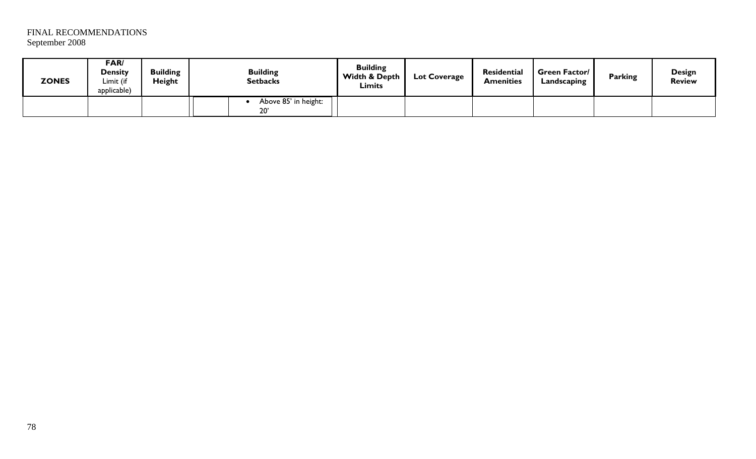| <b>ZONES</b> | FAR/<br>Density<br>Limit (if<br>applicable) | <b>Building</b><br><b>Height</b> | <b>Building</b><br><b>Setbacks</b>   | <b>Building</b><br>Width & Depth<br><b>Limits</b> | <b>Lot Coverage</b> | <b>Residential</b><br><b>Amenities</b> | <b>Green Factor/</b><br>Landscaping | <b>Parking</b> | Design<br><b>Review</b> |
|--------------|---------------------------------------------|----------------------------------|--------------------------------------|---------------------------------------------------|---------------------|----------------------------------------|-------------------------------------|----------------|-------------------------|
|              |                                             |                                  | Above 85' in height:<br>$20^{\circ}$ |                                                   |                     |                                        |                                     |                |                         |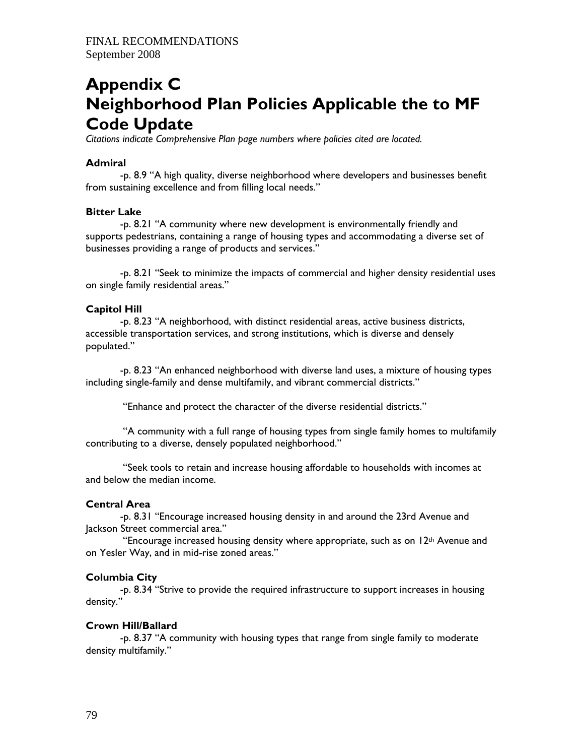# **Appendix C Neighborhood Plan Policies Applicable the to MF Code Update**

*Citations indicate Comprehensive Plan page numbers where policies cited are located.* 

# **Admiral**

 -p. 8.9 "A high quality, diverse neighborhood where developers and businesses benefit from sustaining excellence and from filling local needs."

# **Bitter Lake**

 -p. 8.21 "A community where new development is environmentally friendly and supports pedestrians, containing a range of housing types and accommodating a diverse set of businesses providing a range of products and services."

 -p. 8.21 "Seek to minimize the impacts of commercial and higher density residential uses on single family residential areas."

# **Capitol Hill**

 -p. 8.23 "A neighborhood, with distinct residential areas, active business districts, accessible transportation services, and strong institutions, which is diverse and densely populated."

 -p. 8.23 "An enhanced neighborhood with diverse land uses, a mixture of housing types including single-family and dense multifamily, and vibrant commercial districts."

"Enhance and protect the character of the diverse residential districts."

 "A community with a full range of housing types from single family homes to multifamily contributing to a diverse, densely populated neighborhood."

 "Seek tools to retain and increase housing affordable to households with incomes at and below the median income.

# **Central Area**

 -p. 8.31 "Encourage increased housing density in and around the 23rd Avenue and Jackson Street commercial area."

"Encourage increased housing density where appropriate, such as on  $12<sup>th</sup>$  Avenue and on Yesler Way, and in mid-rise zoned areas."

# **Columbia City**

 -p. 8.34 "Strive to provide the required infrastructure to support increases in housing density."

#### **Crown Hill/Ballard**

 -p. 8.37 "A community with housing types that range from single family to moderate density multifamily."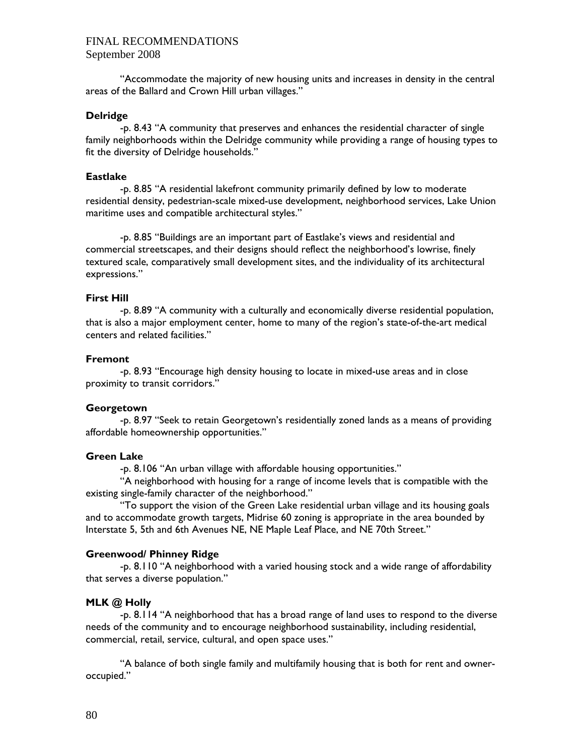"Accommodate the majority of new housing units and increases in density in the central areas of the Ballard and Crown Hill urban villages."

#### **Delridge**

 -p. 8.43 "A community that preserves and enhances the residential character of single family neighborhoods within the Delridge community while providing a range of housing types to fit the diversity of Delridge households."

#### **Eastlake**

 -p. 8.85 "A residential lakefront community primarily defined by low to moderate residential density, pedestrian-scale mixed-use development, neighborhood services, Lake Union maritime uses and compatible architectural styles."

-p. 8.85 "Buildings are an important part of Eastlake's views and residential and commercial streetscapes, and their designs should reflect the neighborhood's lowrise, finely textured scale, comparatively small development sites, and the individuality of its architectural expressions."

#### **First Hill**

 -p. 8.89 "A community with a culturally and economically diverse residential population, that is also a major employment center, home to many of the region's state-of-the-art medical centers and related facilities."

#### **Fremont**

 -p. 8.93 "Encourage high density housing to locate in mixed-use areas and in close proximity to transit corridors."

#### **Georgetown**

 -p. 8.97 "Seek to retain Georgetown's residentially zoned lands as a means of providing affordable homeownership opportunities."

#### **Green Lake**

-p. 8.106 "An urban village with affordable housing opportunities."

 "A neighborhood with housing for a range of income levels that is compatible with the existing single-family character of the neighborhood."

"To support the vision of the Green Lake residential urban village and its housing goals and to accommodate growth targets, Midrise 60 zoning is appropriate in the area bounded by Interstate 5, 5th and 6th Avenues NE, NE Maple Leaf Place, and NE 70th Street."

#### **Greenwood/ Phinney Ridge**

-p. 8.110 "A neighborhood with a varied housing stock and a wide range of affordability that serves a diverse population."

#### **MLK @ Holly**

 -p. 8.114 "A neighborhood that has a broad range of land uses to respond to the diverse needs of the community and to encourage neighborhood sustainability, including residential, commercial, retail, service, cultural, and open space uses."

 "A balance of both single family and multifamily housing that is both for rent and owneroccupied."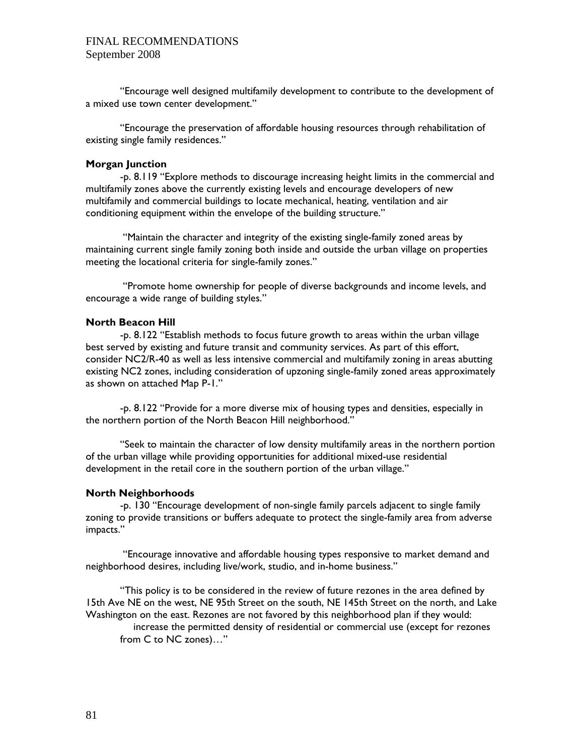"Encourage well designed multifamily development to contribute to the development of a mixed use town center development."

 "Encourage the preservation of affordable housing resources through rehabilitation of existing single family residences."

#### **Morgan Junction**

 -p. 8.119 "Explore methods to discourage increasing height limits in the commercial and multifamily zones above the currently existing levels and encourage developers of new multifamily and commercial buildings to locate mechanical, heating, ventilation and air conditioning equipment within the envelope of the building structure."

 "Maintain the character and integrity of the existing single-family zoned areas by maintaining current single family zoning both inside and outside the urban village on properties meeting the locational criteria for single-family zones."

 "Promote home ownership for people of diverse backgrounds and income levels, and encourage a wide range of building styles."

#### **North Beacon Hill**

 -p. 8.122 "Establish methods to focus future growth to areas within the urban village best served by existing and future transit and community services. As part of this effort, consider NC2/R-40 as well as less intensive commercial and multifamily zoning in areas abutting existing NC2 zones, including consideration of upzoning single-family zoned areas approximately as shown on attached Map P-1."

-p. 8.122 "Provide for a more diverse mix of housing types and densities, especially in the northern portion of the North Beacon Hill neighborhood."

 "Seek to maintain the character of low density multifamily areas in the northern portion of the urban village while providing opportunities for additional mixed-use residential development in the retail core in the southern portion of the urban village."

#### **North Neighborhoods**

 -p. 130 "Encourage development of non-single family parcels adjacent to single family zoning to provide transitions or buffers adequate to protect the single-family area from adverse impacts."

 "Encourage innovative and affordable housing types responsive to market demand and neighborhood desires, including live/work, studio, and in-home business."

 "This policy is to be considered in the review of future rezones in the area defined by 15th Ave NE on the west, NE 95th Street on the south, NE 145th Street on the north, and Lake Washington on the east. Rezones are not favored by this neighborhood plan if they would: increase the permitted density of residential or commercial use (except for rezones

from C to NC zones)…"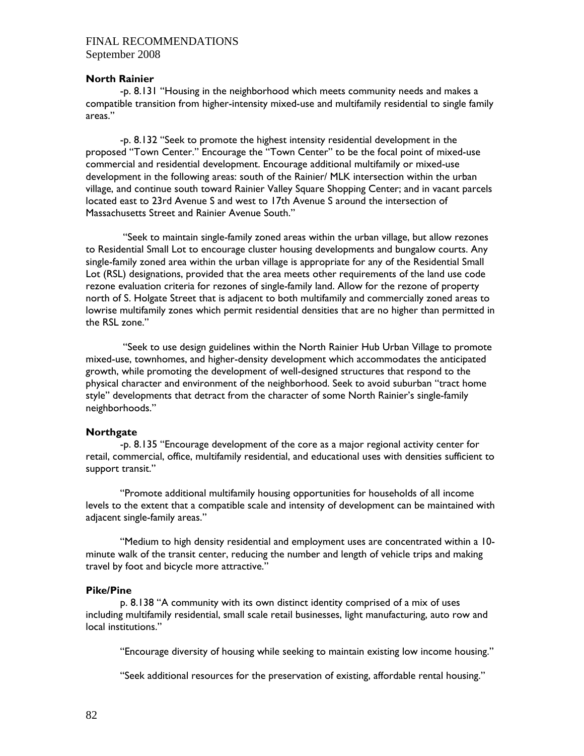#### **North Rainier**

 -p. 8.131 "Housing in the neighborhood which meets community needs and makes a compatible transition from higher-intensity mixed-use and multifamily residential to single family areas."

 -p. 8.132 "Seek to promote the highest intensity residential development in the proposed "Town Center." Encourage the "Town Center" to be the focal point of mixed-use commercial and residential development. Encourage additional multifamily or mixed-use development in the following areas: south of the Rainier/ MLK intersection within the urban village, and continue south toward Rainier Valley Square Shopping Center; and in vacant parcels located east to 23rd Avenue S and west to 17th Avenue S around the intersection of Massachusetts Street and Rainier Avenue South."

 "Seek to maintain single-family zoned areas within the urban village, but allow rezones to Residential Small Lot to encourage cluster housing developments and bungalow courts. Any single-family zoned area within the urban village is appropriate for any of the Residential Small Lot (RSL) designations, provided that the area meets other requirements of the land use code rezone evaluation criteria for rezones of single-family land. Allow for the rezone of property north of S. Holgate Street that is adjacent to both multifamily and commercially zoned areas to lowrise multifamily zones which permit residential densities that are no higher than permitted in the RSL zone."

 "Seek to use design guidelines within the North Rainier Hub Urban Village to promote mixed-use, townhomes, and higher-density development which accommodates the anticipated growth, while promoting the development of well-designed structures that respond to the physical character and environment of the neighborhood. Seek to avoid suburban "tract home style" developments that detract from the character of some North Rainier's single-family neighborhoods."

#### **Northgate**

 -p. 8.135 "Encourage development of the core as a major regional activity center for retail, commercial, office, multifamily residential, and educational uses with densities sufficient to support transit."

 "Promote additional multifamily housing opportunities for households of all income levels to the extent that a compatible scale and intensity of development can be maintained with adjacent single-family areas."

"Medium to high density residential and employment uses are concentrated within a 10 minute walk of the transit center, reducing the number and length of vehicle trips and making travel by foot and bicycle more attractive."

#### **Pike/Pine**

 p. 8.138 "A community with its own distinct identity comprised of a mix of uses including multifamily residential, small scale retail businesses, light manufacturing, auto row and local institutions."

"Encourage diversity of housing while seeking to maintain existing low income housing."

"Seek additional resources for the preservation of existing, affordable rental housing."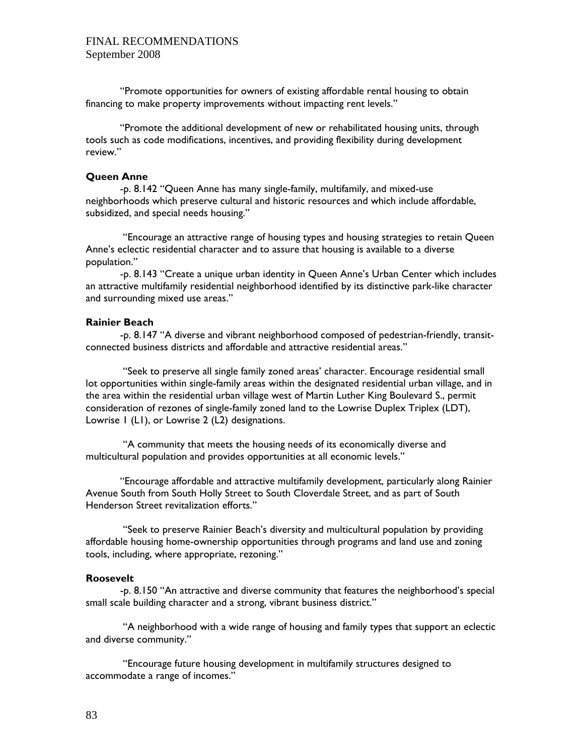"Promote opportunities for owners of existing affordable rental housing to obtain financing to make property improvements without impacting rent levels."

 "Promote the additional development of new or rehabilitated housing units, through tools such as code modifications, incentives, and providing flexibility during development review."

#### **Queen Anne**

 -p. 8.142 "Queen Anne has many single-family, multifamily, and mixed-use neighborhoods which preserve cultural and historic resources and which include affordable, subsidized, and special needs housing."

 "Encourage an attractive range of housing types and housing strategies to retain Queen Anne's eclectic residential character and to assure that housing is available to a diverse population."

-p. 8.143 "Create a unique urban identity in Queen Anne's Urban Center which includes an attractive multifamily residential neighborhood identified by its distinctive park-like character and surrounding mixed use areas."

## **Rainier Beach**

 -p. 8.147 "A diverse and vibrant neighborhood composed of pedestrian-friendly, transitconnected business districts and affordable and attractive residential areas."

 "Seek to preserve all single family zoned areas' character. Encourage residential small lot opportunities within single-family areas within the designated residential urban village, and in the area within the residential urban village west of Martin Luther King Boulevard S., permit consideration of rezones of single-family zoned land to the Lowrise Duplex Triplex (LDT), Lowrise 1 (L1), or Lowrise 2 (L2) designations.

 "A community that meets the housing needs of its economically diverse and multicultural population and provides opportunities at all economic levels."

 "Encourage affordable and attractive multifamily development, particularly along Rainier Avenue South from South Holly Street to South Cloverdale Street, and as part of South Henderson Street revitalization efforts."

 "Seek to preserve Rainier Beach's diversity and multicultural population by providing affordable housing home-ownership opportunities through programs and land use and zoning tools, including, where appropriate, rezoning."

#### **Roosevelt**

 -p. 8.150 "An attractive and diverse community that features the neighborhood's special small scale building character and a strong, vibrant business district."

 "A neighborhood with a wide range of housing and family types that support an eclectic and diverse community."

 "Encourage future housing development in multifamily structures designed to accommodate a range of incomes."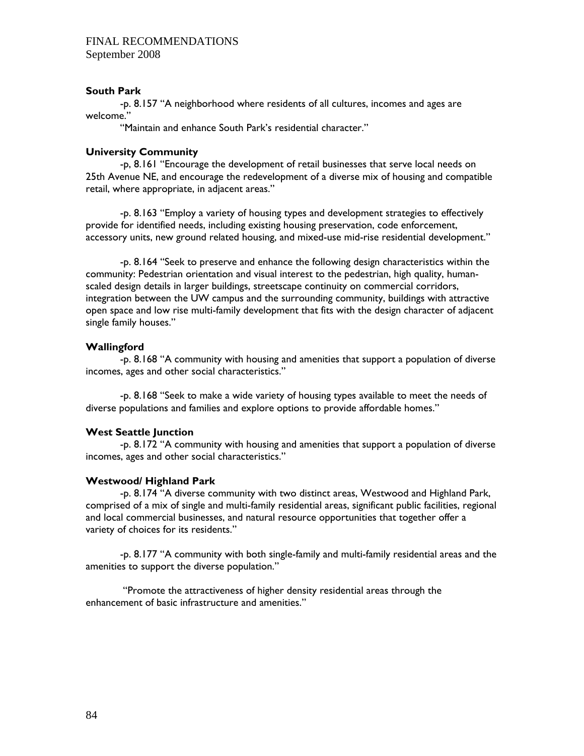## **South Park**

 -p. 8.157 "A neighborhood where residents of all cultures, incomes and ages are welcome."

"Maintain and enhance South Park's residential character."

## **University Community**

 -p, 8.161 "Encourage the development of retail businesses that serve local needs on 25th Avenue NE, and encourage the redevelopment of a diverse mix of housing and compatible retail, where appropriate, in adjacent areas."

 -p. 8.163 "Employ a variety of housing types and development strategies to effectively provide for identified needs, including existing housing preservation, code enforcement, accessory units, new ground related housing, and mixed-use mid-rise residential development."

 -p. 8.164 "Seek to preserve and enhance the following design characteristics within the community: Pedestrian orientation and visual interest to the pedestrian, high quality, humanscaled design details in larger buildings, streetscape continuity on commercial corridors, integration between the UW campus and the surrounding community, buildings with attractive open space and low rise multi-family development that fits with the design character of adjacent single family houses."

## **Wallingford**

 -p. 8.168 "A community with housing and amenities that support a population of diverse incomes, ages and other social characteristics."

 -p. 8.168 "Seek to make a wide variety of housing types available to meet the needs of diverse populations and families and explore options to provide affordable homes."

#### **West Seattle Junction**

 -p. 8.172 "A community with housing and amenities that support a population of diverse incomes, ages and other social characteristics."

#### **Westwood/ Highland Park**

 -p. 8.174 "A diverse community with two distinct areas, Westwood and Highland Park, comprised of a mix of single and multi-family residential areas, significant public facilities, regional and local commercial businesses, and natural resource opportunities that together offer a variety of choices for its residents."

 -p. 8.177 "A community with both single-family and multi-family residential areas and the amenities to support the diverse population."

 "Promote the attractiveness of higher density residential areas through the enhancement of basic infrastructure and amenities."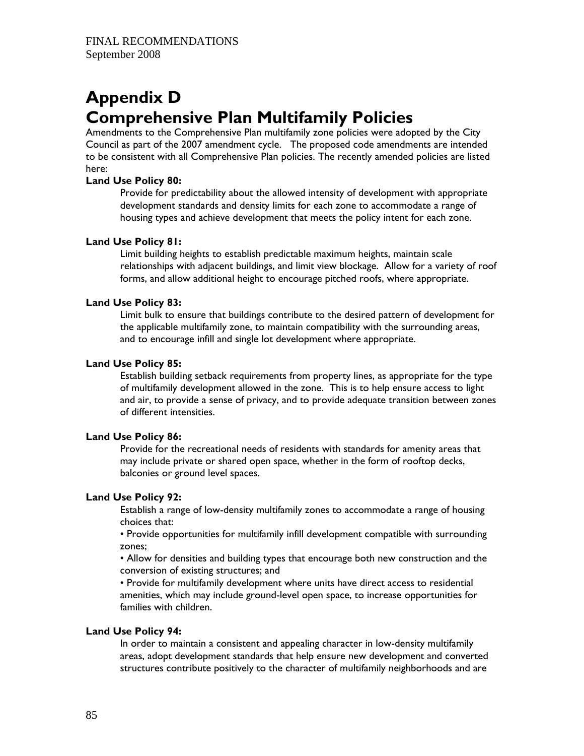# **Appendix D Comprehensive Plan Multifamily Policies**

Amendments to the Comprehensive Plan multifamily zone policies were adopted by the City Council as part of the 2007 amendment cycle. The proposed code amendments are intended to be consistent with all Comprehensive Plan policies. The recently amended policies are listed here:

## **Land Use Policy 80:**

Provide for predictability about the allowed intensity of development with appropriate development standards and density limits for each zone to accommodate a range of housing types and achieve development that meets the policy intent for each zone.

## **Land Use Policy 81:**

Limit building heights to establish predictable maximum heights, maintain scale relationships with adjacent buildings, and limit view blockage. Allow for a variety of roof forms, and allow additional height to encourage pitched roofs, where appropriate.

## **Land Use Policy 83:**

Limit bulk to ensure that buildings contribute to the desired pattern of development for the applicable multifamily zone, to maintain compatibility with the surrounding areas, and to encourage infill and single lot development where appropriate.

## **Land Use Policy 85:**

Establish building setback requirements from property lines, as appropriate for the type of multifamily development allowed in the zone. This is to help ensure access to light and air, to provide a sense of privacy, and to provide adequate transition between zones of different intensities.

## **Land Use Policy 86:**

Provide for the recreational needs of residents with standards for amenity areas that may include private or shared open space, whether in the form of rooftop decks, balconies or ground level spaces.

#### **Land Use Policy 92:**

Establish a range of low-density multifamily zones to accommodate a range of housing choices that:

• Provide opportunities for multifamily infill development compatible with surrounding zones;

• Allow for densities and building types that encourage both new construction and the conversion of existing structures; and

• Provide for multifamily development where units have direct access to residential amenities, which may include ground-level open space, to increase opportunities for families with children.

## **Land Use Policy 94:**

In order to maintain a consistent and appealing character in low-density multifamily areas, adopt development standards that help ensure new development and converted structures contribute positively to the character of multifamily neighborhoods and are